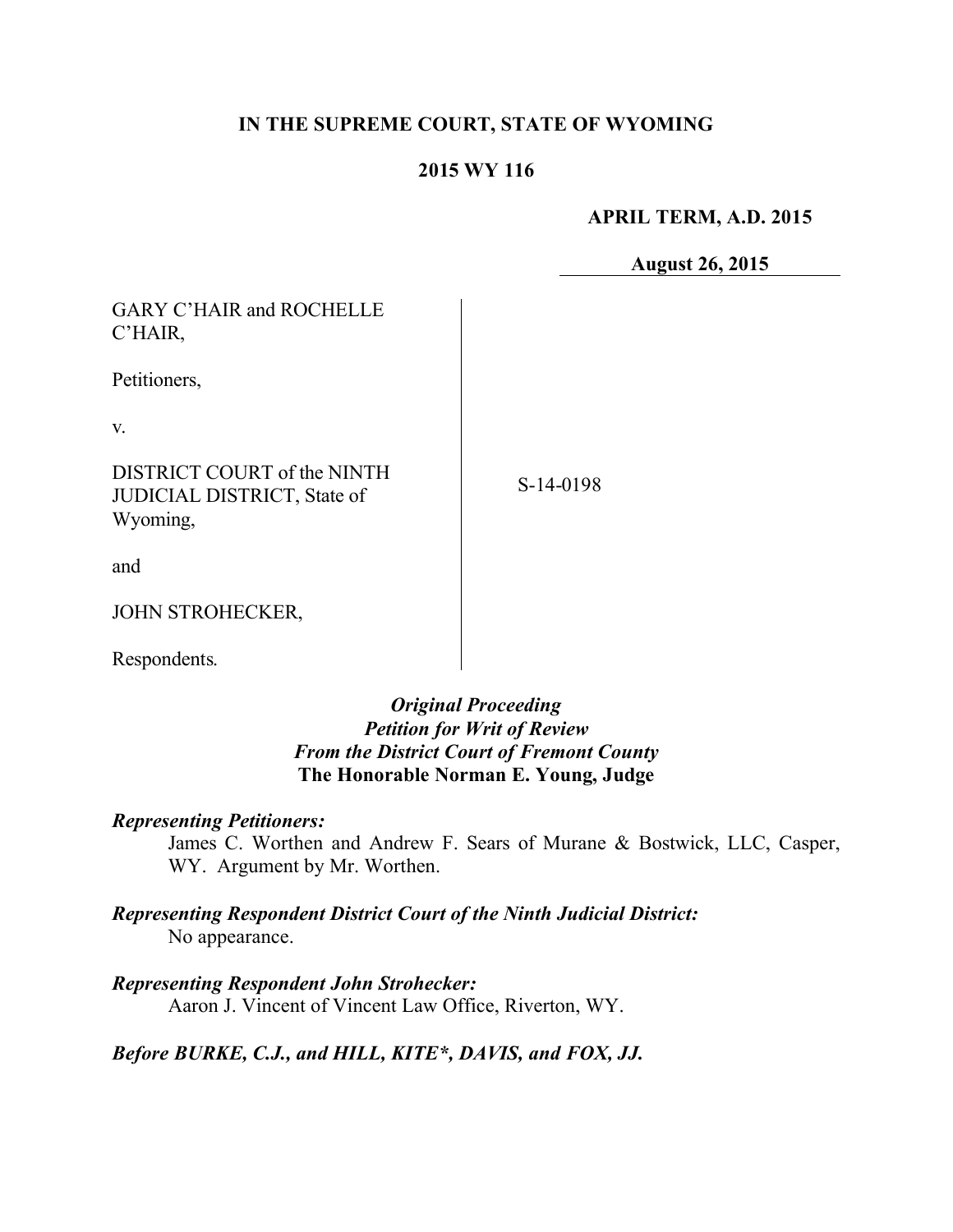## **IN THE SUPREME COURT, STATE OF WYOMING**

## **2015 WY 116**

**APRIL TERM, A.D. 2015**

**August 26, 2015**

| <b>GARY C'HAIR and ROCHELLE</b><br>C'HAIR,                                    |           |
|-------------------------------------------------------------------------------|-----------|
| Petitioners,                                                                  |           |
| V.                                                                            |           |
| DISTRICT COURT of the NINTH<br><b>JUDICIAL DISTRICT, State of</b><br>Wyoming, | S-14-0198 |
| and                                                                           |           |
| <b>JOHN STROHECKER,</b>                                                       |           |
|                                                                               |           |

Respondents.

## *Original Proceeding Petition for Writ of Review From the District Court of Fremont County* **The Honorable Norman E. Young, Judge**

## *Representing Petitioners:*

James C. Worthen and Andrew F. Sears of Murane & Bostwick, LLC, Casper, WY. Argument by Mr. Worthen.

## *Representing Respondent District Court of the Ninth Judicial District:* No appearance.

*Representing Respondent John Strohecker:* Aaron J. Vincent of Vincent Law Office, Riverton, WY.

*Before BURKE, C.J., and HILL, KITE\*, DAVIS, and FOX, JJ.*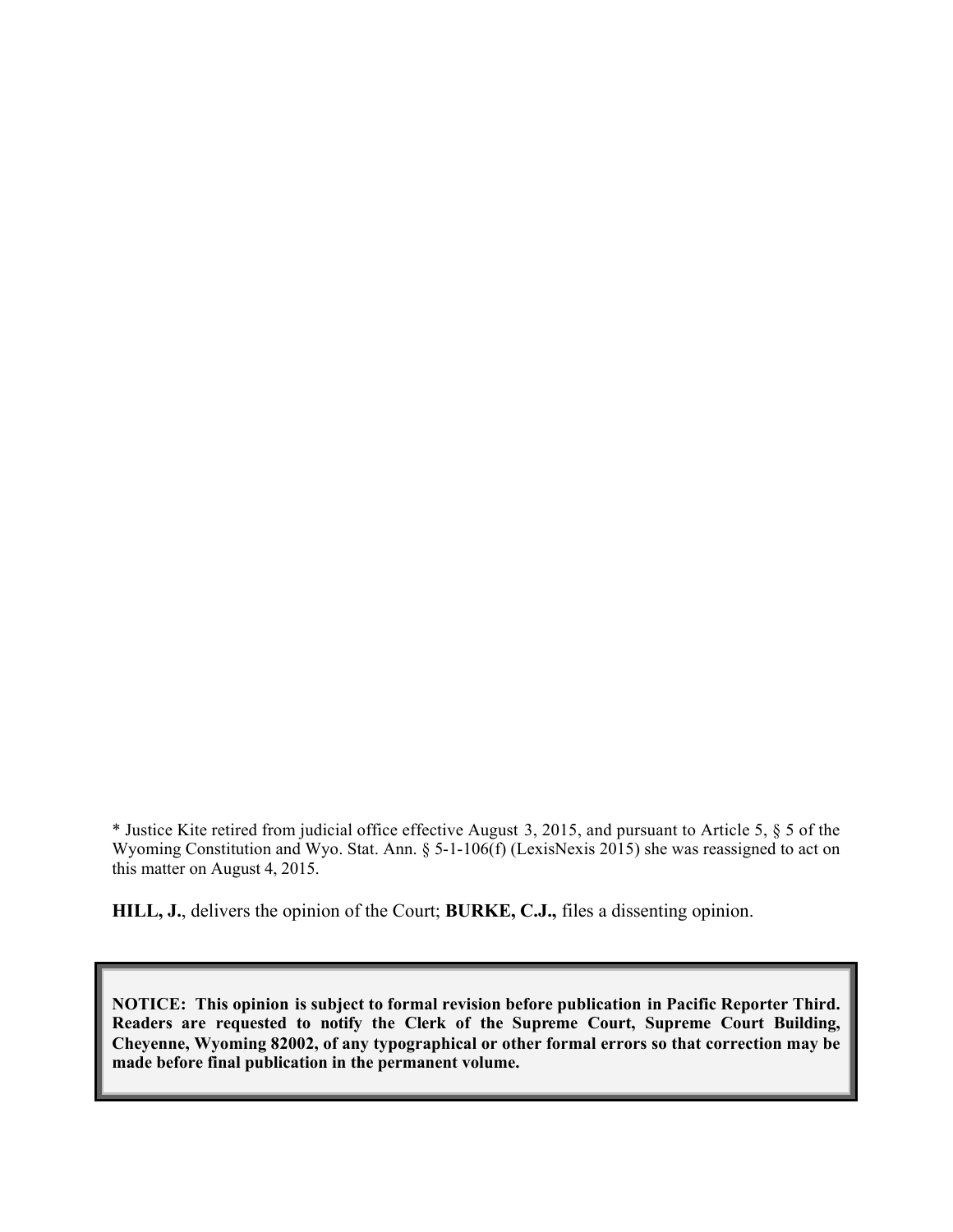\* Justice Kite retired from judicial office effective August 3, 2015, and pursuant to Article 5, § 5 of the Wyoming Constitution and Wyo. Stat. Ann. § 5-1-106(f) (LexisNexis 2015) she was reassigned to act on this matter on August 4, 2015.

**HILL, J.**, delivers the opinion of the Court; **BURKE, C.J.,** files a dissenting opinion.

**NOTICE: This opinion is subject to formal revision before publication in Pacific Reporter Third. Readers are requested to notify the Clerk of the Supreme Court, Supreme Court Building, Cheyenne, Wyoming 82002, of any typographical or other formal errors so that correction may be made before final publication in the permanent volume.**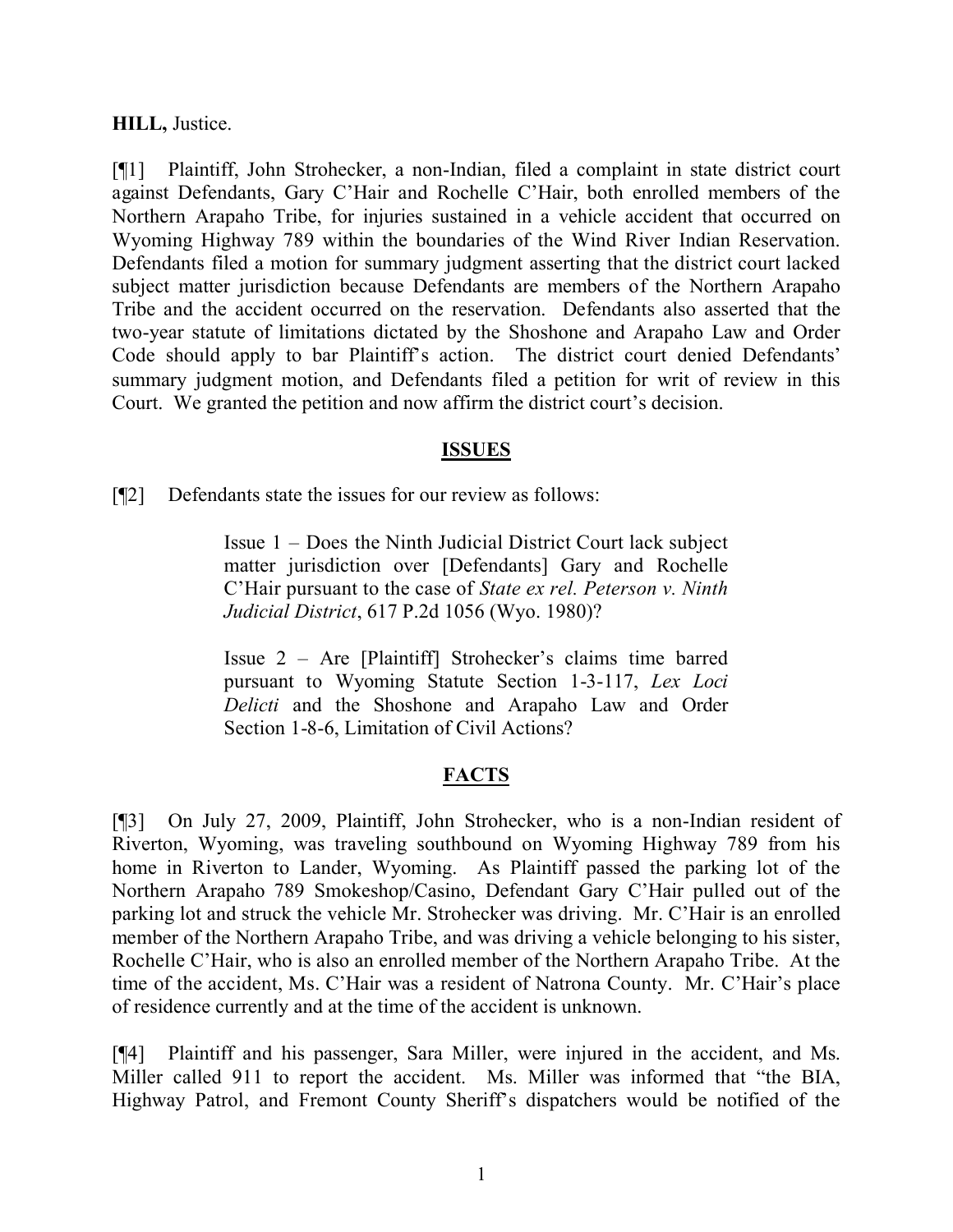#### **HILL,** Justice.

[¶1] Plaintiff, John Strohecker, a non-Indian, filed a complaint in state district court against Defendants, Gary C'Hair and Rochelle C'Hair, both enrolled members of the Northern Arapaho Tribe, for injuries sustained in a vehicle accident that occurred on Wyoming Highway 789 within the boundaries of the Wind River Indian Reservation. Defendants filed a motion for summary judgment asserting that the district court lacked subject matter jurisdiction because Defendants are members of the Northern Arapaho Tribe and the accident occurred on the reservation. Defendants also asserted that the two-year statute of limitations dictated by the Shoshone and Arapaho Law and Order Code should apply to bar Plaintiff's action. The district court denied Defendants' summary judgment motion, and Defendants filed a petition for writ of review in this Court. We granted the petition and now affirm the district court's decision.

### **ISSUES**

[¶2] Defendants state the issues for our review as follows:

Issue 1 – Does the Ninth Judicial District Court lack subject matter jurisdiction over [Defendants] Gary and Rochelle C'Hair pursuant to the case of *State ex rel. Peterson v. Ninth Judicial District*, 617 P.2d 1056 (Wyo. 1980)?

Issue 2 – Are [Plaintiff] Strohecker's claims time barred pursuant to Wyoming Statute Section 1-3-117, *Lex Loci Delicti* and the Shoshone and Arapaho Law and Order Section 1-8-6, Limitation of Civil Actions?

# **FACTS**

[¶3] On July 27, 2009, Plaintiff, John Strohecker, who is a non-Indian resident of Riverton, Wyoming, was traveling southbound on Wyoming Highway 789 from his home in Riverton to Lander, Wyoming. As Plaintiff passed the parking lot of the Northern Arapaho 789 Smokeshop/Casino, Defendant Gary C'Hair pulled out of the parking lot and struck the vehicle Mr. Strohecker was driving. Mr. C'Hair is an enrolled member of the Northern Arapaho Tribe, and was driving a vehicle belonging to his sister, Rochelle C'Hair, who is also an enrolled member of the Northern Arapaho Tribe. At the time of the accident, Ms. C'Hair was a resident of Natrona County. Mr. C'Hair's place of residence currently and at the time of the accident is unknown.

[¶4] Plaintiff and his passenger, Sara Miller, were injured in the accident, and Ms. Miller called 911 to report the accident. Ms. Miller was informed that "the BIA, Highway Patrol, and Fremont County Sheriff's dispatchers would be notified of the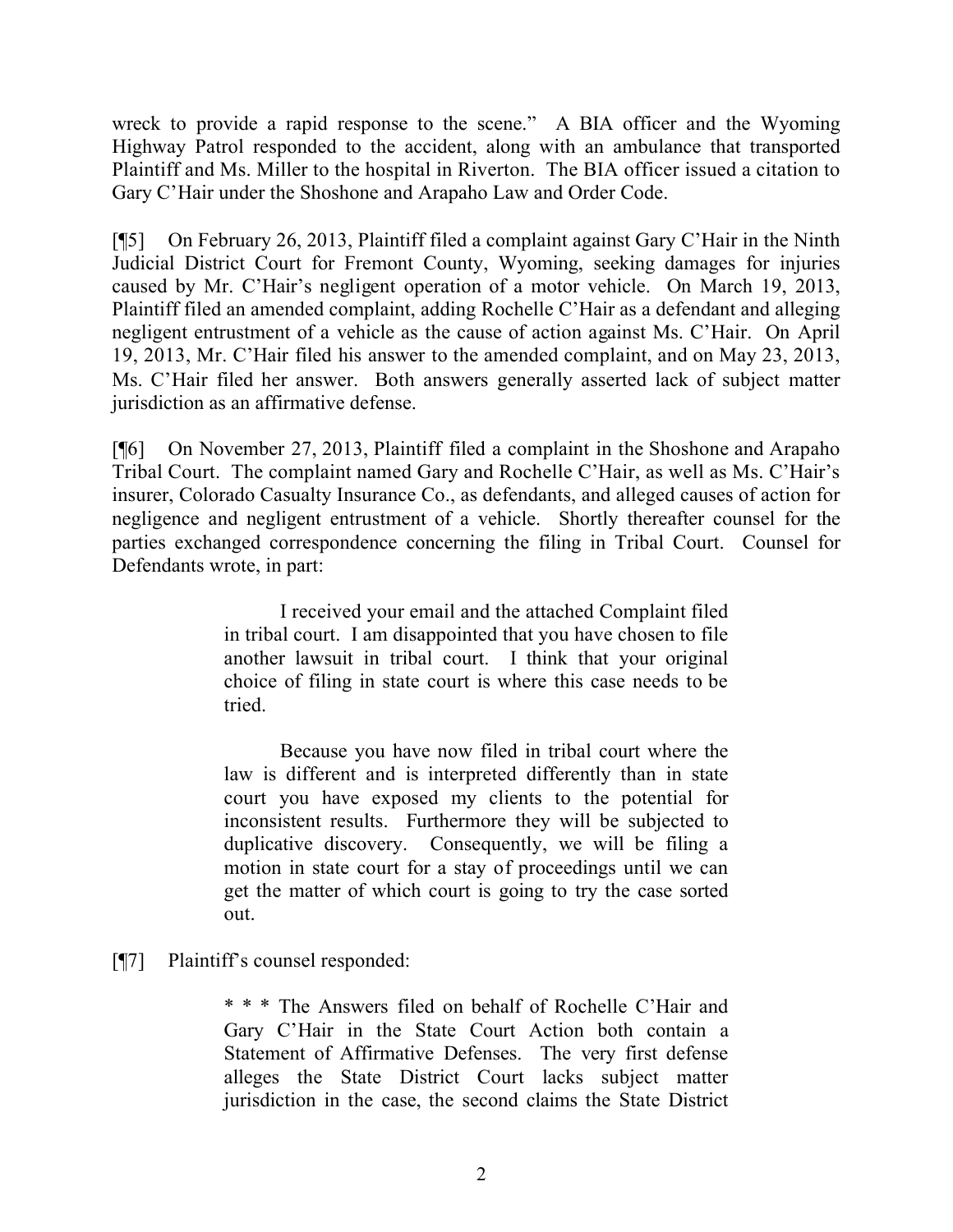wreck to provide a rapid response to the scene." A BIA officer and the Wyoming Highway Patrol responded to the accident, along with an ambulance that transported Plaintiff and Ms. Miller to the hospital in Riverton. The BIA officer issued a citation to Gary C'Hair under the Shoshone and Arapaho Law and Order Code.

[¶5] On February 26, 2013, Plaintiff filed a complaint against Gary C'Hair in the Ninth Judicial District Court for Fremont County, Wyoming, seeking damages for injuries caused by Mr. C'Hair's negligent operation of a motor vehicle. On March 19, 2013, Plaintiff filed an amended complaint, adding Rochelle C'Hair as a defendant and alleging negligent entrustment of a vehicle as the cause of action against Ms. C'Hair. On April 19, 2013, Mr. C'Hair filed his answer to the amended complaint, and on May 23, 2013, Ms. C'Hair filed her answer. Both answers generally asserted lack of subject matter jurisdiction as an affirmative defense.

[¶6] On November 27, 2013, Plaintiff filed a complaint in the Shoshone and Arapaho Tribal Court. The complaint named Gary and Rochelle C'Hair, as well as Ms. C'Hair's insurer, Colorado Casualty Insurance Co., as defendants, and alleged causes of action for negligence and negligent entrustment of a vehicle. Shortly thereafter counsel for the parties exchanged correspondence concerning the filing in Tribal Court. Counsel for Defendants wrote, in part:

> I received your email and the attached Complaint filed in tribal court. I am disappointed that you have chosen to file another lawsuit in tribal court. I think that your original choice of filing in state court is where this case needs to be tried.

> Because you have now filed in tribal court where the law is different and is interpreted differently than in state court you have exposed my clients to the potential for inconsistent results. Furthermore they will be subjected to duplicative discovery. Consequently, we will be filing a motion in state court for a stay of proceedings until we can get the matter of which court is going to try the case sorted out.

[¶7] Plaintiff's counsel responded:

\* \* \* The Answers filed on behalf of Rochelle C'Hair and Gary C'Hair in the State Court Action both contain a Statement of Affirmative Defenses. The very first defense alleges the State District Court lacks subject matter jurisdiction in the case, the second claims the State District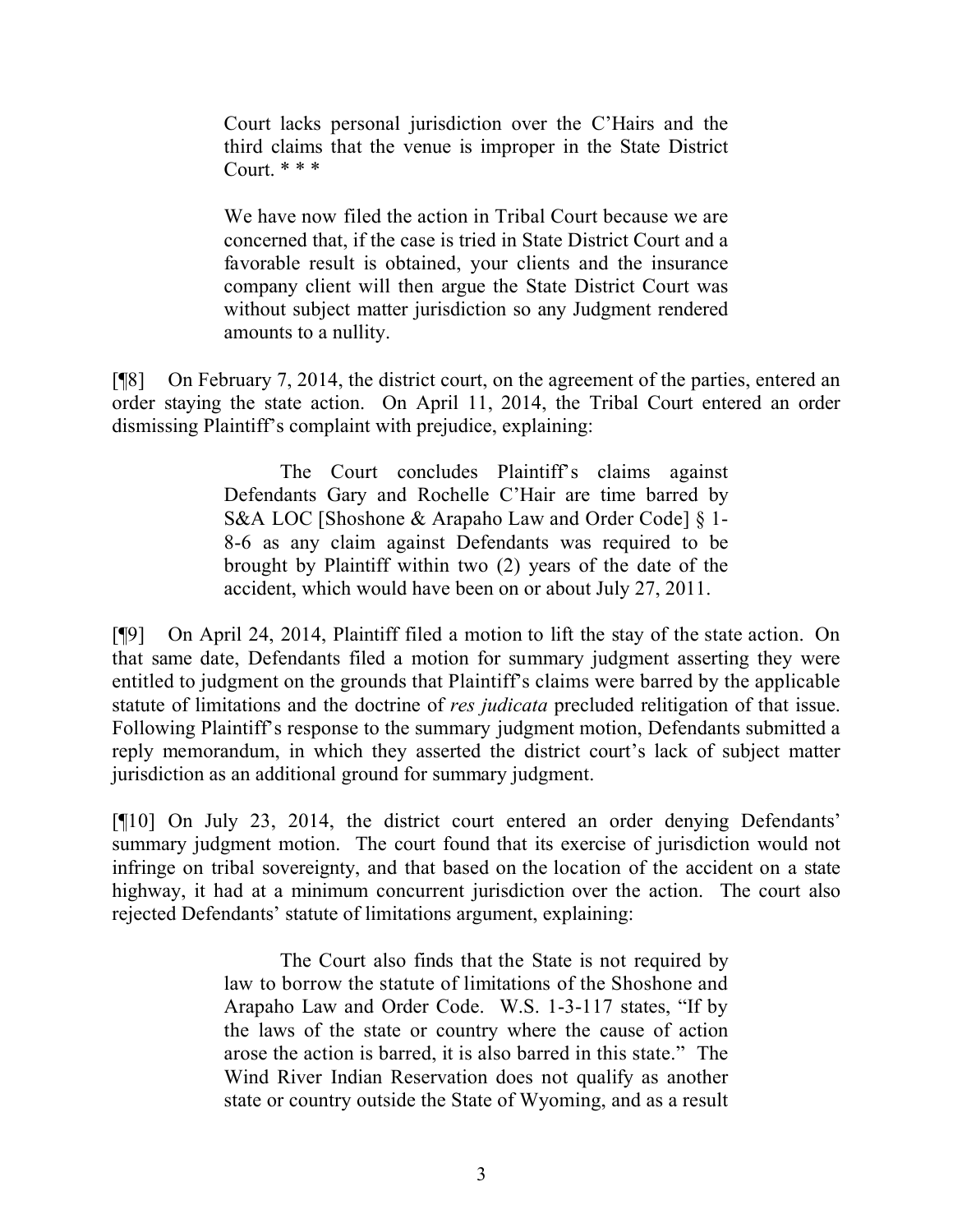Court lacks personal jurisdiction over the C'Hairs and the third claims that the venue is improper in the State District Court.  $***$ 

We have now filed the action in Tribal Court because we are concerned that, if the case is tried in State District Court and a favorable result is obtained, your clients and the insurance company client will then argue the State District Court was without subject matter jurisdiction so any Judgment rendered amounts to a nullity.

[¶8] On February 7, 2014, the district court, on the agreement of the parties, entered an order staying the state action. On April 11, 2014, the Tribal Court entered an order dismissing Plaintiff's complaint with prejudice, explaining:

> The Court concludes Plaintiff's claims against Defendants Gary and Rochelle C'Hair are time barred by S&A LOC [Shoshone & Arapaho Law and Order Code] § 1- 8-6 as any claim against Defendants was required to be brought by Plaintiff within two (2) years of the date of the accident, which would have been on or about July 27, 2011.

[¶9] On April 24, 2014, Plaintiff filed a motion to lift the stay of the state action. On that same date, Defendants filed a motion for summary judgment asserting they were entitled to judgment on the grounds that Plaintiff's claims were barred by the applicable statute of limitations and the doctrine of *res judicata* precluded relitigation of that issue. Following Plaintiff's response to the summary judgment motion, Defendants submitted a reply memorandum, in which they asserted the district court's lack of subject matter jurisdiction as an additional ground for summary judgment.

[¶10] On July 23, 2014, the district court entered an order denying Defendants' summary judgment motion. The court found that its exercise of jurisdiction would not infringe on tribal sovereignty, and that based on the location of the accident on a state highway, it had at a minimum concurrent jurisdiction over the action. The court also rejected Defendants' statute of limitations argument, explaining:

> The Court also finds that the State is not required by law to borrow the statute of limitations of the Shoshone and Arapaho Law and Order Code. W.S. 1-3-117 states, "If by the laws of the state or country where the cause of action arose the action is barred, it is also barred in this state." The Wind River Indian Reservation does not qualify as another state or country outside the State of Wyoming, and as a result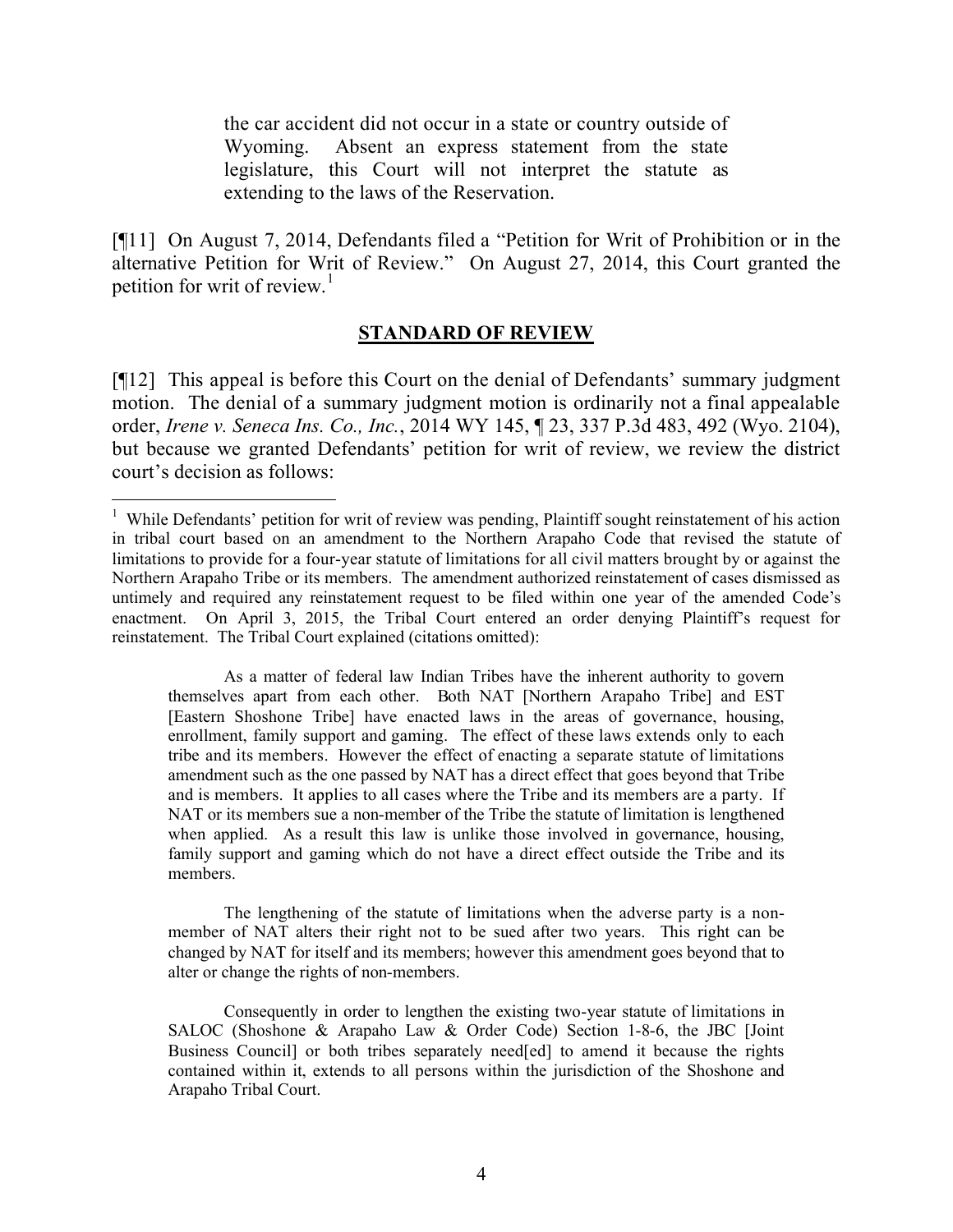the car accident did not occur in a state or country outside of Wyoming. Absent an express statement from the state legislature, this Court will not interpret the statute as extending to the laws of the Reservation.

[¶11] On August 7, 2014, Defendants filed a "Petition for Writ of Prohibition or in the alternative Petition for Writ of Review." On August 27, 2014, this Court granted the petition for writ of review.<sup>1</sup>

#### **STANDARD OF REVIEW**

[¶12] This appeal is before this Court on the denial of Defendants' summary judgment motion. The denial of a summary judgment motion is ordinarily not a final appealable order, *Irene v. Seneca Ins. Co., Inc.*, 2014 WY 145, ¶ 23, 337 P.3d 483, 492 (Wyo. 2104), but because we granted Defendants' petition for writ of review, we review the district court's decision as follows:

As a matter of federal law Indian Tribes have the inherent authority to govern themselves apart from each other. Both NAT [Northern Arapaho Tribe] and EST [Eastern Shoshone Tribe] have enacted laws in the areas of governance, housing, enrollment, family support and gaming. The effect of these laws extends only to each tribe and its members. However the effect of enacting a separate statute of limitations amendment such as the one passed by NAT has a direct effect that goes beyond that Tribe and is members. It applies to all cases where the Tribe and its members are a party. If NAT or its members sue a non-member of the Tribe the statute of limitation is lengthened when applied. As a result this law is unlike those involved in governance, housing, family support and gaming which do not have a direct effect outside the Tribe and its members.

The lengthening of the statute of limitations when the adverse party is a nonmember of NAT alters their right not to be sued after two years. This right can be changed by NAT for itself and its members; however this amendment goes beyond that to alter or change the rights of non-members.

Consequently in order to lengthen the existing two-year statute of limitations in SALOC (Shoshone & Arapaho Law & Order Code) Section 1-8-6, the JBC [Joint Business Council] or both tribes separately need[ed] to amend it because the rights contained within it, extends to all persons within the jurisdiction of the Shoshone and Arapaho Tribal Court.

<sup>&</sup>lt;sup>1</sup> While Defendants' petition for writ of review was pending, Plaintiff sought reinstatement of his action in tribal court based on an amendment to the Northern Arapaho Code that revised the statute of limitations to provide for a four-year statute of limitations for all civil matters brought by or against the Northern Arapaho Tribe or its members. The amendment authorized reinstatement of cases dismissed as untimely and required any reinstatement request to be filed within one year of the amended Code's enactment. On April 3, 2015, the Tribal Court entered an order denying Plaintiff's request for reinstatement. The Tribal Court explained (citations omitted):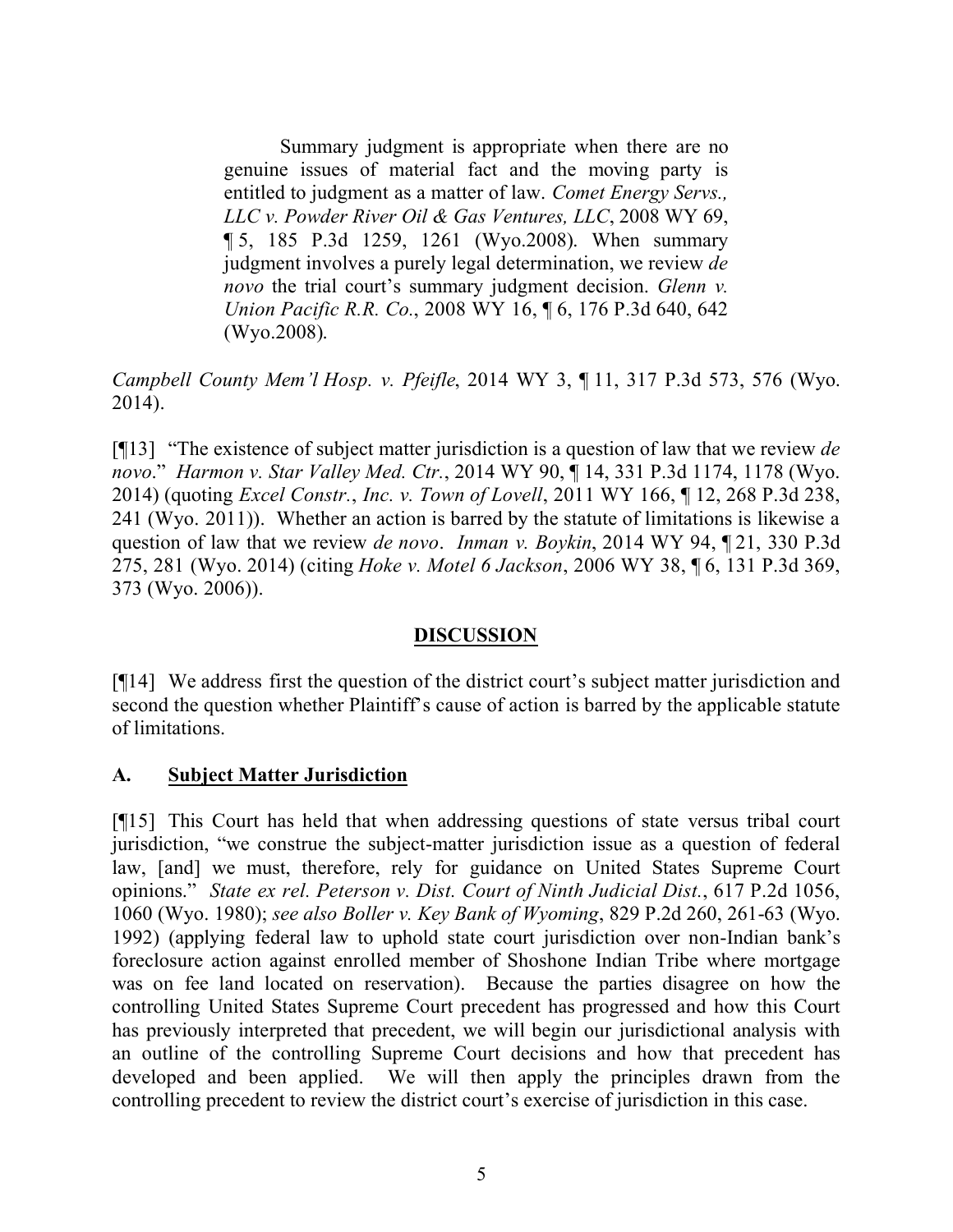Summary judgment is appropriate when there are no genuine issues of material fact and the moving party is entitled to judgment as a matter of law. *Comet Energy Servs., LLC v. Powder River Oil & Gas Ventures, LLC*, 2008 WY 69, ¶ 5, 185 P.3d 1259, 1261 (Wyo.2008). When summary judgment involves a purely legal determination, we review *de novo* the trial court's summary judgment decision. *Glenn v. Union Pacific R.R. Co.*, 2008 WY 16, ¶ 6, 176 P.3d 640, 642 (Wyo.2008).

*Campbell County Mem'l Hosp. v. Pfeifle*, 2014 WY 3, ¶ 11, 317 P.3d 573, 576 (Wyo. 2014).

[¶13] "The existence of subject matter jurisdiction is a question of law that we review *de novo*." *Harmon v. Star Valley Med. Ctr.*, 2014 WY 90, ¶ 14, 331 P.3d 1174, 1178 (Wyo. 2014) (quoting *Excel Constr.*, *Inc. v. Town of Lovell*, 2011 WY 166, ¶ 12, 268 P.3d 238, 241 (Wyo. 2011)). Whether an action is barred by the statute of limitations is likewise a question of law that we review *de novo*. *Inman v. Boykin*, 2014 WY 94, ¶ 21, 330 P.3d 275, 281 (Wyo. 2014) (citing *Hoke v. Motel 6 Jackson*, 2006 WY 38, ¶ 6, 131 P.3d 369, 373 (Wyo. 2006)).

## **DISCUSSION**

[¶14] We address first the question of the district court's subject matter jurisdiction and second the question whether Plaintiff's cause of action is barred by the applicable statute of limitations.

## **A. Subject Matter Jurisdiction**

[¶15] This Court has held that when addressing questions of state versus tribal court jurisdiction, "we construe the subject-matter jurisdiction issue as a question of federal law, [and] we must, therefore, rely for guidance on United States Supreme Court opinions." *State ex rel. Peterson v. Dist. Court of Ninth Judicial Dist.*, 617 P.2d 1056, 1060 (Wyo. 1980); *see also Boller v. Key Bank of Wyoming*, 829 P.2d 260, 261-63 (Wyo. 1992) (applying federal law to uphold state court jurisdiction over non-Indian bank's foreclosure action against enrolled member of Shoshone Indian Tribe where mortgage was on fee land located on reservation). Because the parties disagree on how the controlling United States Supreme Court precedent has progressed and how this Court has previously interpreted that precedent, we will begin our jurisdictional analysis with an outline of the controlling Supreme Court decisions and how that precedent has developed and been applied. We will then apply the principles drawn from the controlling precedent to review the district court's exercise of jurisdiction in this case.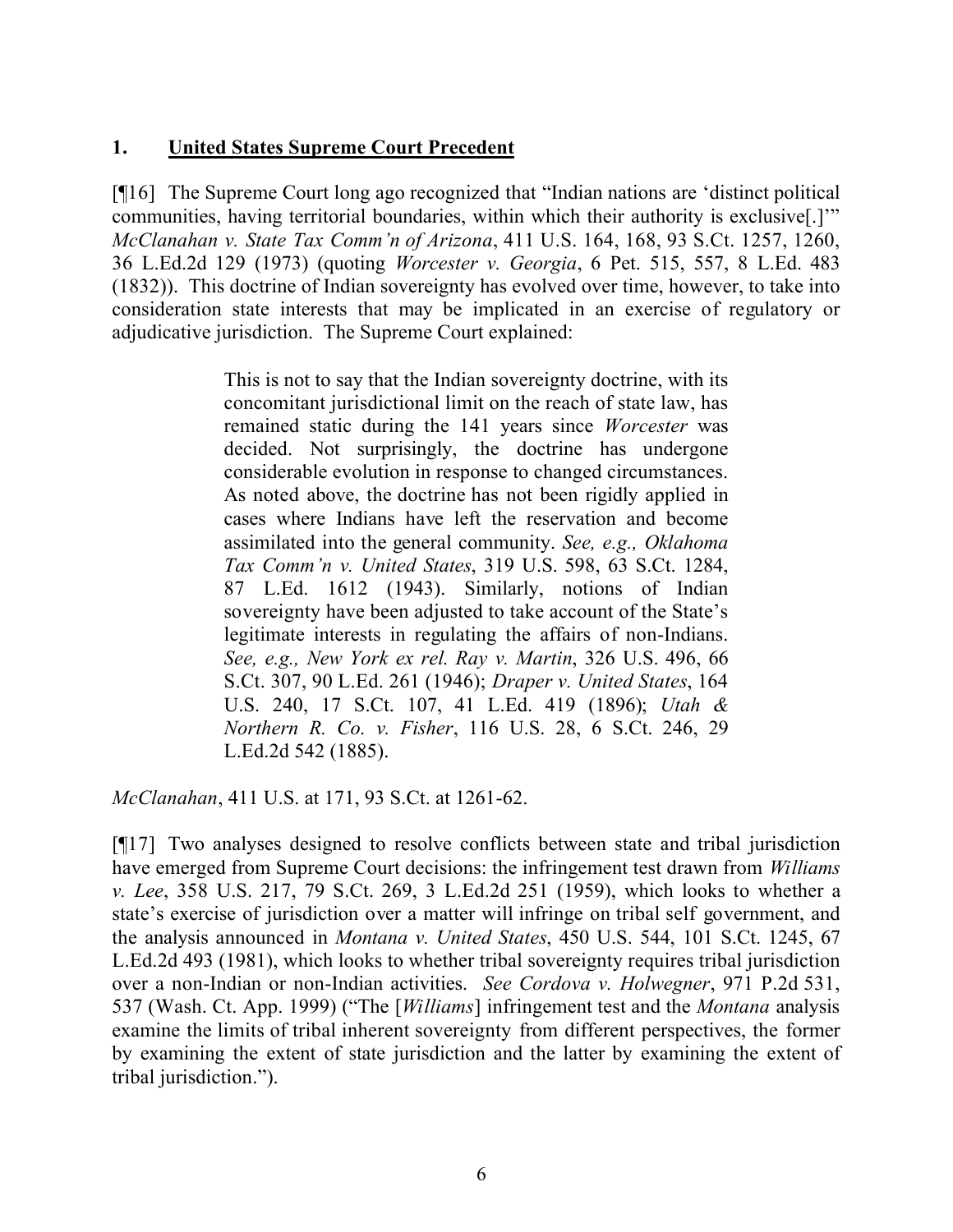## **1. United States Supreme Court Precedent**

[¶16] The Supreme Court long ago recognized that "Indian nations are 'distinct political communities, having territorial boundaries, within which their authority is exclusive[.]'" *McClanahan v. State Tax Comm'n of Arizona*, 411 U.S. 164, 168, 93 S.Ct. 1257, 1260, 36 L.Ed.2d 129 (1973) (quoting *Worcester v. Georgia*, 6 Pet. 515, 557, 8 L.Ed. 483 (1832)). This doctrine of Indian sovereignty has evolved over time, however, to take into consideration state interests that may be implicated in an exercise of regulatory or adjudicative jurisdiction. The Supreme Court explained:

> This is not to say that the Indian sovereignty doctrine, with its concomitant jurisdictional limit on the reach of state law, has remained static during the 141 years since *Worcester* was decided. Not surprisingly, the doctrine has undergone considerable evolution in response to changed circumstances. As noted above, the doctrine has not been rigidly applied in cases where Indians have left the reservation and become assimilated into the general community. *See, e.g., Oklahoma Tax Comm'n v. United States*, 319 U.S. 598, 63 S.Ct. 1284, 87 L.Ed. 1612 (1943). Similarly, notions of Indian sovereignty have been adjusted to take account of the State's legitimate interests in regulating the affairs of non-Indians. *See, e.g., New York ex rel. Ray v. Martin*, 326 U.S. 496, 66 S.Ct. 307, 90 L.Ed. 261 (1946); *Draper v. United States*, 164 U.S. 240, 17 S.Ct. 107, 41 L.Ed. 419 (1896); *Utah & Northern R. Co. v. Fisher*, 116 U.S. 28, 6 S.Ct. 246, 29 L.Ed.2d 542 (1885).

*McClanahan*, 411 U.S. at 171, 93 S.Ct. at 1261-62.

[¶17] Two analyses designed to resolve conflicts between state and tribal jurisdiction have emerged from Supreme Court decisions: the infringement test drawn from *Williams v. Lee*, 358 U.S. 217, 79 S.Ct. 269, 3 L.Ed.2d 251 (1959), which looks to whether a state's exercise of jurisdiction over a matter will infringe on tribal self government, and the analysis announced in *Montana v. United States*, 450 U.S. 544, 101 S.Ct. 1245, 67 L.Ed.2d 493 (1981), which looks to whether tribal sovereignty requires tribal jurisdiction over a non-Indian or non-Indian activities. *See Cordova v. Holwegner*, 971 P.2d 531, 537 (Wash. Ct. App. 1999) ("The [*Williams*] infringement test and the *Montana* analysis examine the limits of tribal inherent sovereignty from different perspectives, the former by examining the extent of state jurisdiction and the latter by examining the extent of tribal jurisdiction.").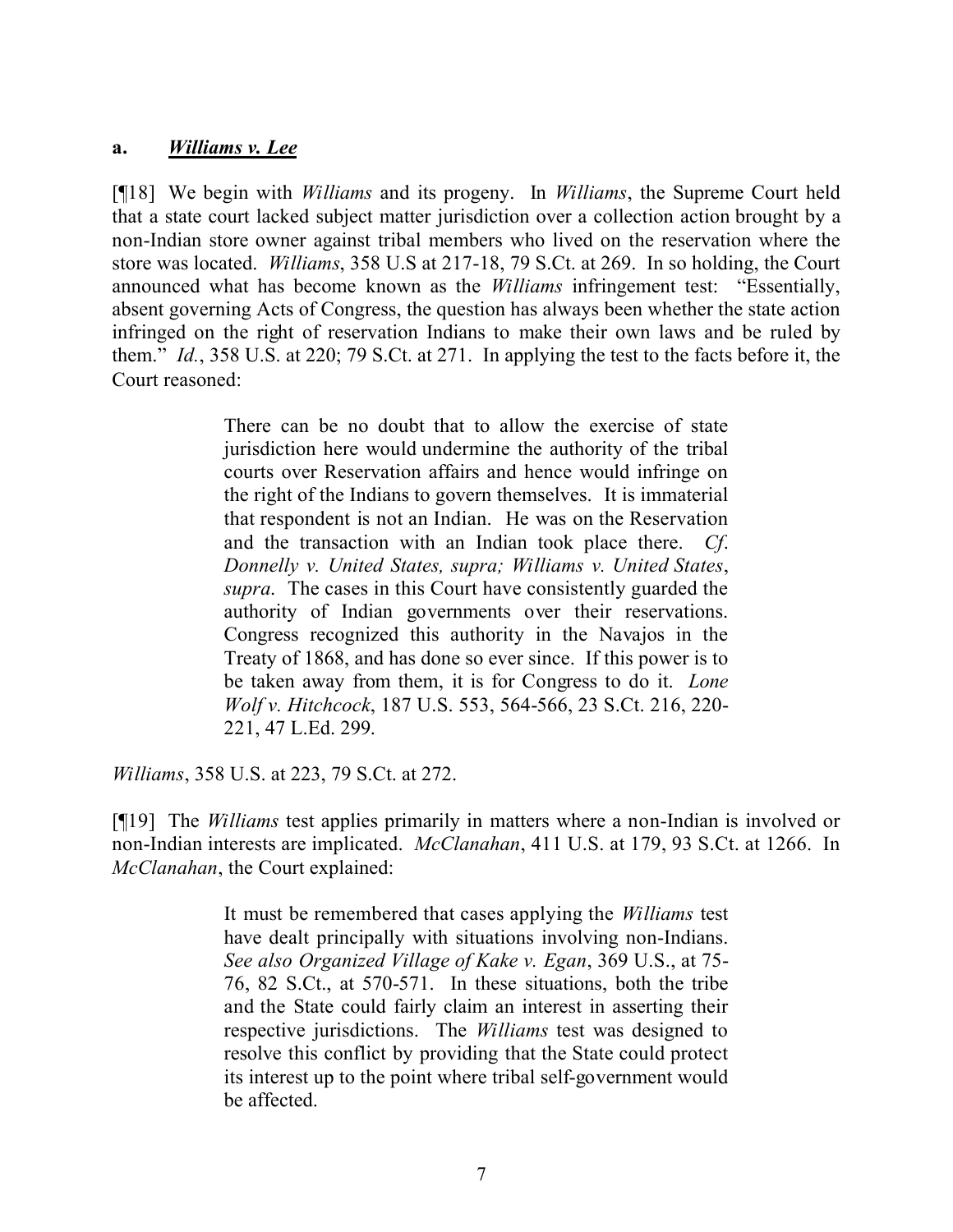#### **a.** *Williams v. Lee*

[¶18] We begin with *Williams* and its progeny. In *Williams*, the Supreme Court held that a state court lacked subject matter jurisdiction over a collection action brought by a non-Indian store owner against tribal members who lived on the reservation where the store was located. *Williams*, 358 U.S at 217-18, 79 S.Ct. at 269. In so holding, the Court announced what has become known as the *Williams* infringement test: "Essentially, absent governing Acts of Congress, the question has always been whether the state action infringed on the right of reservation Indians to make their own laws and be ruled by them." *Id.*, 358 U.S. at 220; 79 S.Ct. at 271. In applying the test to the facts before it, the Court reasoned:

> There can be no doubt that to allow the exercise of state jurisdiction here would undermine the authority of the tribal courts over Reservation affairs and hence would infringe on the right of the Indians to govern themselves. It is immaterial that respondent is not an Indian. He was on the Reservation and the transaction with an Indian took place there. *Cf*. *Donnelly v. United States, supra; Williams v. United States*, *supra*. The cases in this Court have consistently guarded the authority of Indian governments over their reservations. Congress recognized this authority in the Navajos in the Treaty of 1868, and has done so ever since. If this power is to be taken away from them, it is for Congress to do it. *Lone Wolf v. Hitchcock*, 187 U.S. 553, 564-566, 23 S.Ct. 216, 220- 221, 47 L.Ed. 299.

*Williams*, 358 U.S. at 223, 79 S.Ct. at 272.

[¶19] The *Williams* test applies primarily in matters where a non-Indian is involved or non-Indian interests are implicated. *McClanahan*, 411 U.S. at 179, 93 S.Ct. at 1266. In *McClanahan*, the Court explained:

> It must be remembered that cases applying the *Williams* test have dealt principally with situations involving non-Indians. *See also Organized Village of Kake v. Egan*, 369 U.S., at 75- 76, 82 S.Ct., at 570-571. In these situations, both the tribe and the State could fairly claim an interest in asserting their respective jurisdictions. The *Williams* test was designed to resolve this conflict by providing that the State could protect its interest up to the point where tribal self-government would be affected.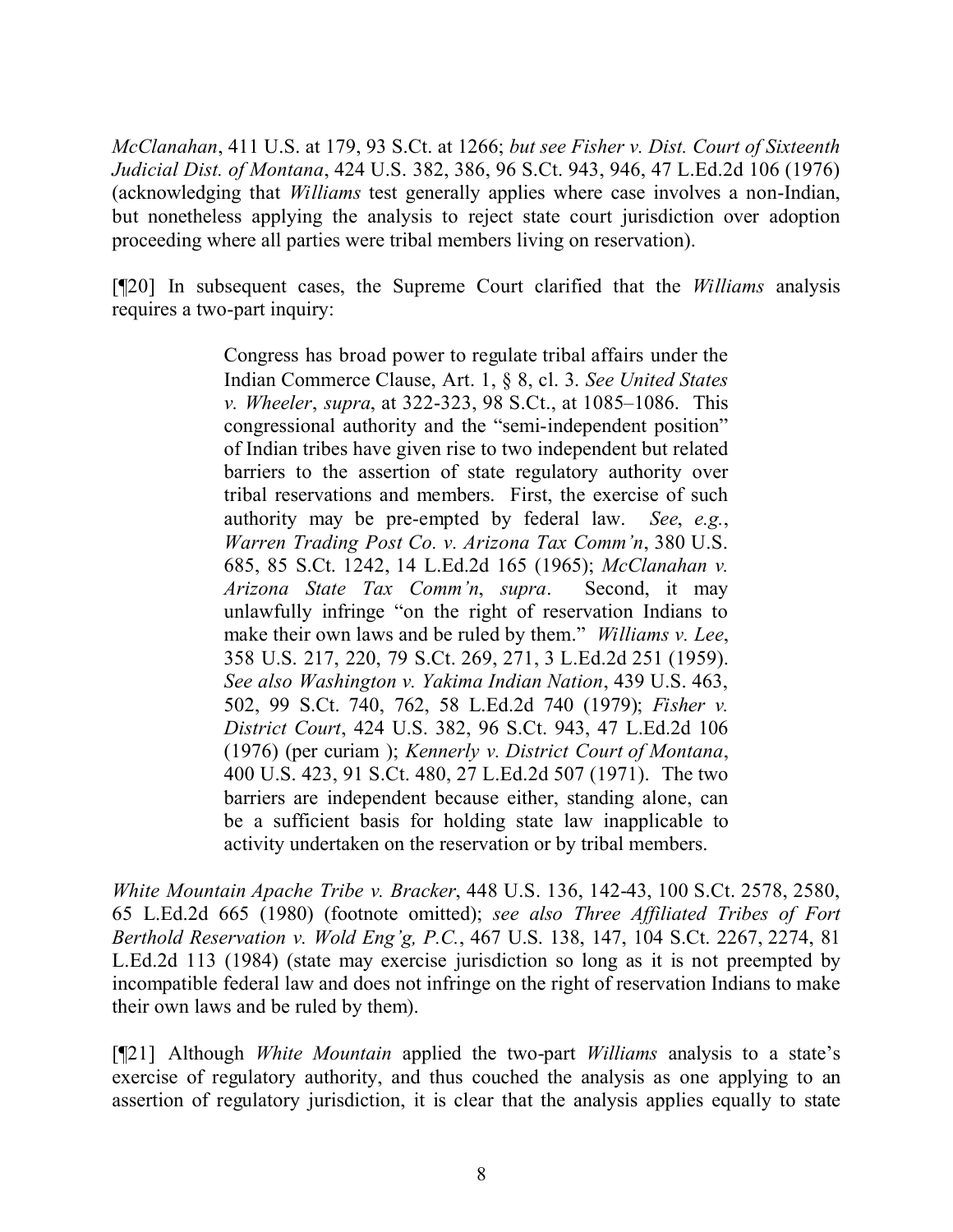*McClanahan*, 411 U.S. at 179, 93 S.Ct. at 1266; *but see Fisher v. Dist. Court of Sixteenth Judicial Dist. of Montana*, 424 U.S. 382, 386, 96 S.Ct. 943, 946, 47 L.Ed.2d 106 (1976) (acknowledging that *Williams* test generally applies where case involves a non-Indian, but nonetheless applying the analysis to reject state court jurisdiction over adoption proceeding where all parties were tribal members living on reservation).

[¶20] In subsequent cases, the Supreme Court clarified that the *Williams* analysis requires a two-part inquiry:

> Congress has broad power to regulate tribal affairs under the Indian Commerce Clause, Art. 1, § 8, cl. 3. *See United States v. Wheeler*, *supra*, at 322-323, 98 S.Ct., at 1085–1086. This congressional authority and the "semi-independent position" of Indian tribes have given rise to two independent but related barriers to the assertion of state regulatory authority over tribal reservations and members. First, the exercise of such authority may be pre-empted by federal law. *See*, *e.g.*, *Warren Trading Post Co. v. Arizona Tax Comm'n*, 380 U.S. 685, 85 S.Ct. 1242, 14 L.Ed.2d 165 (1965); *McClanahan v. Arizona State Tax Comm'n*, *supra*. Second, it may unlawfully infringe "on the right of reservation Indians to make their own laws and be ruled by them." *Williams v. Lee*, 358 U.S. 217, 220, 79 S.Ct. 269, 271, 3 L.Ed.2d 251 (1959). *See also Washington v. Yakima Indian Nation*, 439 U.S. 463, 502, 99 S.Ct. 740, 762, 58 L.Ed.2d 740 (1979); *Fisher v. District Court*, 424 U.S. 382, 96 S.Ct. 943, 47 L.Ed.2d 106 (1976) (per curiam ); *Kennerly v. District Court of Montana*, 400 U.S. 423, 91 S.Ct. 480, 27 L.Ed.2d 507 (1971). The two barriers are independent because either, standing alone, can be a sufficient basis for holding state law inapplicable to activity undertaken on the reservation or by tribal members.

*White Mountain Apache Tribe v. Bracker*, 448 U.S. 136, 142-43, 100 S.Ct. 2578, 2580, 65 L.Ed.2d 665 (1980) (footnote omitted); *see also Three Affiliated Tribes of Fort Berthold Reservation v. Wold Eng'g, P.C.*, 467 U.S. 138, 147, 104 S.Ct. 2267, 2274, 81 L.Ed.2d 113 (1984) (state may exercise jurisdiction so long as it is not preempted by incompatible federal law and does not infringe on the right of reservation Indians to make their own laws and be ruled by them).

[¶21] Although *White Mountain* applied the two-part *Williams* analysis to a state's exercise of regulatory authority, and thus couched the analysis as one applying to an assertion of regulatory jurisdiction, it is clear that the analysis applies equally to state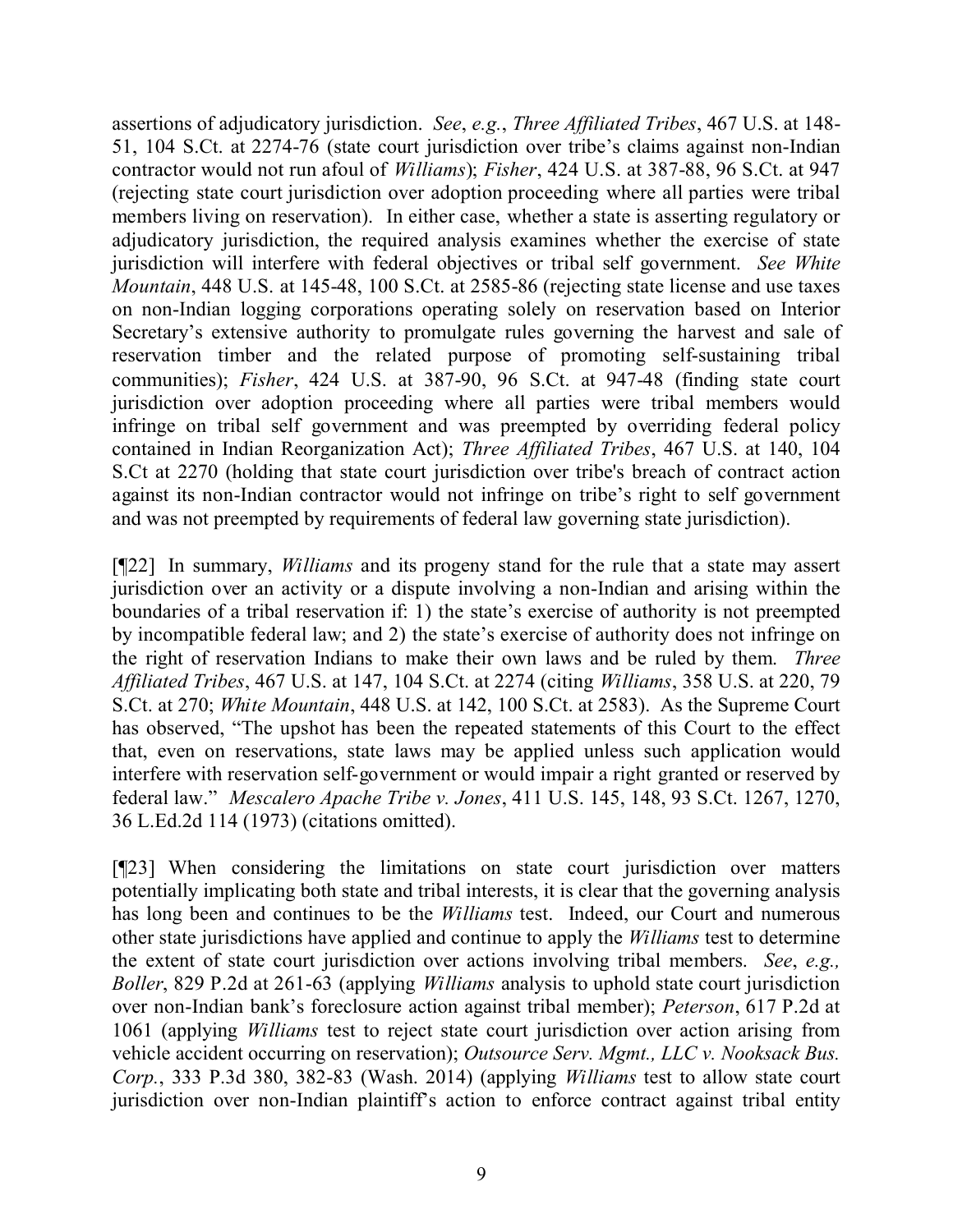assertions of adjudicatory jurisdiction. *See*, *e.g.*, *Three Affiliated Tribes*, 467 U.S. at 148- 51, 104 S.Ct. at 2274-76 (state court jurisdiction over tribe's claims against non-Indian contractor would not run afoul of *Williams*); *Fisher*, 424 U.S. at 387-88, 96 S.Ct. at 947 (rejecting state court jurisdiction over adoption proceeding where all parties were tribal members living on reservation). In either case, whether a state is asserting regulatory or adjudicatory jurisdiction, the required analysis examines whether the exercise of state jurisdiction will interfere with federal objectives or tribal self government. *See White Mountain*, 448 U.S. at 145-48, 100 S.Ct. at 2585-86 (rejecting state license and use taxes on non-Indian logging corporations operating solely on reservation based on Interior Secretary's extensive authority to promulgate rules governing the harvest and sale of reservation timber and the related purpose of promoting self-sustaining tribal communities); *Fisher*, 424 U.S. at 387-90, 96 S.Ct. at 947-48 (finding state court jurisdiction over adoption proceeding where all parties were tribal members would infringe on tribal self government and was preempted by overriding federal policy contained in Indian Reorganization Act); *Three Affiliated Tribes*, 467 U.S. at 140, 104 S.Ct at 2270 (holding that state court jurisdiction over tribe's breach of contract action against its non-Indian contractor would not infringe on tribe's right to self government and was not preempted by requirements of federal law governing state jurisdiction).

[¶22] In summary, *Williams* and its progeny stand for the rule that a state may assert jurisdiction over an activity or a dispute involving a non-Indian and arising within the boundaries of a tribal reservation if: 1) the state's exercise of authority is not preempted by incompatible federal law; and 2) the state's exercise of authority does not infringe on the right of reservation Indians to make their own laws and be ruled by them. *Three Affiliated Tribes*, 467 U.S. at 147, 104 S.Ct. at 2274 (citing *Williams*, 358 U.S. at 220, 79 S.Ct. at 270; *White Mountain*, 448 U.S. at 142, 100 S.Ct. at 2583). As the Supreme Court has observed, "The upshot has been the repeated statements of this Court to the effect that, even on reservations, state laws may be applied unless such application would interfere with reservation self-government or would impair a right granted or reserved by federal law." *Mescalero Apache Tribe v. Jones*, 411 U.S. 145, 148, 93 S.Ct. 1267, 1270, 36 L.Ed.2d 114 (1973) (citations omitted).

[¶23] When considering the limitations on state court jurisdiction over matters potentially implicating both state and tribal interests, it is clear that the governing analysis has long been and continues to be the *Williams* test. Indeed, our Court and numerous other state jurisdictions have applied and continue to apply the *Williams* test to determine the extent of state court jurisdiction over actions involving tribal members. *See*, *e.g., Boller*, 829 P.2d at 261-63 (applying *Williams* analysis to uphold state court jurisdiction over non-Indian bank's foreclosure action against tribal member); *Peterson*, 617 P.2d at 1061 (applying *Williams* test to reject state court jurisdiction over action arising from vehicle accident occurring on reservation); *Outsource Serv. Mgmt., LLC v. Nooksack Bus. Corp.*, 333 P.3d 380, 382-83 (Wash. 2014) (applying *Williams* test to allow state court jurisdiction over non-Indian plaintiff's action to enforce contract against tribal entity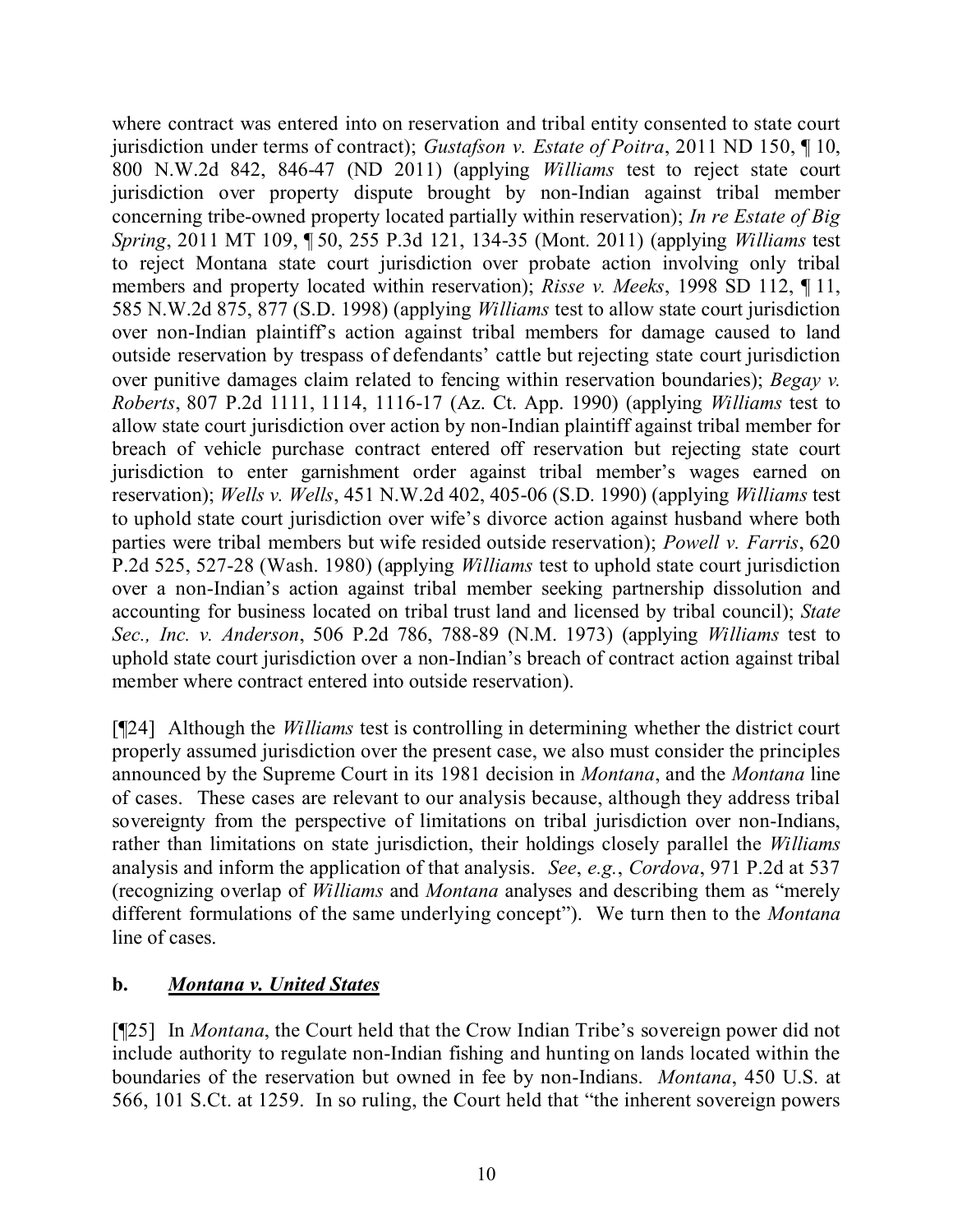where contract was entered into on reservation and tribal entity consented to state court jurisdiction under terms of contract); *Gustafson v. Estate of Poitra*, 2011 ND 150, ¶ 10, 800 N.W.2d 842, 846-47 (ND 2011) (applying *Williams* test to reject state court jurisdiction over property dispute brought by non-Indian against tribal member concerning tribe-owned property located partially within reservation); *In re Estate of Big Spring*, 2011 MT 109, ¶ 50, 255 P.3d 121, 134-35 (Mont. 2011) (applying *Williams* test to reject Montana state court jurisdiction over probate action involving only tribal members and property located within reservation); *Risse v. Meeks*, 1998 SD 112, ¶ 11, 585 N.W.2d 875, 877 (S.D. 1998) (applying *Williams* test to allow state court jurisdiction over non-Indian plaintiff's action against tribal members for damage caused to land outside reservation by trespass of defendants' cattle but rejecting state court jurisdiction over punitive damages claim related to fencing within reservation boundaries); *Begay v. Roberts*, 807 P.2d 1111, 1114, 1116-17 (Az. Ct. App. 1990) (applying *Williams* test to allow state court jurisdiction over action by non-Indian plaintiff against tribal member for breach of vehicle purchase contract entered off reservation but rejecting state court jurisdiction to enter garnishment order against tribal member's wages earned on reservation); *Wells v. Wells*, 451 N.W.2d 402, 405-06 (S.D. 1990) (applying *Williams* test to uphold state court jurisdiction over wife's divorce action against husband where both parties were tribal members but wife resided outside reservation); *Powell v. Farris*, 620 P.2d 525, 527-28 (Wash. 1980) (applying *Williams* test to uphold state court jurisdiction over a non-Indian's action against tribal member seeking partnership dissolution and accounting for business located on tribal trust land and licensed by tribal council); *State Sec., Inc. v. Anderson*, 506 P.2d 786, 788-89 (N.M. 1973) (applying *Williams* test to uphold state court jurisdiction over a non-Indian's breach of contract action against tribal member where contract entered into outside reservation).

[¶24] Although the *Williams* test is controlling in determining whether the district court properly assumed jurisdiction over the present case, we also must consider the principles announced by the Supreme Court in its 1981 decision in *Montana*, and the *Montana* line of cases. These cases are relevant to our analysis because, although they address tribal sovereignty from the perspective of limitations on tribal jurisdiction over non-Indians, rather than limitations on state jurisdiction, their holdings closely parallel the *Williams* analysis and inform the application of that analysis. *See*, *e.g.*, *Cordova*, 971 P.2d at 537 (recognizing overlap of *Williams* and *Montana* analyses and describing them as "merely different formulations of the same underlying concept"). We turn then to the *Montana* line of cases.

# **b.** *Montana v. United States*

[¶25] In *Montana*, the Court held that the Crow Indian Tribe's sovereign power did not include authority to regulate non-Indian fishing and hunting on lands located within the boundaries of the reservation but owned in fee by non-Indians. *Montana*, 450 U.S. at 566, 101 S.Ct. at 1259. In so ruling, the Court held that "the inherent sovereign powers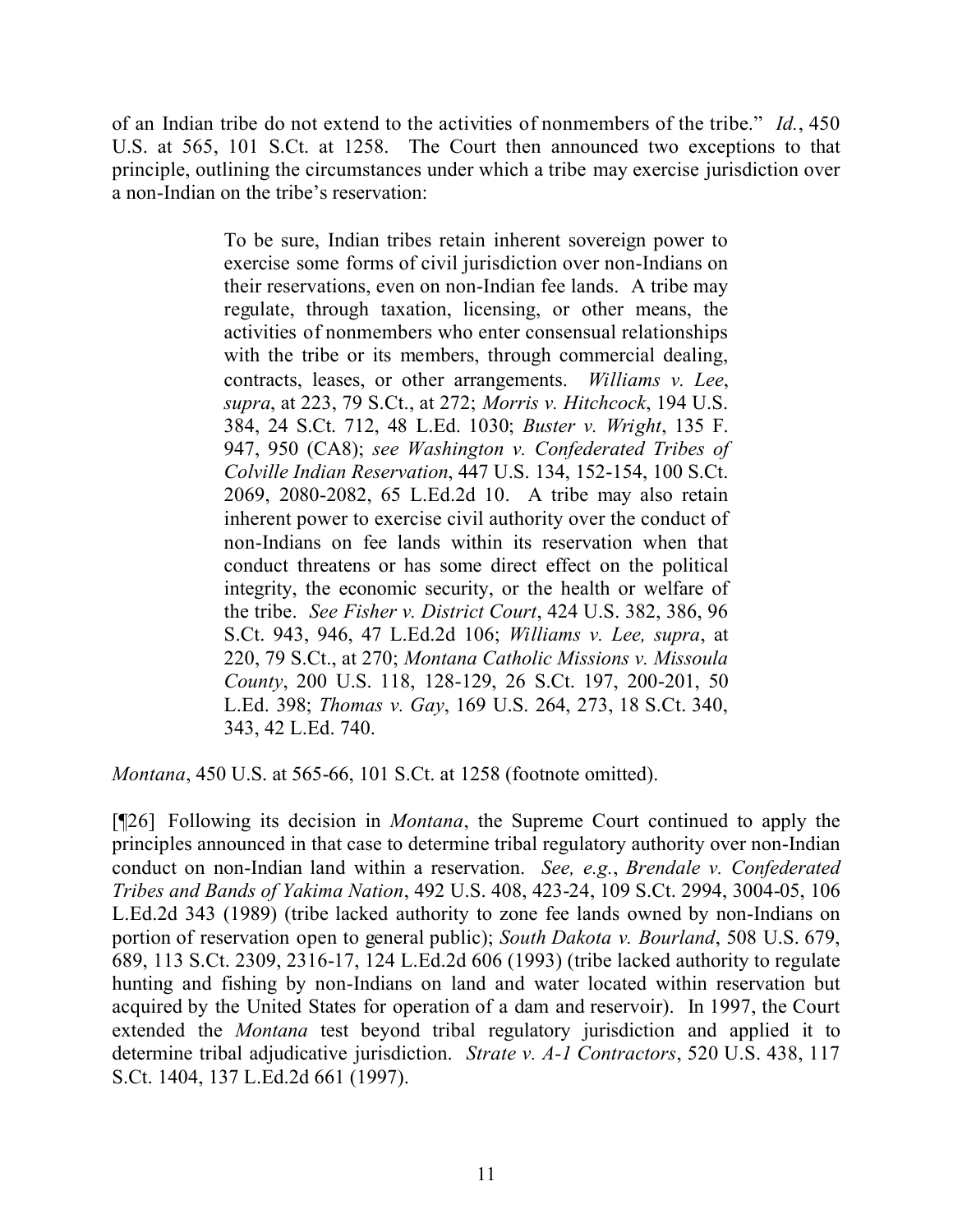of an Indian tribe do not extend to the activities of nonmembers of the tribe." *Id.*, 450 U.S. at 565, 101 S.Ct. at 1258. The Court then announced two exceptions to that principle, outlining the circumstances under which a tribe may exercise jurisdiction over a non-Indian on the tribe's reservation:

> To be sure, Indian tribes retain inherent sovereign power to exercise some forms of civil jurisdiction over non-Indians on their reservations, even on non-Indian fee lands. A tribe may regulate, through taxation, licensing, or other means, the activities of nonmembers who enter consensual relationships with the tribe or its members, through commercial dealing, contracts, leases, or other arrangements. *Williams v. Lee*, *supra*, at 223, 79 S.Ct., at 272; *Morris v. Hitchcock*, 194 U.S. 384, 24 S.Ct. 712, 48 L.Ed. 1030; *Buster v. Wright*, 135 F. 947, 950 (CA8); *see Washington v. Confederated Tribes of Colville Indian Reservation*, 447 U.S. 134, 152-154, 100 S.Ct. 2069, 2080-2082, 65 L.Ed.2d 10. A tribe may also retain inherent power to exercise civil authority over the conduct of non-Indians on fee lands within its reservation when that conduct threatens or has some direct effect on the political integrity, the economic security, or the health or welfare of the tribe. *See Fisher v. District Court*, 424 U.S. 382, 386, 96 S.Ct. 943, 946, 47 L.Ed.2d 106; *Williams v. Lee, supra*, at 220, 79 S.Ct., at 270; *Montana Catholic Missions v. Missoula County*, 200 U.S. 118, 128-129, 26 S.Ct. 197, 200-201, 50 L.Ed. 398; *Thomas v. Gay*, 169 U.S. 264, 273, 18 S.Ct. 340, 343, 42 L.Ed. 740.

*Montana*, 450 U.S. at 565-66, 101 S.Ct. at 1258 (footnote omitted).

[¶26] Following its decision in *Montana*, the Supreme Court continued to apply the principles announced in that case to determine tribal regulatory authority over non-Indian conduct on non-Indian land within a reservation. *See, e.g.*, *Brendale v. Confederated Tribes and Bands of Yakima Nation*, 492 U.S. 408, 423-24, 109 S.Ct. 2994, 3004-05, 106 L.Ed.2d 343 (1989) (tribe lacked authority to zone fee lands owned by non-Indians on portion of reservation open to general public); *South Dakota v. Bourland*, 508 U.S. 679, 689, 113 S.Ct. 2309, 2316-17, 124 L.Ed.2d 606 (1993) (tribe lacked authority to regulate hunting and fishing by non-Indians on land and water located within reservation but acquired by the United States for operation of a dam and reservoir). In 1997, the Court extended the *Montana* test beyond tribal regulatory jurisdiction and applied it to determine tribal adjudicative jurisdiction. *Strate v. A-1 Contractors*, 520 U.S. 438, 117 S.Ct. 1404, 137 L.Ed.2d 661 (1997).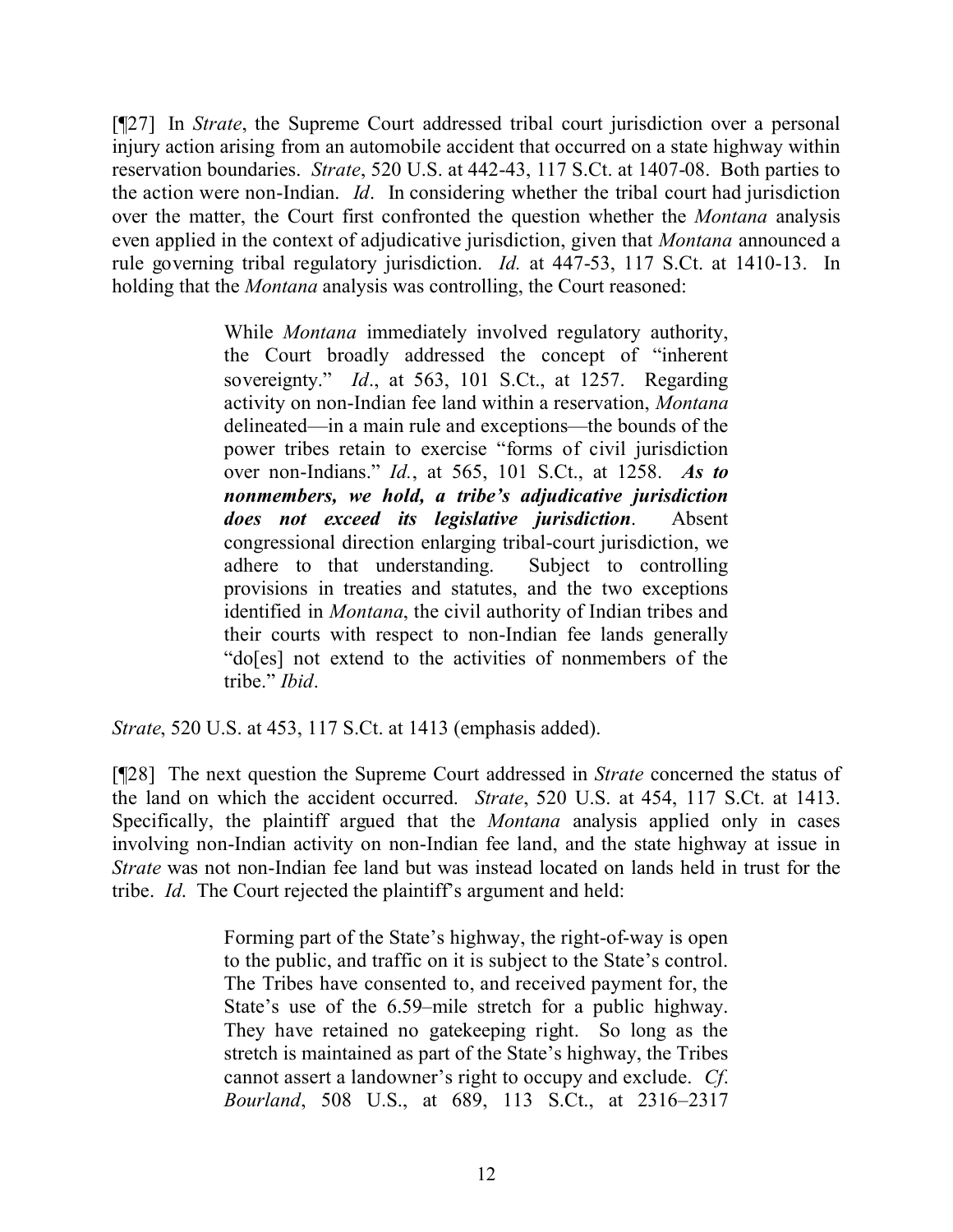[¶27] In *Strate*, the Supreme Court addressed tribal court jurisdiction over a personal injury action arising from an automobile accident that occurred on a state highway within reservation boundaries. *Strate*, 520 U.S. at 442-43, 117 S.Ct. at 1407-08. Both parties to the action were non-Indian. *Id*. In considering whether the tribal court had jurisdiction over the matter, the Court first confronted the question whether the *Montana* analysis even applied in the context of adjudicative jurisdiction, given that *Montana* announced a rule governing tribal regulatory jurisdiction. *Id.* at 447-53, 117 S.Ct. at 1410-13. In holding that the *Montana* analysis was controlling, the Court reasoned:

> While *Montana* immediately involved regulatory authority, the Court broadly addressed the concept of "inherent sovereignty." *Id*., at 563, 101 S.Ct., at 1257. Regarding activity on non-Indian fee land within a reservation, *Montana* delineated—in a main rule and exceptions—the bounds of the power tribes retain to exercise "forms of civil jurisdiction over non-Indians." *Id.*, at 565, 101 S.Ct., at 1258. *As to nonmembers, we hold, a tribe's adjudicative jurisdiction does not exceed its legislative jurisdiction*. Absent congressional direction enlarging tribal-court jurisdiction, we adhere to that understanding. Subject to controlling provisions in treaties and statutes, and the two exceptions identified in *Montana*, the civil authority of Indian tribes and their courts with respect to non-Indian fee lands generally "do[es] not extend to the activities of nonmembers of the tribe." *Ibid*.

*Strate*, 520 U.S. at 453, 117 S.Ct. at 1413 (emphasis added).

[¶28] The next question the Supreme Court addressed in *Strate* concerned the status of the land on which the accident occurred. *Strate*, 520 U.S. at 454, 117 S.Ct. at 1413. Specifically, the plaintiff argued that the *Montana* analysis applied only in cases involving non-Indian activity on non-Indian fee land, and the state highway at issue in *Strate* was not non-Indian fee land but was instead located on lands held in trust for the tribe. *Id*. The Court rejected the plaintiff's argument and held:

> Forming part of the State's highway, the right-of-way is open to the public, and traffic on it is subject to the State's control. The Tribes have consented to, and received payment for, the State's use of the 6.59–mile stretch for a public highway. They have retained no gatekeeping right. So long as the stretch is maintained as part of the State's highway, the Tribes cannot assert a landowner's right to occupy and exclude. *Cf*. *Bourland*, 508 U.S., at 689, 113 S.Ct., at 2316–2317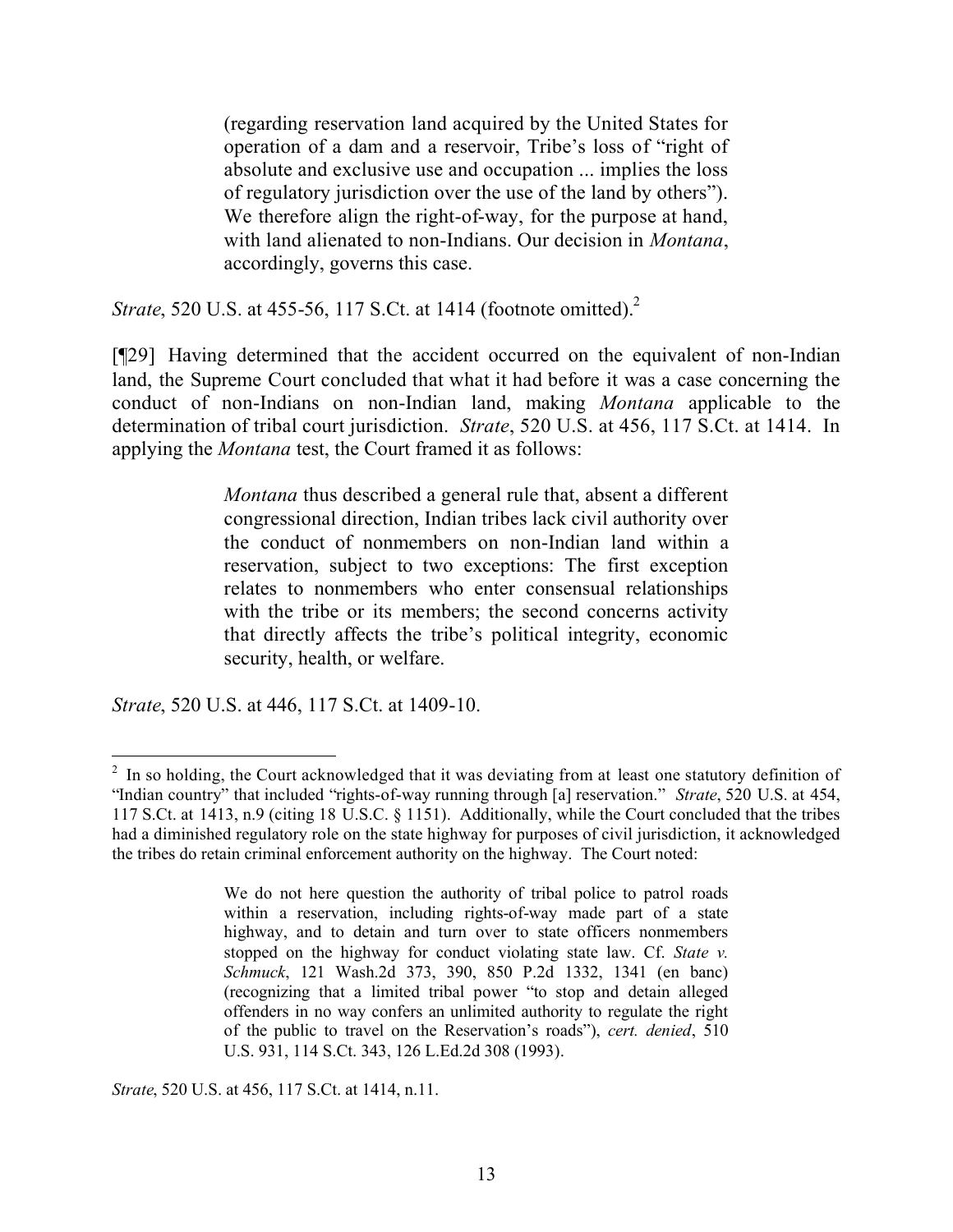(regarding reservation land acquired by the United States for operation of a dam and a reservoir, Tribe's loss of "right of absolute and exclusive use and occupation ... implies the loss of regulatory jurisdiction over the use of the land by others"). We therefore align the right-of-way, for the purpose at hand, with land alienated to non-Indians. Our decision in *Montana*, accordingly, governs this case.

*Strate*, 520 U.S. at 455-56, 117 S.Ct. at 1414 (footnote omitted).<sup>2</sup>

[¶29] Having determined that the accident occurred on the equivalent of non-Indian land, the Supreme Court concluded that what it had before it was a case concerning the conduct of non-Indians on non-Indian land, making *Montana* applicable to the determination of tribal court jurisdiction. *Strate*, 520 U.S. at 456, 117 S.Ct. at 1414. In applying the *Montana* test, the Court framed it as follows:

> *Montana* thus described a general rule that, absent a different congressional direction, Indian tribes lack civil authority over the conduct of nonmembers on non-Indian land within a reservation, subject to two exceptions: The first exception relates to nonmembers who enter consensual relationships with the tribe or its members; the second concerns activity that directly affects the tribe's political integrity, economic security, health, or welfare.

*Strate*, 520 U.S. at 446, 117 S.Ct. at 1409-10.

*Strate*, 520 U.S. at 456, 117 S.Ct. at 1414, n.11.

  $2\;\text{In so holding, the Court acknowledged that it was deviating from at least one statutory definition of }\;$ "Indian country" that included "rights-of-way running through [a] reservation." *Strate*, 520 U.S. at 454, 117 S.Ct. at 1413, n.9 (citing 18 U.S.C. § 1151). Additionally, while the Court concluded that the tribes had a diminished regulatory role on the state highway for purposes of civil jurisdiction, it acknowledged the tribes do retain criminal enforcement authority on the highway. The Court noted:

We do not here question the authority of tribal police to patrol roads within a reservation, including rights-of-way made part of a state highway, and to detain and turn over to state officers nonmembers stopped on the highway for conduct violating state law. Cf. *State v. Schmuck*, 121 Wash.2d 373, 390, 850 P.2d 1332, 1341 (en banc) (recognizing that a limited tribal power "to stop and detain alleged offenders in no way confers an unlimited authority to regulate the right of the public to travel on the Reservation's roads"), *cert. denied*, 510 U.S. 931, 114 S.Ct. 343, 126 L.Ed.2d 308 (1993).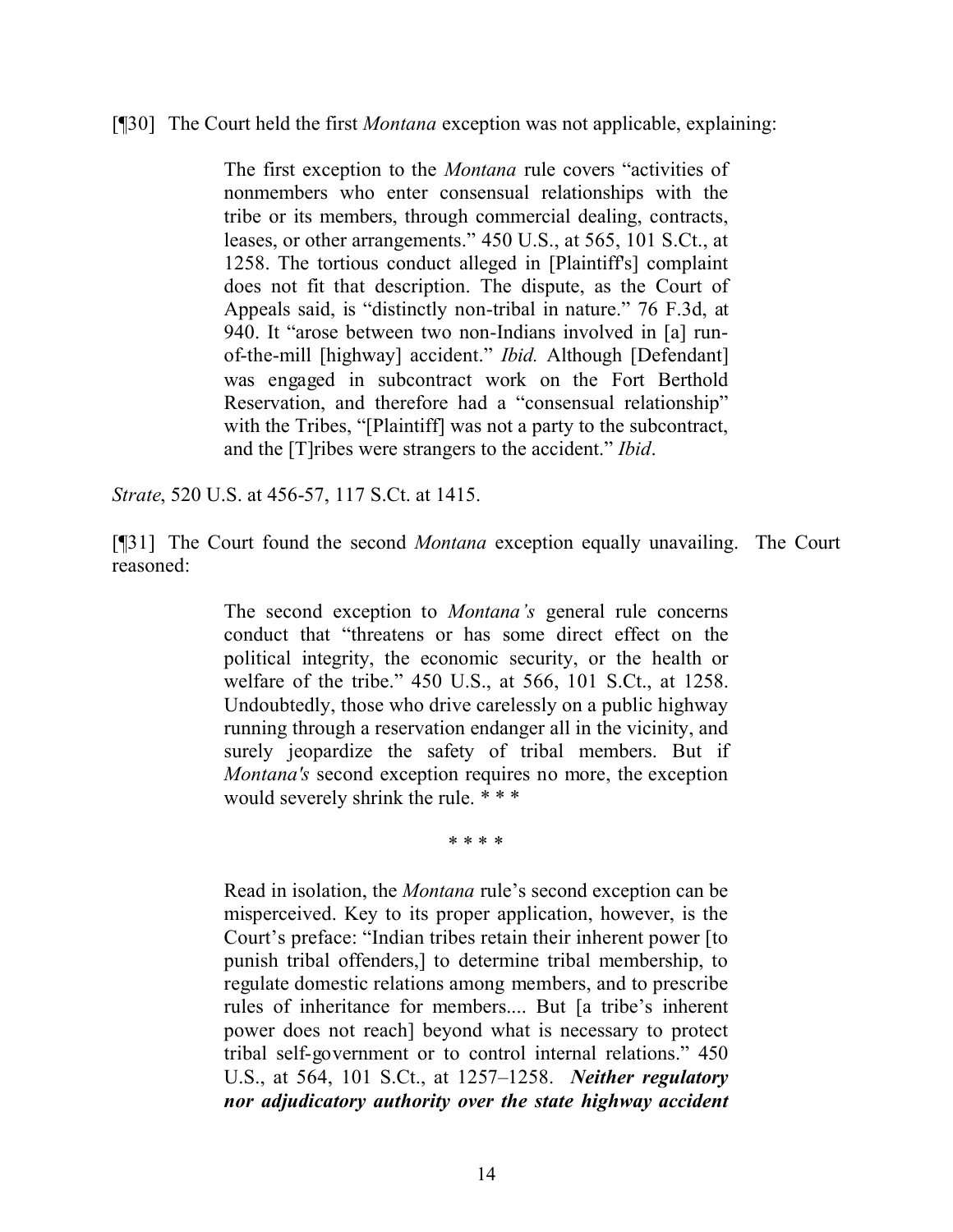#### [¶30] The Court held the first *Montana* exception was not applicable, explaining:

The first exception to the *Montana* rule covers "activities of nonmembers who enter consensual relationships with the tribe or its members, through commercial dealing, contracts, leases, or other arrangements." 450 U.S., at 565, 101 S.Ct., at 1258. The tortious conduct alleged in [Plaintiff's] complaint does not fit that description. The dispute, as the Court of Appeals said, is "distinctly non-tribal in nature." 76 F.3d, at 940. It "arose between two non-Indians involved in [a] runof-the-mill [highway] accident." *Ibid.* Although [Defendant] was engaged in subcontract work on the Fort Berthold Reservation, and therefore had a "consensual relationship" with the Tribes, "[Plaintiff] was not a party to the subcontract, and the [T]ribes were strangers to the accident." *Ibid*.

*Strate*, 520 U.S. at 456-57, 117 S.Ct. at 1415.

[¶31] The Court found the second *Montana* exception equally unavailing. The Court reasoned:

> The second exception to *Montana's* general rule concerns conduct that "threatens or has some direct effect on the political integrity, the economic security, or the health or welfare of the tribe." 450 U.S., at 566, 101 S.Ct., at 1258. Undoubtedly, those who drive carelessly on a public highway running through a reservation endanger all in the vicinity, and surely jeopardize the safety of tribal members. But if *Montana's* second exception requires no more, the exception would severely shrink the rule. \* \* \*

> > \* \* \* \*

Read in isolation, the *Montana* rule's second exception can be misperceived. Key to its proper application, however, is the Court's preface: "Indian tribes retain their inherent power [to punish tribal offenders,] to determine tribal membership, to regulate domestic relations among members, and to prescribe rules of inheritance for members.... But [a tribe's inherent power does not reach] beyond what is necessary to protect tribal self-government or to control internal relations." 450 U.S., at 564, 101 S.Ct., at 1257–1258. *Neither regulatory nor adjudicatory authority over the state highway accident*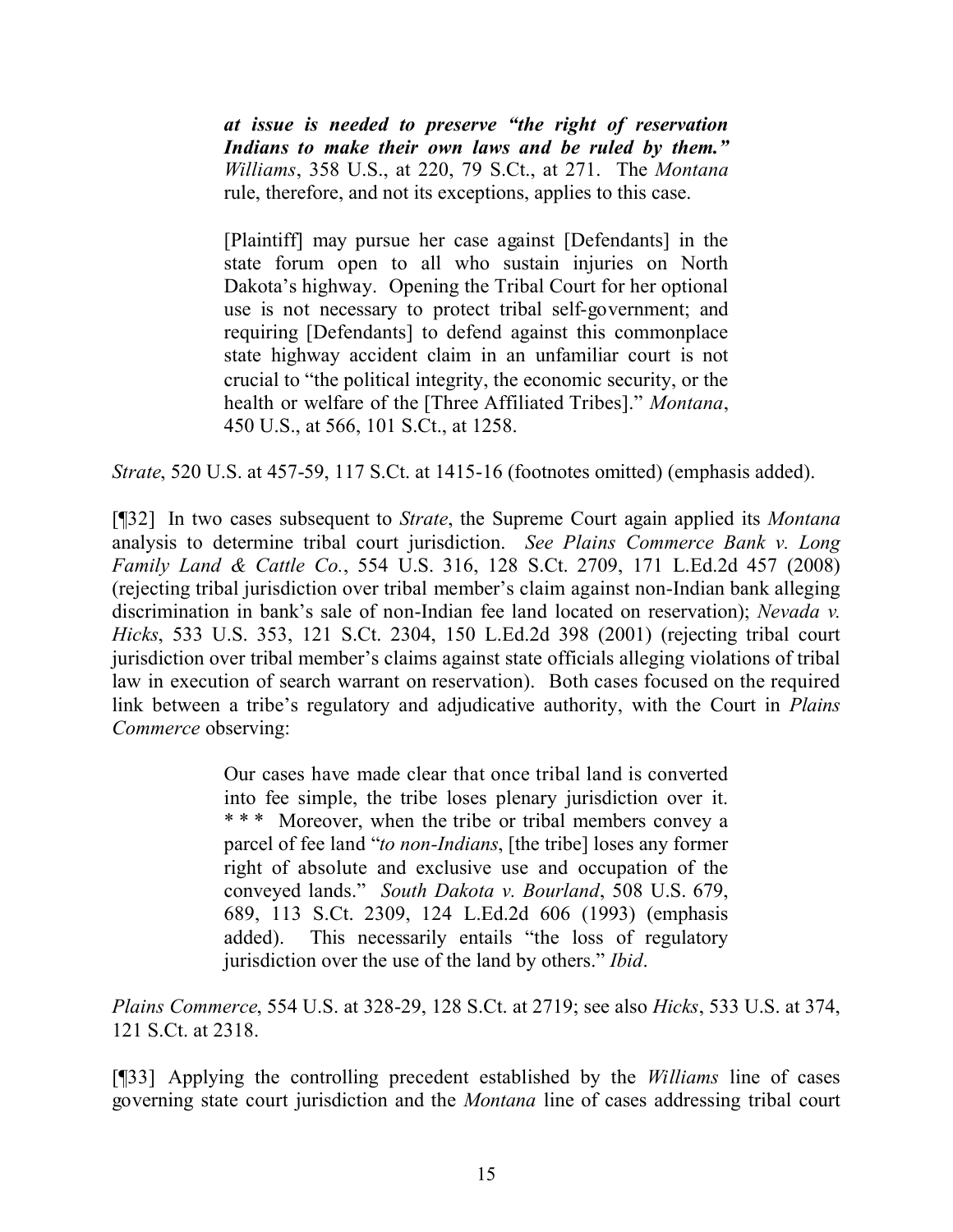*at issue is needed to preserve "the right of reservation Indians to make their own laws and be ruled by them." Williams*, 358 U.S., at 220, 79 S.Ct., at 271. The *Montana* rule, therefore, and not its exceptions, applies to this case.

[Plaintiff] may pursue her case against [Defendants] in the state forum open to all who sustain injuries on North Dakota's highway. Opening the Tribal Court for her optional use is not necessary to protect tribal self-government; and requiring [Defendants] to defend against this commonplace state highway accident claim in an unfamiliar court is not crucial to "the political integrity, the economic security, or the health or welfare of the [Three Affiliated Tribes]." *Montana*, 450 U.S., at 566, 101 S.Ct., at 1258.

*Strate*, 520 U.S. at 457-59, 117 S.Ct. at 1415-16 (footnotes omitted) (emphasis added).

[¶32] In two cases subsequent to *Strate*, the Supreme Court again applied its *Montana* analysis to determine tribal court jurisdiction. *See Plains Commerce Bank v. Long Family Land & Cattle Co.*, 554 U.S. 316, 128 S.Ct. 2709, 171 L.Ed.2d 457 (2008) (rejecting tribal jurisdiction over tribal member's claim against non-Indian bank alleging discrimination in bank's sale of non-Indian fee land located on reservation); *Nevada v. Hicks*, 533 U.S. 353, 121 S.Ct. 2304, 150 L.Ed.2d 398 (2001) (rejecting tribal court jurisdiction over tribal member's claims against state officials alleging violations of tribal law in execution of search warrant on reservation). Both cases focused on the required link between a tribe's regulatory and adjudicative authority, with the Court in *Plains Commerce* observing:

> Our cases have made clear that once tribal land is converted into fee simple, the tribe loses plenary jurisdiction over it. \*\*\* Moreover, when the tribe or tribal members convey a parcel of fee land "*to non-Indians*, [the tribe] loses any former right of absolute and exclusive use and occupation of the conveyed lands." *South Dakota v. Bourland*, 508 U.S. 679, 689, 113 S.Ct. 2309, 124 L.Ed.2d 606 (1993) (emphasis added). This necessarily entails "the loss of regulatory jurisdiction over the use of the land by others." *Ibid*.

*Plains Commerce*, 554 U.S. at 328-29, 128 S.Ct. at 2719; see also *Hicks*, 533 U.S. at 374, 121 S.Ct. at 2318.

[¶33] Applying the controlling precedent established by the *Williams* line of cases governing state court jurisdiction and the *Montana* line of cases addressing tribal court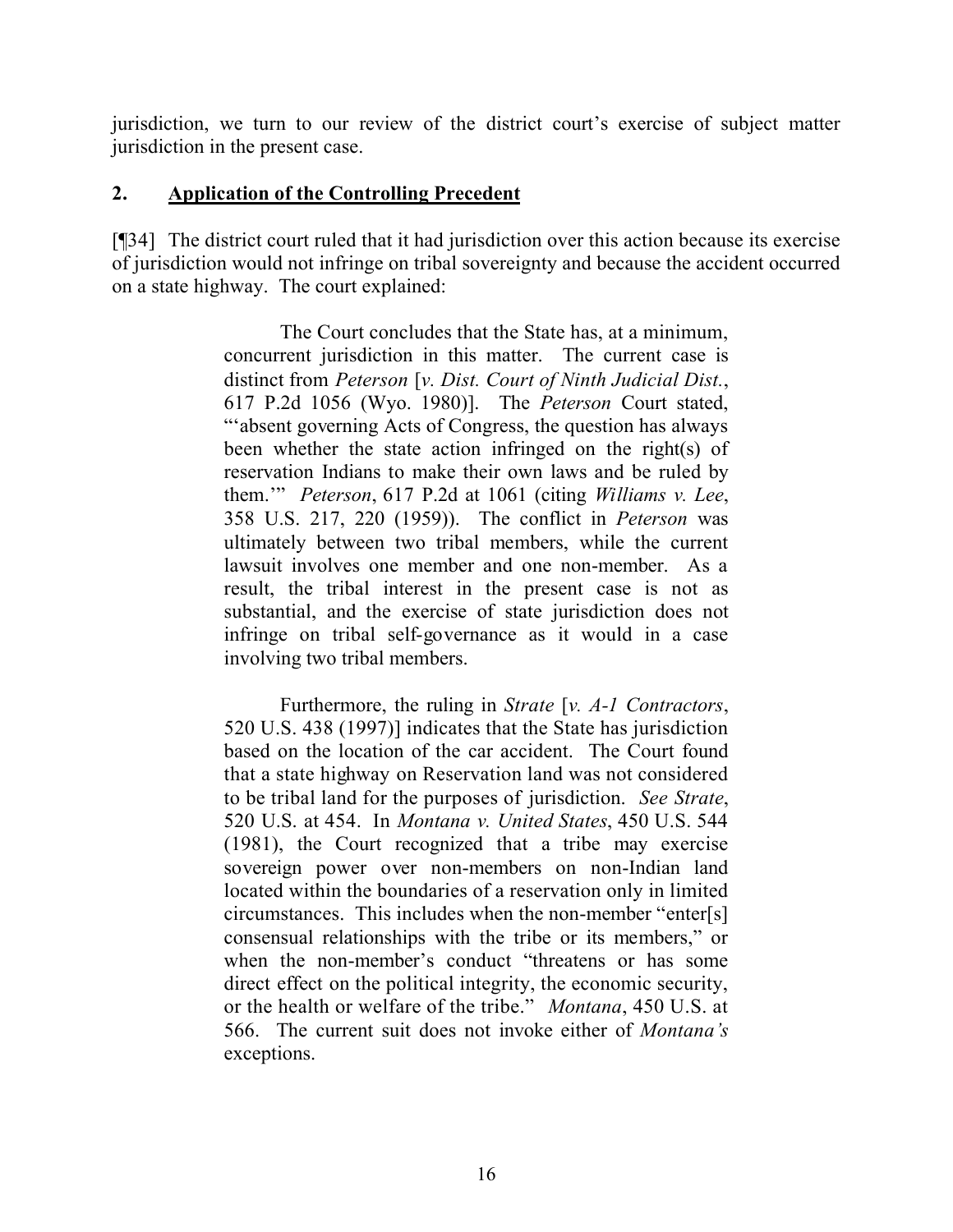jurisdiction, we turn to our review of the district court's exercise of subject matter jurisdiction in the present case.

### **2. Application of the Controlling Precedent**

[¶34] The district court ruled that it had jurisdiction over this action because its exercise of jurisdiction would not infringe on tribal sovereignty and because the accident occurred on a state highway. The court explained:

> The Court concludes that the State has, at a minimum, concurrent jurisdiction in this matter. The current case is distinct from *Peterson* [*v. Dist. Court of Ninth Judicial Dist.*, 617 P.2d 1056 (Wyo. 1980)]. The *Peterson* Court stated, "'absent governing Acts of Congress, the question has always been whether the state action infringed on the right(s) of reservation Indians to make their own laws and be ruled by them.'" *Peterson*, 617 P.2d at 1061 (citing *Williams v. Lee*, 358 U.S. 217, 220 (1959)). The conflict in *Peterson* was ultimately between two tribal members, while the current lawsuit involves one member and one non-member. As a result, the tribal interest in the present case is not as substantial, and the exercise of state jurisdiction does not infringe on tribal self-governance as it would in a case involving two tribal members.

> Furthermore, the ruling in *Strate* [*v. A-1 Contractors*, 520 U.S. 438 (1997)] indicates that the State has jurisdiction based on the location of the car accident. The Court found that a state highway on Reservation land was not considered to be tribal land for the purposes of jurisdiction. *See Strate*, 520 U.S. at 454. In *Montana v. United States*, 450 U.S. 544 (1981), the Court recognized that a tribe may exercise sovereign power over non-members on non-Indian land located within the boundaries of a reservation only in limited circumstances. This includes when the non-member "enter[s] consensual relationships with the tribe or its members," or when the non-member's conduct "threatens or has some direct effect on the political integrity, the economic security, or the health or welfare of the tribe." *Montana*, 450 U.S. at 566. The current suit does not invoke either of *Montana's* exceptions.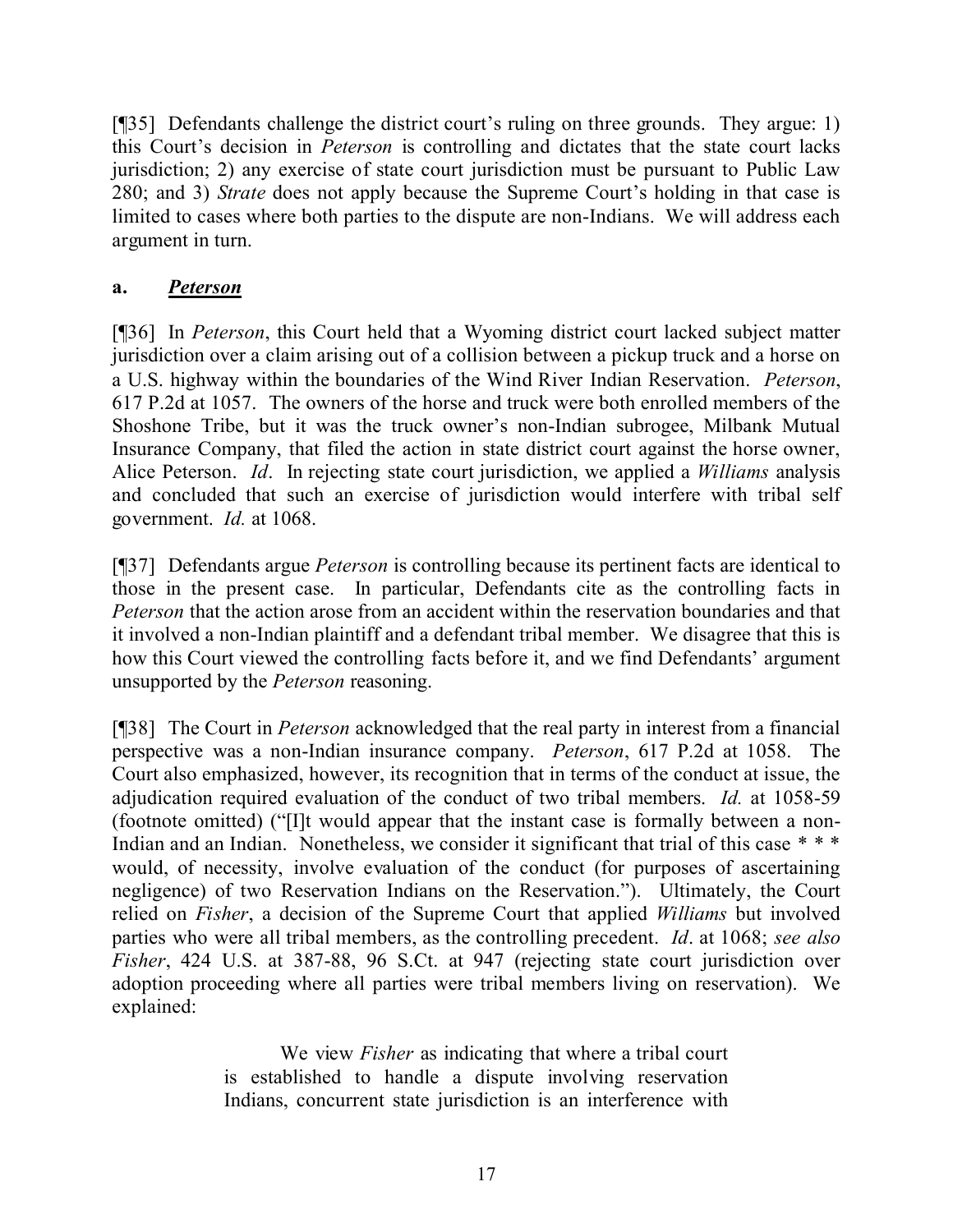[¶35] Defendants challenge the district court's ruling on three grounds. They argue: 1) this Court's decision in *Peterson* is controlling and dictates that the state court lacks jurisdiction; 2) any exercise of state court jurisdiction must be pursuant to Public Law 280; and 3) *Strate* does not apply because the Supreme Court's holding in that case is limited to cases where both parties to the dispute are non-Indians. We will address each argument in turn.

## **a.** *Peterson*

[¶36] In *Peterson*, this Court held that a Wyoming district court lacked subject matter jurisdiction over a claim arising out of a collision between a pickup truck and a horse on a U.S. highway within the boundaries of the Wind River Indian Reservation. *Peterson*, 617 P.2d at 1057. The owners of the horse and truck were both enrolled members of the Shoshone Tribe, but it was the truck owner's non-Indian subrogee, Milbank Mutual Insurance Company, that filed the action in state district court against the horse owner, Alice Peterson. *Id*. In rejecting state court jurisdiction, we applied a *Williams* analysis and concluded that such an exercise of jurisdiction would interfere with tribal self government. *Id.* at 1068.

[¶37] Defendants argue *Peterson* is controlling because its pertinent facts are identical to those in the present case. In particular, Defendants cite as the controlling facts in *Peterson* that the action arose from an accident within the reservation boundaries and that it involved a non-Indian plaintiff and a defendant tribal member. We disagree that this is how this Court viewed the controlling facts before it, and we find Defendants' argument unsupported by the *Peterson* reasoning.

[¶38] The Court in *Peterson* acknowledged that the real party in interest from a financial perspective was a non-Indian insurance company. *Peterson*, 617 P.2d at 1058. The Court also emphasized, however, its recognition that in terms of the conduct at issue, the adjudication required evaluation of the conduct of two tribal members. *Id.* at 1058-59 (footnote omitted) ("[I]t would appear that the instant case is formally between a non-Indian and an Indian. Nonetheless, we consider it significant that trial of this case \* \* \* would, of necessity, involve evaluation of the conduct (for purposes of ascertaining negligence) of two Reservation Indians on the Reservation."). Ultimately, the Court relied on *Fisher*, a decision of the Supreme Court that applied *Williams* but involved parties who were all tribal members, as the controlling precedent. *Id*. at 1068; *see also Fisher*, 424 U.S. at 387-88, 96 S.Ct. at 947 (rejecting state court jurisdiction over adoption proceeding where all parties were tribal members living on reservation). We explained:

> We view *Fisher* as indicating that where a tribal court is established to handle a dispute involving reservation Indians, concurrent state jurisdiction is an interference with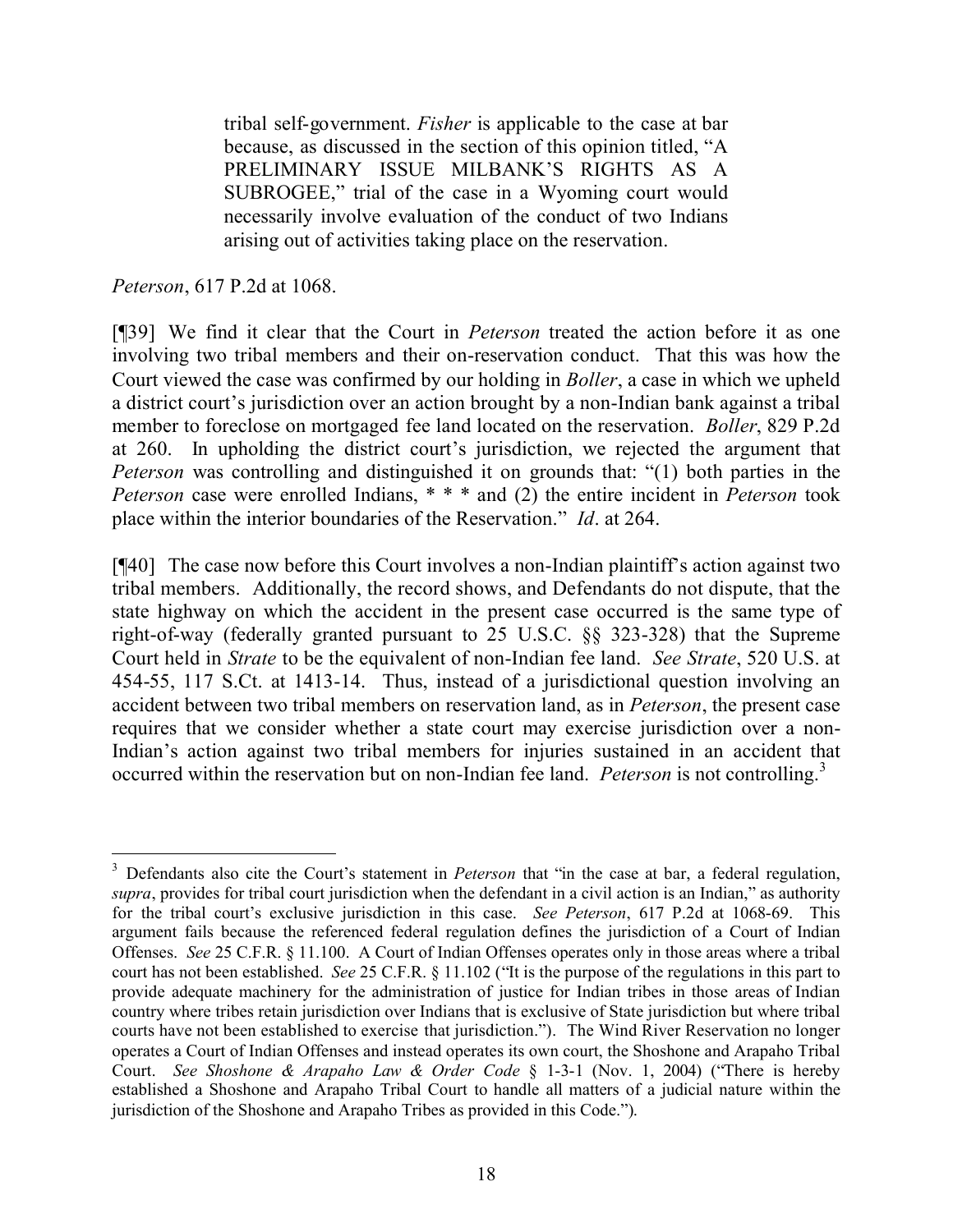tribal self-government. *Fisher* is applicable to the case at bar because, as discussed in the section of this opinion titled, "A PRELIMINARY ISSUE MILBANK'S RIGHTS AS A SUBROGEE," trial of the case in a Wyoming court would necessarily involve evaluation of the conduct of two Indians arising out of activities taking place on the reservation.

#### *Peterson*, 617 P.2d at 1068.

[¶39] We find it clear that the Court in *Peterson* treated the action before it as one involving two tribal members and their on-reservation conduct. That this was how the Court viewed the case was confirmed by our holding in *Boller*, a case in which we upheld a district court's jurisdiction over an action brought by a non-Indian bank against a tribal member to foreclose on mortgaged fee land located on the reservation. *Boller*, 829 P.2d at 260. In upholding the district court's jurisdiction, we rejected the argument that *Peterson* was controlling and distinguished it on grounds that: "(1) both parties in the *Peterson* case were enrolled Indians, \* \* \* and (2) the entire incident in *Peterson* took place within the interior boundaries of the Reservation." *Id*. at 264.

[¶40] The case now before this Court involves a non-Indian plaintiff's action against two tribal members. Additionally, the record shows, and Defendants do not dispute, that the state highway on which the accident in the present case occurred is the same type of right-of-way (federally granted pursuant to 25 U.S.C. §§ 323-328) that the Supreme Court held in *Strate* to be the equivalent of non-Indian fee land. *See Strate*, 520 U.S. at 454-55, 117 S.Ct. at 1413-14. Thus, instead of a jurisdictional question involving an accident between two tribal members on reservation land, as in *Peterson*, the present case requires that we consider whether a state court may exercise jurisdiction over a non-Indian's action against two tribal members for injuries sustained in an accident that occurred within the reservation but on non-Indian fee land. *Peterson* is not controlling.<sup>3</sup>

<sup>&</sup>lt;sup>3</sup> Defendants also cite the Court's statement in *Peterson* that "in the case at bar, a federal regulation, *supra*, provides for tribal court jurisdiction when the defendant in a civil action is an Indian," as authority for the tribal court's exclusive jurisdiction in this case. *See Peterson*, 617 P.2d at 1068-69. This argument fails because the referenced federal regulation defines the jurisdiction of a Court of Indian Offenses. *See* 25 C.F.R. § 11.100. A Court of Indian Offenses operates only in those areas where a tribal court has not been established. *See* 25 C.F.R. § 11.102 ("It is the purpose of the regulations in this part to provide adequate machinery for the administration of justice for Indian tribes in those areas of Indian country where tribes retain jurisdiction over Indians that is exclusive of State jurisdiction but where tribal courts have not been established to exercise that jurisdiction."). The Wind River Reservation no longer operates a Court of Indian Offenses and instead operates its own court, the Shoshone and Arapaho Tribal Court. *See Shoshone & Arapaho Law & Order Code* § 1-3-1 (Nov. 1, 2004) ("There is hereby established a Shoshone and Arapaho Tribal Court to handle all matters of a judicial nature within the jurisdiction of the Shoshone and Arapaho Tribes as provided in this Code.").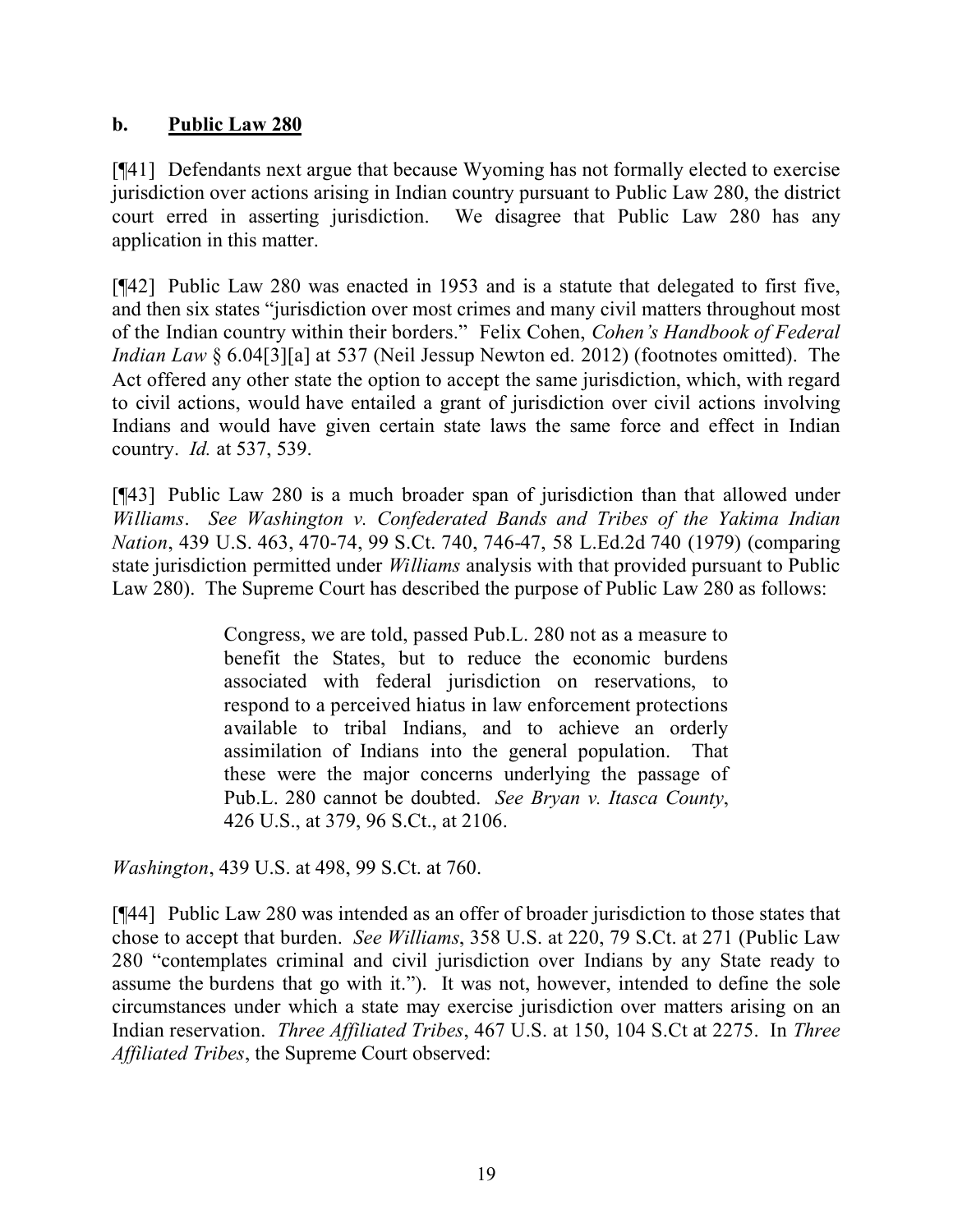## **b. Public Law 280**

[¶41] Defendants next argue that because Wyoming has not formally elected to exercise jurisdiction over actions arising in Indian country pursuant to Public Law 280, the district court erred in asserting jurisdiction. We disagree that Public Law 280 has any application in this matter.

[¶42] Public Law 280 was enacted in 1953 and is a statute that delegated to first five, and then six states "jurisdiction over most crimes and many civil matters throughout most of the Indian country within their borders." Felix Cohen, *Cohen's Handbook of Federal Indian Law* § 6.04[3][a] at 537 (Neil Jessup Newton ed. 2012) (footnotes omitted). The Act offered any other state the option to accept the same jurisdiction, which, with regard to civil actions, would have entailed a grant of jurisdiction over civil actions involving Indians and would have given certain state laws the same force and effect in Indian country. *Id.* at 537, 539.

[¶43] Public Law 280 is a much broader span of jurisdiction than that allowed under *Williams*. *See Washington v. Confederated Bands and Tribes of the Yakima Indian Nation*, 439 U.S. 463, 470-74, 99 S.Ct. 740, 746-47, 58 L.Ed.2d 740 (1979) (comparing state jurisdiction permitted under *Williams* analysis with that provided pursuant to Public Law 280). The Supreme Court has described the purpose of Public Law 280 as follows:

> Congress, we are told, passed Pub.L. 280 not as a measure to benefit the States, but to reduce the economic burdens associated with federal jurisdiction on reservations, to respond to a perceived hiatus in law enforcement protections available to tribal Indians, and to achieve an orderly assimilation of Indians into the general population. That these were the major concerns underlying the passage of Pub.L. 280 cannot be doubted. *See Bryan v. Itasca County*, 426 U.S., at 379, 96 S.Ct., at 2106.

*Washington*, 439 U.S. at 498, 99 S.Ct. at 760.

[¶44] Public Law 280 was intended as an offer of broader jurisdiction to those states that chose to accept that burden. *See Williams*, 358 U.S. at 220, 79 S.Ct. at 271 (Public Law 280 "contemplates criminal and civil jurisdiction over Indians by any State ready to assume the burdens that go with it."). It was not, however, intended to define the sole circumstances under which a state may exercise jurisdiction over matters arising on an Indian reservation. *Three Affiliated Tribes*, 467 U.S. at 150, 104 S.Ct at 2275. In *Three Affiliated Tribes*, the Supreme Court observed: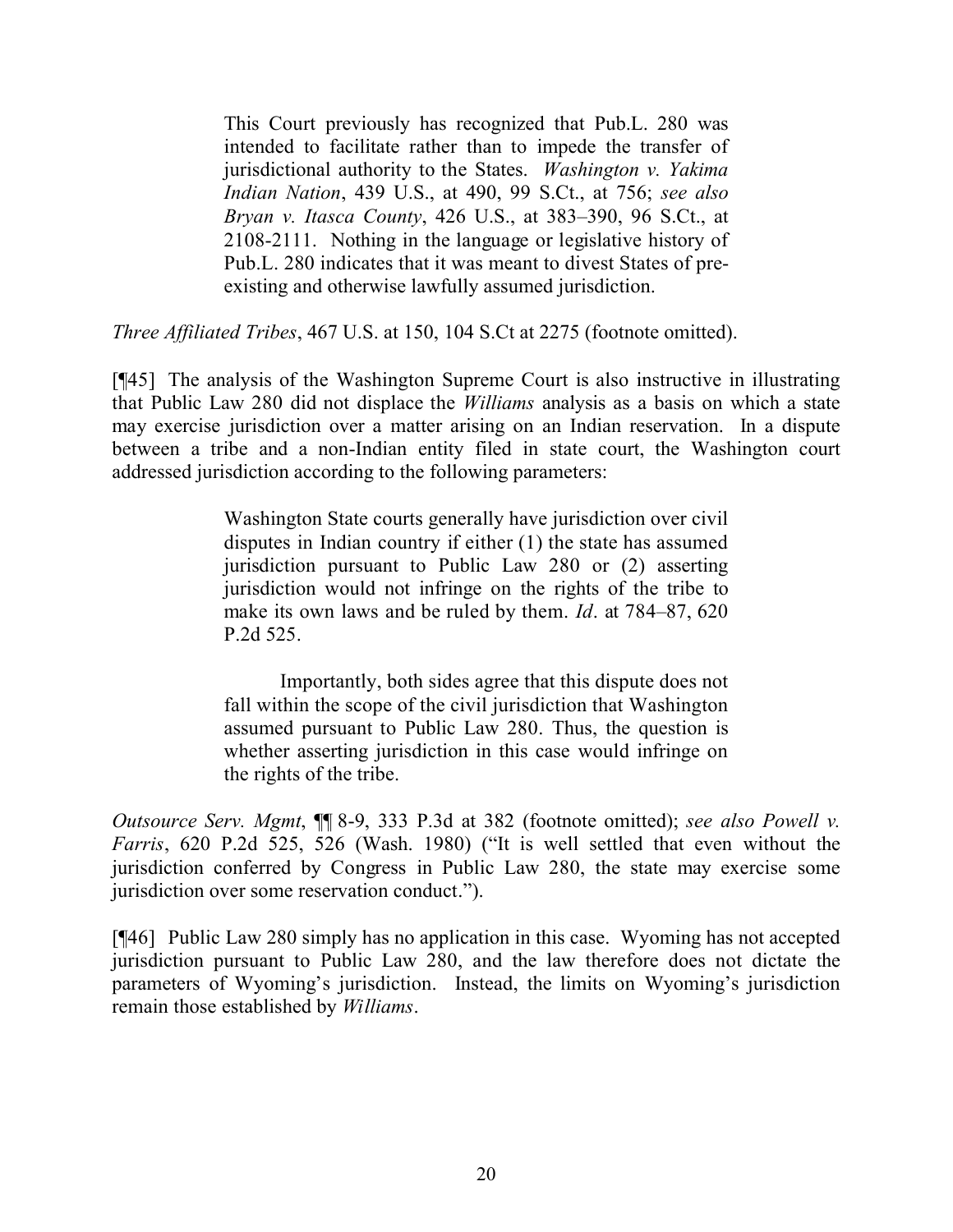This Court previously has recognized that Pub.L. 280 was intended to facilitate rather than to impede the transfer of jurisdictional authority to the States. *Washington v. Yakima Indian Nation*, 439 U.S., at 490, 99 S.Ct., at 756; *see also Bryan v. Itasca County*, 426 U.S., at 383–390, 96 S.Ct., at 2108-2111. Nothing in the language or legislative history of Pub.L. 280 indicates that it was meant to divest States of preexisting and otherwise lawfully assumed jurisdiction.

*Three Affiliated Tribes*, 467 U.S. at 150, 104 S.Ct at 2275 (footnote omitted).

[¶45] The analysis of the Washington Supreme Court is also instructive in illustrating that Public Law 280 did not displace the *Williams* analysis as a basis on which a state may exercise jurisdiction over a matter arising on an Indian reservation. In a dispute between a tribe and a non-Indian entity filed in state court, the Washington court addressed jurisdiction according to the following parameters:

> Washington State courts generally have jurisdiction over civil disputes in Indian country if either (1) the state has assumed jurisdiction pursuant to Public Law 280 or (2) asserting jurisdiction would not infringe on the rights of the tribe to make its own laws and be ruled by them. *Id*. at 784–87, 620 P.2d 525.

> Importantly, both sides agree that this dispute does not fall within the scope of the civil jurisdiction that Washington assumed pursuant to Public Law 280. Thus, the question is whether asserting jurisdiction in this case would infringe on the rights of the tribe.

*Outsource Serv. Mgmt*, ¶¶ 8-9, 333 P.3d at 382 (footnote omitted); *see also Powell v. Farris*, 620 P.2d 525, 526 (Wash. 1980) ("It is well settled that even without the jurisdiction conferred by Congress in Public Law 280, the state may exercise some jurisdiction over some reservation conduct.").

[¶46] Public Law 280 simply has no application in this case. Wyoming has not accepted jurisdiction pursuant to Public Law 280, and the law therefore does not dictate the parameters of Wyoming's jurisdiction. Instead, the limits on Wyoming's jurisdiction remain those established by *Williams*.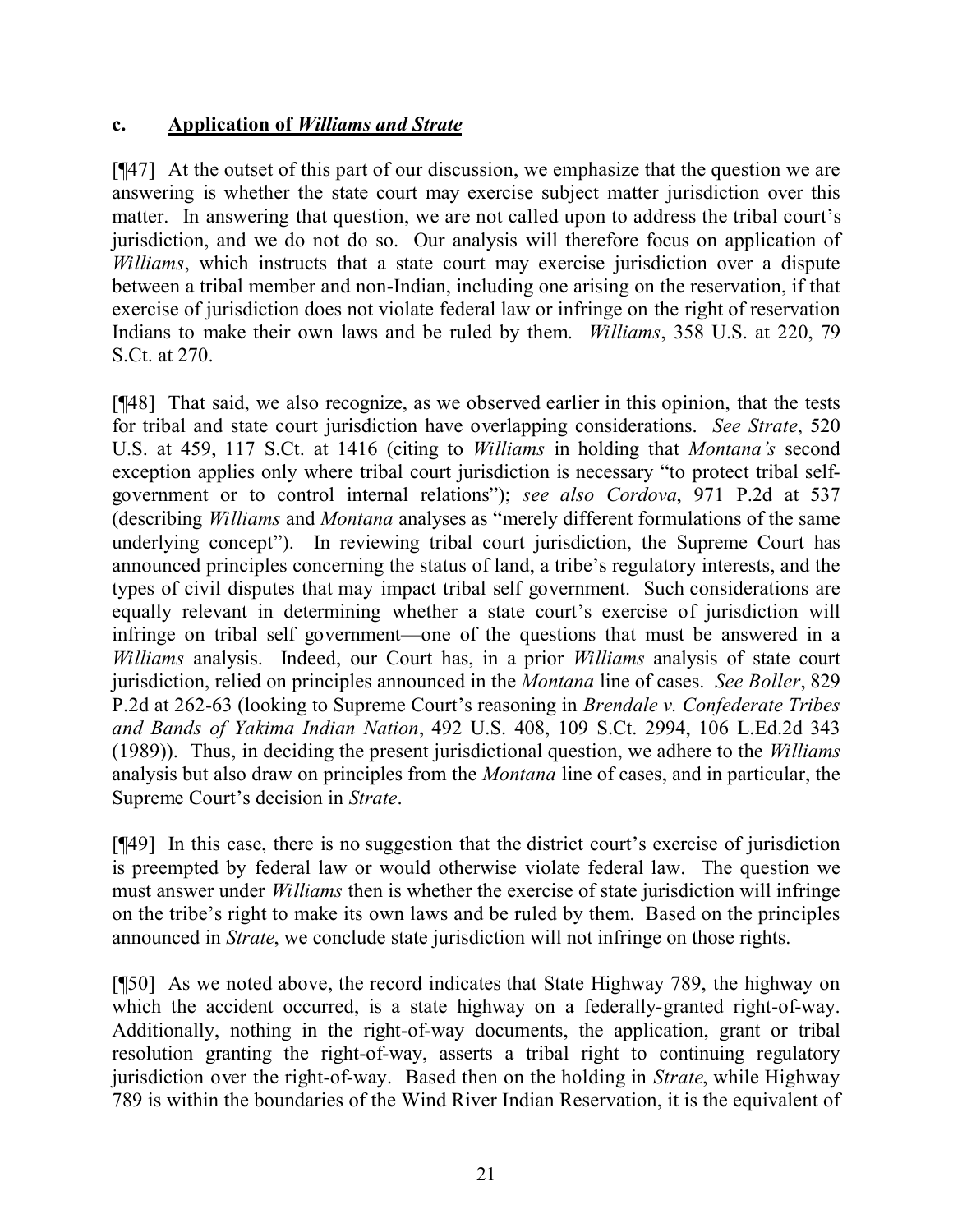## **c. Application of** *Williams and Strate*

[¶47] At the outset of this part of our discussion, we emphasize that the question we are answering is whether the state court may exercise subject matter jurisdiction over this matter. In answering that question, we are not called upon to address the tribal court's jurisdiction, and we do not do so. Our analysis will therefore focus on application of *Williams*, which instructs that a state court may exercise jurisdiction over a dispute between a tribal member and non-Indian, including one arising on the reservation, if that exercise of jurisdiction does not violate federal law or infringe on the right of reservation Indians to make their own laws and be ruled by them. *Williams*, 358 U.S. at 220, 79 S.Ct. at 270.

[¶48] That said, we also recognize, as we observed earlier in this opinion, that the tests for tribal and state court jurisdiction have overlapping considerations. *See Strate*, 520 U.S. at 459, 117 S.Ct. at 1416 (citing to *Williams* in holding that *Montana's* second exception applies only where tribal court jurisdiction is necessary "to protect tribal selfgovernment or to control internal relations"); *see also Cordova*, 971 P.2d at 537 (describing *Williams* and *Montana* analyses as "merely different formulations of the same underlying concept"). In reviewing tribal court jurisdiction, the Supreme Court has announced principles concerning the status of land, a tribe's regulatory interests, and the types of civil disputes that may impact tribal self government. Such considerations are equally relevant in determining whether a state court's exercise of jurisdiction will infringe on tribal self government—one of the questions that must be answered in a *Williams* analysis. Indeed, our Court has, in a prior *Williams* analysis of state court jurisdiction, relied on principles announced in the *Montana* line of cases. *See Boller*, 829 P.2d at 262-63 (looking to Supreme Court's reasoning in *Brendale v. Confederate Tribes and Bands of Yakima Indian Nation*, 492 U.S. 408, 109 S.Ct. 2994, 106 L.Ed.2d 343 (1989)). Thus, in deciding the present jurisdictional question, we adhere to the *Williams* analysis but also draw on principles from the *Montana* line of cases, and in particular, the Supreme Court's decision in *Strate*.

[¶49] In this case, there is no suggestion that the district court's exercise of jurisdiction is preempted by federal law or would otherwise violate federal law. The question we must answer under *Williams* then is whether the exercise of state jurisdiction will infringe on the tribe's right to make its own laws and be ruled by them. Based on the principles announced in *Strate*, we conclude state jurisdiction will not infringe on those rights.

[¶50] As we noted above, the record indicates that State Highway 789, the highway on which the accident occurred, is a state highway on a federally-granted right-of-way. Additionally, nothing in the right-of-way documents, the application, grant or tribal resolution granting the right-of-way, asserts a tribal right to continuing regulatory jurisdiction over the right-of-way. Based then on the holding in *Strate*, while Highway 789 is within the boundaries of the Wind River Indian Reservation, it is the equivalent of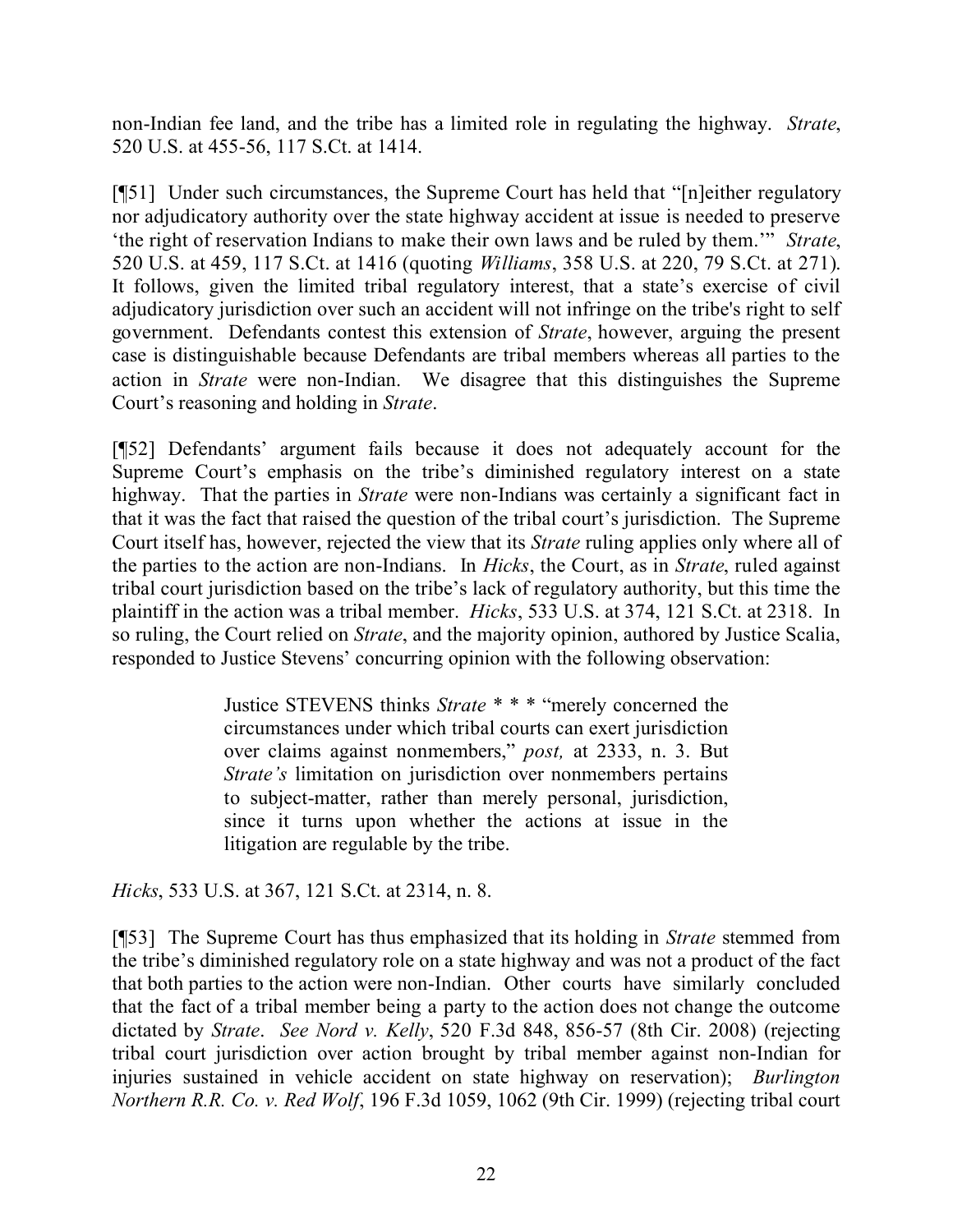non-Indian fee land, and the tribe has a limited role in regulating the highway. *Strate*, 520 U.S. at 455-56, 117 S.Ct. at 1414.

[¶51] Under such circumstances, the Supreme Court has held that "[n]either regulatory nor adjudicatory authority over the state highway accident at issue is needed to preserve 'the right of reservation Indians to make their own laws and be ruled by them.'" *Strate*, 520 U.S. at 459, 117 S.Ct. at 1416 (quoting *Williams*, 358 U.S. at 220, 79 S.Ct. at 271). It follows, given the limited tribal regulatory interest, that a state's exercise of civil adjudicatory jurisdiction over such an accident will not infringe on the tribe's right to self government. Defendants contest this extension of *Strate*, however, arguing the present case is distinguishable because Defendants are tribal members whereas all parties to the action in *Strate* were non-Indian. We disagree that this distinguishes the Supreme Court's reasoning and holding in *Strate*.

[¶52] Defendants' argument fails because it does not adequately account for the Supreme Court's emphasis on the tribe's diminished regulatory interest on a state highway. That the parties in *Strate* were non-Indians was certainly a significant fact in that it was the fact that raised the question of the tribal court's jurisdiction. The Supreme Court itself has, however, rejected the view that its *Strate* ruling applies only where all of the parties to the action are non-Indians. In *Hicks*, the Court, as in *Strate*, ruled against tribal court jurisdiction based on the tribe's lack of regulatory authority, but this time the plaintiff in the action was a tribal member. *Hicks*, 533 U.S. at 374, 121 S.Ct. at 2318. In so ruling, the Court relied on *Strate*, and the majority opinion, authored by Justice Scalia, responded to Justice Stevens' concurring opinion with the following observation:

> Justice STEVENS thinks *Strate* \* \* \* "merely concerned the circumstances under which tribal courts can exert jurisdiction over claims against nonmembers," *post,* at 2333, n. 3. But *Strate's* limitation on jurisdiction over nonmembers pertains to subject-matter, rather than merely personal, jurisdiction, since it turns upon whether the actions at issue in the litigation are regulable by the tribe.

*Hicks*, 533 U.S. at 367, 121 S.Ct. at 2314, n. 8.

[¶53] The Supreme Court has thus emphasized that its holding in *Strate* stemmed from the tribe's diminished regulatory role on a state highway and was not a product of the fact that both parties to the action were non-Indian. Other courts have similarly concluded that the fact of a tribal member being a party to the action does not change the outcome dictated by *Strate*. *See Nord v. Kelly*, 520 F.3d 848, 856-57 (8th Cir. 2008) (rejecting tribal court jurisdiction over action brought by tribal member against non-Indian for injuries sustained in vehicle accident on state highway on reservation); *Burlington Northern R.R. Co. v. Red Wolf*, 196 F.3d 1059, 1062 (9th Cir. 1999) (rejecting tribal court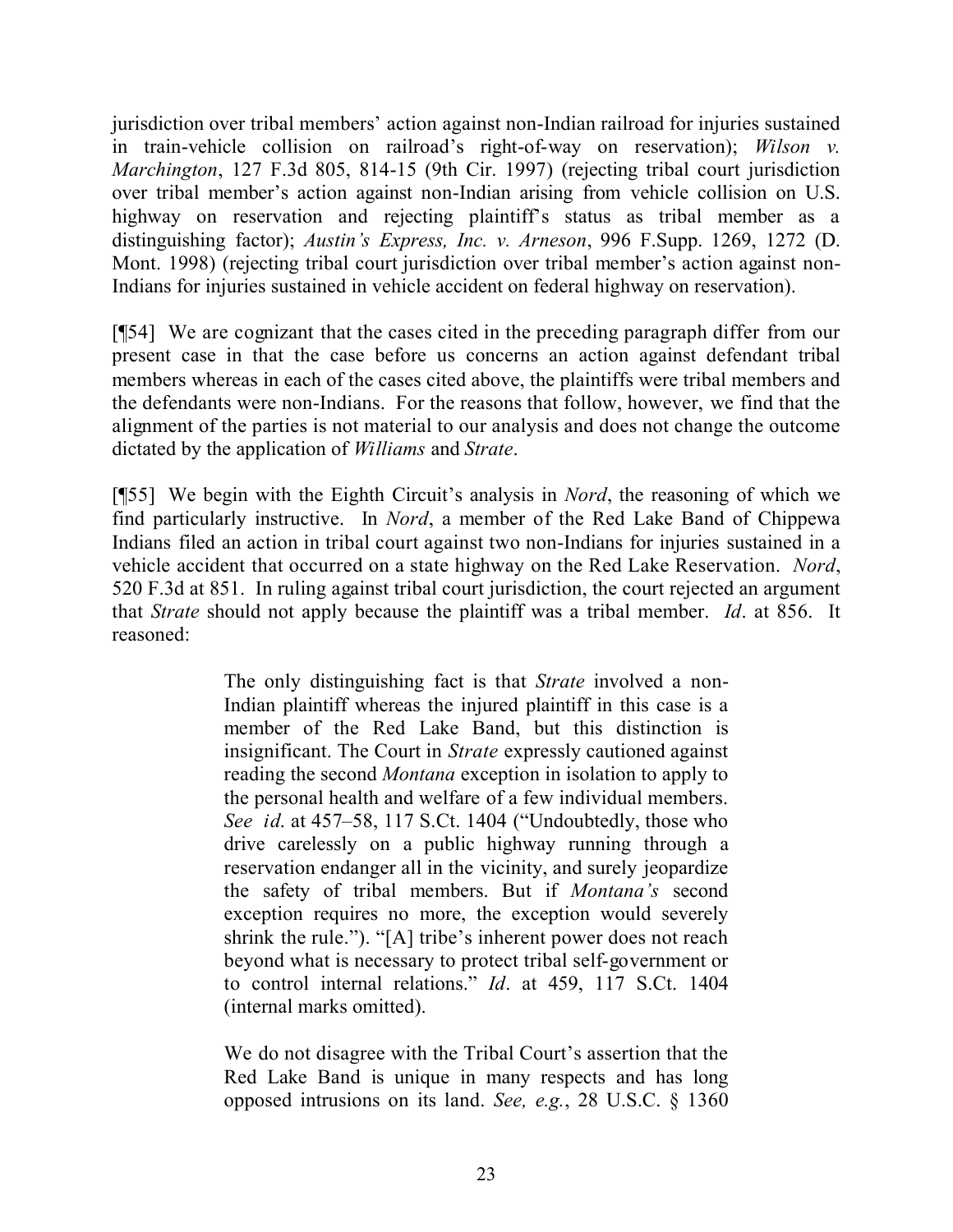jurisdiction over tribal members' action against non-Indian railroad for injuries sustained in train-vehicle collision on railroad's right-of-way on reservation); *Wilson v. Marchington*, 127 F.3d 805, 814-15 (9th Cir. 1997) (rejecting tribal court jurisdiction over tribal member's action against non-Indian arising from vehicle collision on U.S. highway on reservation and rejecting plaintiff's status as tribal member as a distinguishing factor); *Austin's Express, Inc. v. Arneson*, 996 F.Supp. 1269, 1272 (D. Mont. 1998) (rejecting tribal court jurisdiction over tribal member's action against non-Indians for injuries sustained in vehicle accident on federal highway on reservation).

[¶54] We are cognizant that the cases cited in the preceding paragraph differ from our present case in that the case before us concerns an action against defendant tribal members whereas in each of the cases cited above, the plaintiffs were tribal members and the defendants were non-Indians. For the reasons that follow, however, we find that the alignment of the parties is not material to our analysis and does not change the outcome dictated by the application of *Williams* and *Strate*.

[¶55] We begin with the Eighth Circuit's analysis in *Nord*, the reasoning of which we find particularly instructive. In *Nord*, a member of the Red Lake Band of Chippewa Indians filed an action in tribal court against two non-Indians for injuries sustained in a vehicle accident that occurred on a state highway on the Red Lake Reservation. *Nord*, 520 F.3d at 851. In ruling against tribal court jurisdiction, the court rejected an argument that *Strate* should not apply because the plaintiff was a tribal member. *Id*. at 856. It reasoned:

> The only distinguishing fact is that *Strate* involved a non-Indian plaintiff whereas the injured plaintiff in this case is a member of the Red Lake Band, but this distinction is insignificant. The Court in *Strate* expressly cautioned against reading the second *Montana* exception in isolation to apply to the personal health and welfare of a few individual members. *See id*. at 457–58, 117 S.Ct. 1404 ("Undoubtedly, those who drive carelessly on a public highway running through a reservation endanger all in the vicinity, and surely jeopardize the safety of tribal members. But if *Montana's* second exception requires no more, the exception would severely shrink the rule."). "[A] tribe's inherent power does not reach beyond what is necessary to protect tribal self-government or to control internal relations." *Id*. at 459, 117 S.Ct. 1404 (internal marks omitted).

> We do not disagree with the Tribal Court's assertion that the Red Lake Band is unique in many respects and has long opposed intrusions on its land. *See, e.g.*, 28 U.S.C. § 1360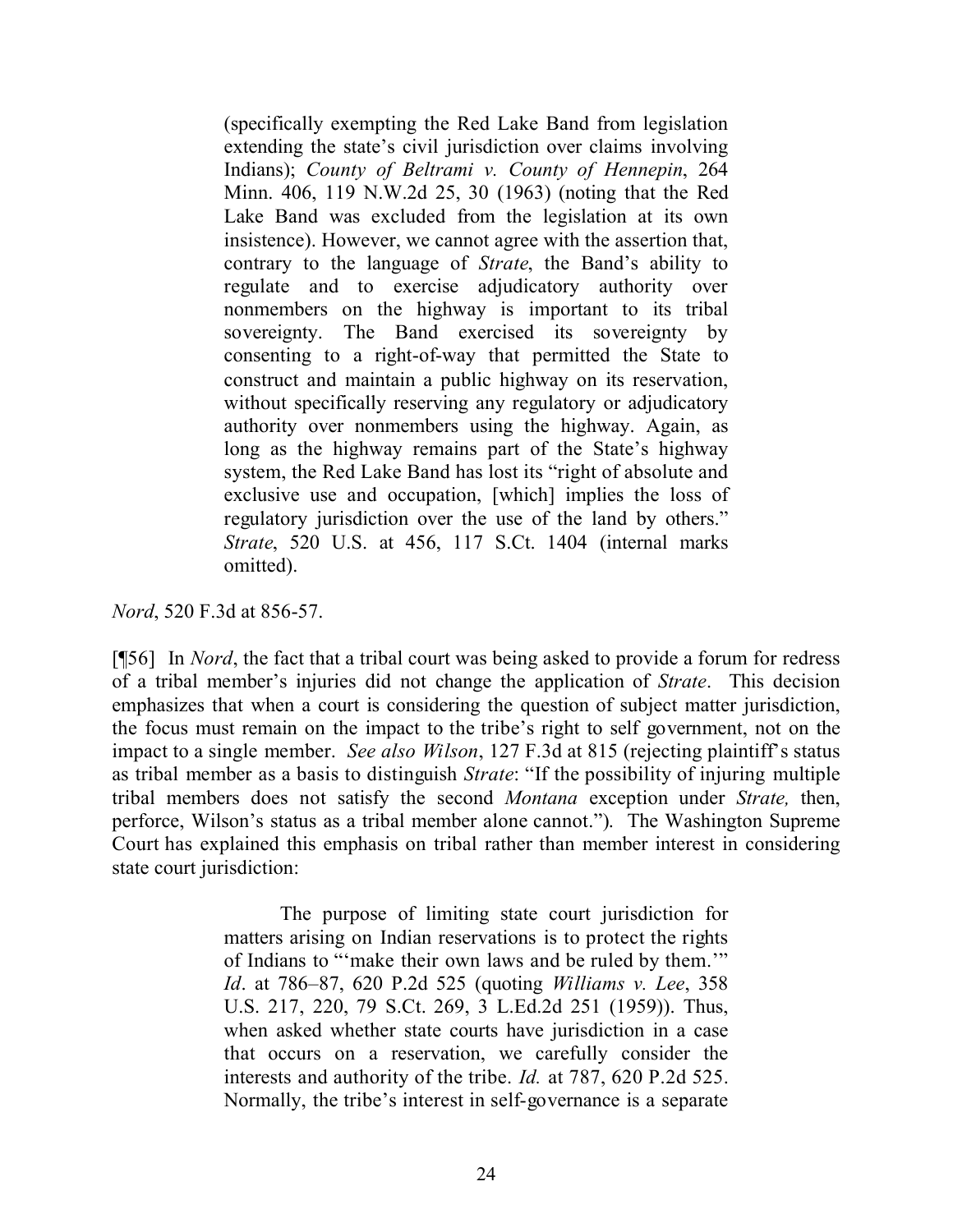(specifically exempting the Red Lake Band from legislation extending the state's civil jurisdiction over claims involving Indians); *County of Beltrami v. County of Hennepin*, 264 Minn. 406, 119 N.W.2d 25, 30 (1963) (noting that the Red Lake Band was excluded from the legislation at its own insistence). However, we cannot agree with the assertion that, contrary to the language of *Strate*, the Band's ability to regulate and to exercise adjudicatory authority over nonmembers on the highway is important to its tribal sovereignty. The Band exercised its sovereignty by consenting to a right-of-way that permitted the State to construct and maintain a public highway on its reservation, without specifically reserving any regulatory or adjudicatory authority over nonmembers using the highway. Again, as long as the highway remains part of the State's highway system, the Red Lake Band has lost its "right of absolute and exclusive use and occupation, [which] implies the loss of regulatory jurisdiction over the use of the land by others." *Strate*, 520 U.S. at 456, 117 S.Ct. 1404 (internal marks omitted).

*Nord*, 520 F.3d at 856-57.

[¶56] In *Nord*, the fact that a tribal court was being asked to provide a forum for redress of a tribal member's injuries did not change the application of *Strate*. This decision emphasizes that when a court is considering the question of subject matter jurisdiction, the focus must remain on the impact to the tribe's right to self government, not on the impact to a single member. *See also Wilson*, 127 F.3d at 815 (rejecting plaintiff's status as tribal member as a basis to distinguish *Strate*: "If the possibility of injuring multiple tribal members does not satisfy the second *Montana* exception under *Strate,* then, perforce, Wilson's status as a tribal member alone cannot."). The Washington Supreme Court has explained this emphasis on tribal rather than member interest in considering state court jurisdiction:

> The purpose of limiting state court jurisdiction for matters arising on Indian reservations is to protect the rights of Indians to "'make their own laws and be ruled by them.'" *Id*. at 786–87, 620 P.2d 525 (quoting *Williams v. Lee*, 358 U.S. 217, 220, 79 S.Ct. 269, 3 L.Ed.2d 251 (1959)). Thus, when asked whether state courts have jurisdiction in a case that occurs on a reservation, we carefully consider the interests and authority of the tribe. *Id.* at 787, 620 P.2d 525. Normally, the tribe's interest in self-governance is a separate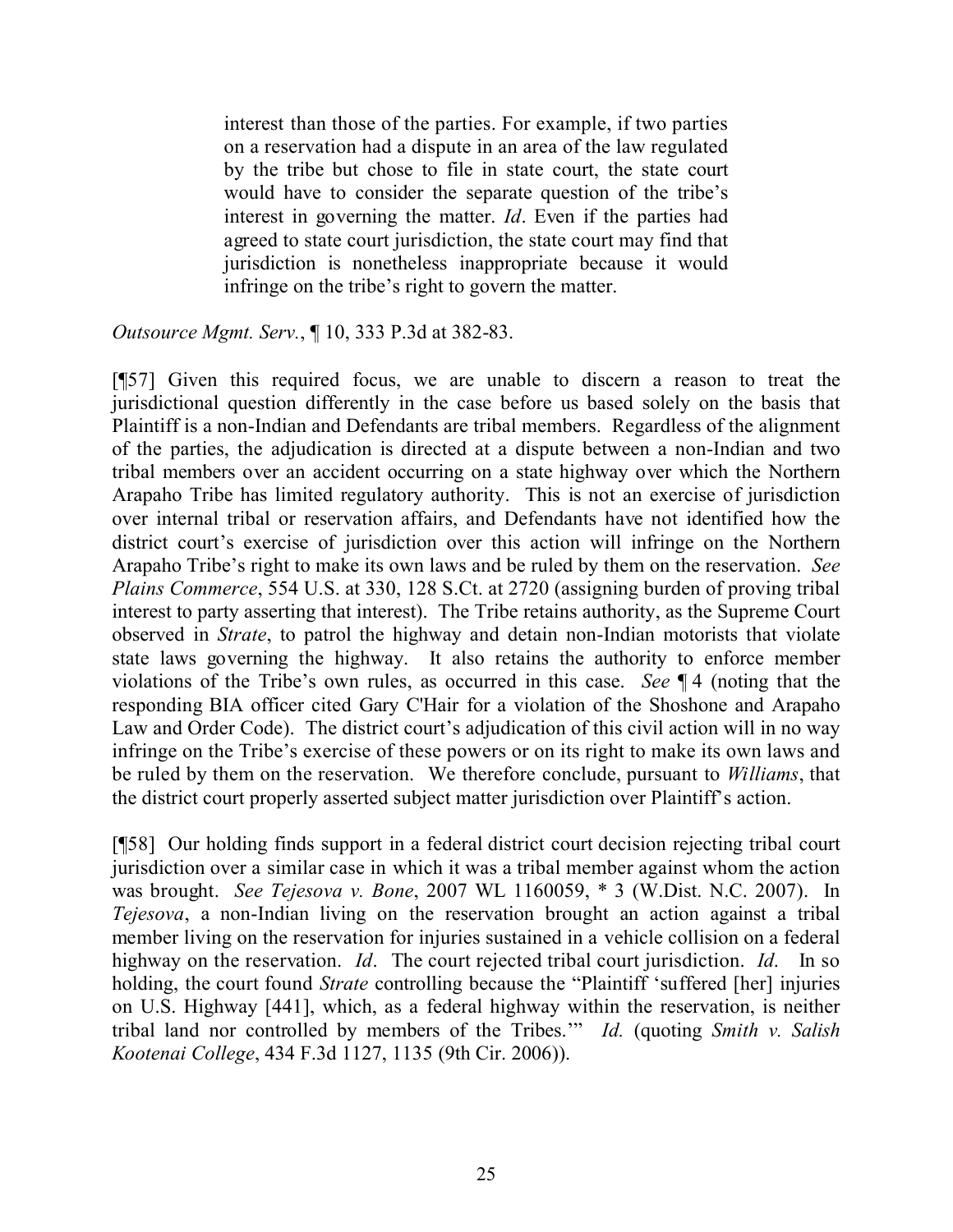interest than those of the parties. For example, if two parties on a reservation had a dispute in an area of the law regulated by the tribe but chose to file in state court, the state court would have to consider the separate question of the tribe's interest in governing the matter. *Id*. Even if the parties had agreed to state court jurisdiction, the state court may find that jurisdiction is nonetheless inappropriate because it would infringe on the tribe's right to govern the matter.

*Outsource Mgmt. Serv.*, ¶ 10, 333 P.3d at 382-83.

[¶57] Given this required focus, we are unable to discern a reason to treat the jurisdictional question differently in the case before us based solely on the basis that Plaintiff is a non-Indian and Defendants are tribal members. Regardless of the alignment of the parties, the adjudication is directed at a dispute between a non-Indian and two tribal members over an accident occurring on a state highway over which the Northern Arapaho Tribe has limited regulatory authority. This is not an exercise of jurisdiction over internal tribal or reservation affairs, and Defendants have not identified how the district court's exercise of jurisdiction over this action will infringe on the Northern Arapaho Tribe's right to make its own laws and be ruled by them on the reservation. *See Plains Commerce*, 554 U.S. at 330, 128 S.Ct. at 2720 (assigning burden of proving tribal interest to party asserting that interest). The Tribe retains authority, as the Supreme Court observed in *Strate*, to patrol the highway and detain non-Indian motorists that violate state laws governing the highway. It also retains the authority to enforce member violations of the Tribe's own rules, as occurred in this case. *See* ¶ 4 (noting that the responding BIA officer cited Gary C'Hair for a violation of the Shoshone and Arapaho Law and Order Code). The district court's adjudication of this civil action will in no way infringe on the Tribe's exercise of these powers or on its right to make its own laws and be ruled by them on the reservation. We therefore conclude, pursuant to *Williams*, that the district court properly asserted subject matter jurisdiction over Plaintiff's action.

[¶58] Our holding finds support in a federal district court decision rejecting tribal court jurisdiction over a similar case in which it was a tribal member against whom the action was brought. *See Tejesova v. Bone*, 2007 WL 1160059, \* 3 (W.Dist. N.C. 2007). In *Tejesova*, a non-Indian living on the reservation brought an action against a tribal member living on the reservation for injuries sustained in a vehicle collision on a federal highway on the reservation. *Id*. The court rejected tribal court jurisdiction. *Id*. In so holding, the court found *Strate* controlling because the "Plaintiff 'suffered [her] injuries on U.S. Highway [441], which, as a federal highway within the reservation, is neither tribal land nor controlled by members of the Tribes.'" *Id.* (quoting *Smith v. Salish Kootenai College*, 434 F.3d 1127, 1135 (9th Cir. 2006)).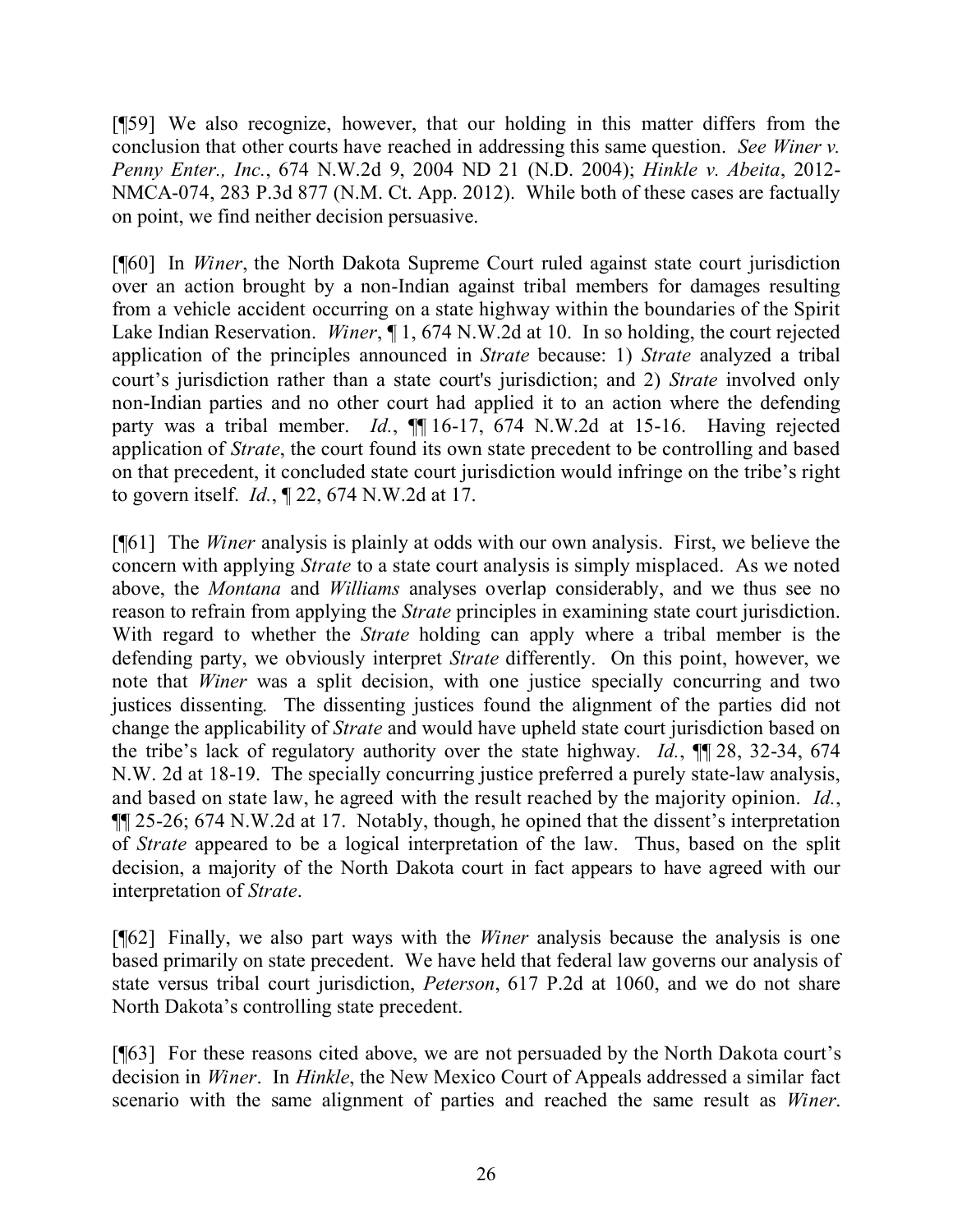[¶59] We also recognize, however, that our holding in this matter differs from the conclusion that other courts have reached in addressing this same question. *See Winer v. Penny Enter., Inc.*, 674 N.W.2d 9, 2004 ND 21 (N.D. 2004); *Hinkle v. Abeita*, 2012- NMCA-074, 283 P.3d 877 (N.M. Ct. App. 2012). While both of these cases are factually on point, we find neither decision persuasive.

[¶60] In *Winer*, the North Dakota Supreme Court ruled against state court jurisdiction over an action brought by a non-Indian against tribal members for damages resulting from a vehicle accident occurring on a state highway within the boundaries of the Spirit Lake Indian Reservation. *Winer*, ¶ 1, 674 N.W.2d at 10. In so holding, the court rejected application of the principles announced in *Strate* because: 1) *Strate* analyzed a tribal court's jurisdiction rather than a state court's jurisdiction; and 2) *Strate* involved only non-Indian parties and no other court had applied it to an action where the defending party was a tribal member. *Id.*, **[1** 16-17, 674 N.W.2d at 15-16. Having rejected application of *Strate*, the court found its own state precedent to be controlling and based on that precedent, it concluded state court jurisdiction would infringe on the tribe's right to govern itself. *Id.*, ¶ 22, 674 N.W.2d at 17.

[¶61] The *Winer* analysis is plainly at odds with our own analysis. First, we believe the concern with applying *Strate* to a state court analysis is simply misplaced. As we noted above, the *Montana* and *Williams* analyses overlap considerably, and we thus see no reason to refrain from applying the *Strate* principles in examining state court jurisdiction. With regard to whether the *Strate* holding can apply where a tribal member is the defending party, we obviously interpret *Strate* differently. On this point, however, we note that *Winer* was a split decision, with one justice specially concurring and two justices dissenting. The dissenting justices found the alignment of the parties did not change the applicability of *Strate* and would have upheld state court jurisdiction based on the tribe's lack of regulatory authority over the state highway. *Id.*, ¶¶ 28, 32-34, 674 N.W. 2d at 18-19. The specially concurring justice preferred a purely state-law analysis, and based on state law, he agreed with the result reached by the majority opinion. *Id.*, ¶¶ 25-26; 674 N.W.2d at 17. Notably, though, he opined that the dissent's interpretation of *Strate* appeared to be a logical interpretation of the law. Thus, based on the split decision, a majority of the North Dakota court in fact appears to have agreed with our interpretation of *Strate*.

[¶62] Finally, we also part ways with the *Winer* analysis because the analysis is one based primarily on state precedent. We have held that federal law governs our analysis of state versus tribal court jurisdiction, *Peterson*, 617 P.2d at 1060, and we do not share North Dakota's controlling state precedent.

[¶63] For these reasons cited above, we are not persuaded by the North Dakota court's decision in *Winer*. In *Hinkle*, the New Mexico Court of Appeals addressed a similar fact scenario with the same alignment of parties and reached the same result as *Winer*.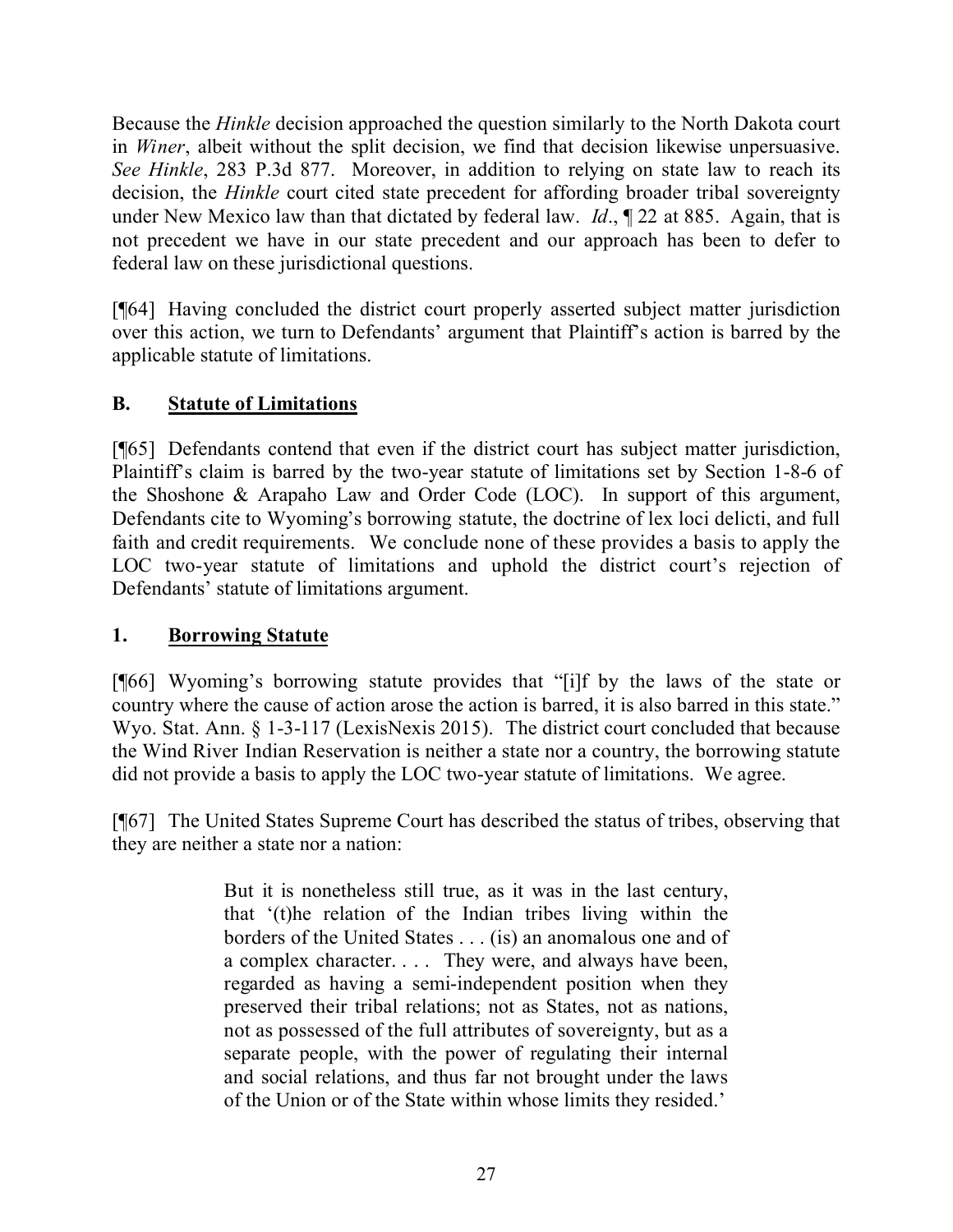Because the *Hinkle* decision approached the question similarly to the North Dakota court in *Winer*, albeit without the split decision, we find that decision likewise unpersuasive. *See Hinkle*, 283 P.3d 877. Moreover, in addition to relying on state law to reach its decision, the *Hinkle* court cited state precedent for affording broader tribal sovereignty under New Mexico law than that dictated by federal law. *Id*., ¶ 22 at 885. Again, that is not precedent we have in our state precedent and our approach has been to defer to federal law on these jurisdictional questions.

[¶64] Having concluded the district court properly asserted subject matter jurisdiction over this action, we turn to Defendants' argument that Plaintiff's action is barred by the applicable statute of limitations.

# **B. Statute of Limitations**

[¶65] Defendants contend that even if the district court has subject matter jurisdiction, Plaintiff's claim is barred by the two-year statute of limitations set by Section 1-8-6 of the Shoshone & Arapaho Law and Order Code (LOC). In support of this argument, Defendants cite to Wyoming's borrowing statute, the doctrine of lex loci delicti, and full faith and credit requirements. We conclude none of these provides a basis to apply the LOC two-year statute of limitations and uphold the district court's rejection of Defendants' statute of limitations argument.

## **1. Borrowing Statute**

[¶66] Wyoming's borrowing statute provides that "[i]f by the laws of the state or country where the cause of action arose the action is barred, it is also barred in this state." Wyo. Stat. Ann. § 1-3-117 (LexisNexis 2015). The district court concluded that because the Wind River Indian Reservation is neither a state nor a country, the borrowing statute did not provide a basis to apply the LOC two-year statute of limitations. We agree.

[¶67] The United States Supreme Court has described the status of tribes, observing that they are neither a state nor a nation:

> But it is nonetheless still true, as it was in the last century, that '(t)he relation of the Indian tribes living within the borders of the United States . . . (is) an anomalous one and of a complex character. . . . They were, and always have been, regarded as having a semi-independent position when they preserved their tribal relations; not as States, not as nations, not as possessed of the full attributes of sovereignty, but as a separate people, with the power of regulating their internal and social relations, and thus far not brought under the laws of the Union or of the State within whose limits they resided.'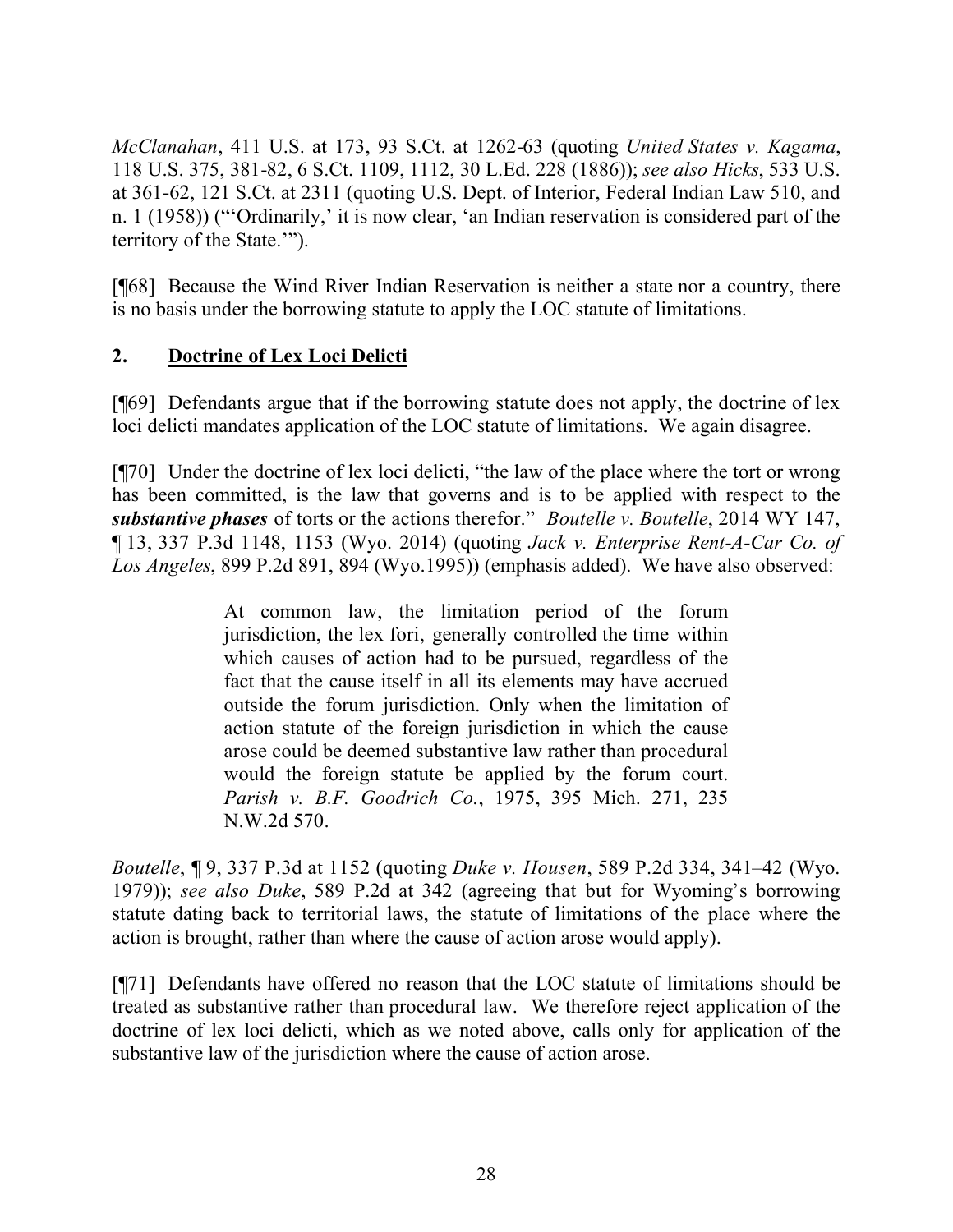*McClanahan*, 411 U.S. at 173, 93 S.Ct. at 1262-63 (quoting *United States v. Kagama*, 118 U.S. 375, 381-82, 6 S.Ct. 1109, 1112, 30 L.Ed. 228 (1886)); *see also Hicks*, 533 U.S. at 361-62, 121 S.Ct. at 2311 (quoting U.S. Dept. of Interior, Federal Indian Law 510, and n. 1 (1958)) ("'Ordinarily,' it is now clear, 'an Indian reservation is considered part of the territory of the State.'").

[¶68] Because the Wind River Indian Reservation is neither a state nor a country, there is no basis under the borrowing statute to apply the LOC statute of limitations.

# **2. Doctrine of Lex Loci Delicti**

[¶69] Defendants argue that if the borrowing statute does not apply, the doctrine of lex loci delicti mandates application of the LOC statute of limitations. We again disagree.

[¶70] Under the doctrine of lex loci delicti, "the law of the place where the tort or wrong has been committed, is the law that governs and is to be applied with respect to the *substantive phases* of torts or the actions therefor." *Boutelle v. Boutelle*, 2014 WY 147, ¶ 13, 337 P.3d 1148, 1153 (Wyo. 2014) (quoting *Jack v. Enterprise Rent-A-Car Co. of Los Angeles*, 899 P.2d 891, 894 (Wyo.1995)) (emphasis added). We have also observed:

> At common law, the limitation period of the forum jurisdiction, the lex fori, generally controlled the time within which causes of action had to be pursued, regardless of the fact that the cause itself in all its elements may have accrued outside the forum jurisdiction. Only when the limitation of action statute of the foreign jurisdiction in which the cause arose could be deemed substantive law rather than procedural would the foreign statute be applied by the forum court. *Parish v. B.F. Goodrich Co.*, 1975, 395 Mich. 271, 235 N.W.2d 570.

*Boutelle*, ¶ 9, 337 P.3d at 1152 (quoting *Duke v. Housen*, 589 P.2d 334, 341–42 (Wyo. 1979)); *see also Duke*, 589 P.2d at 342 (agreeing that but for Wyoming's borrowing statute dating back to territorial laws, the statute of limitations of the place where the action is brought, rather than where the cause of action arose would apply).

[¶71] Defendants have offered no reason that the LOC statute of limitations should be treated as substantive rather than procedural law. We therefore reject application of the doctrine of lex loci delicti, which as we noted above, calls only for application of the substantive law of the jurisdiction where the cause of action arose.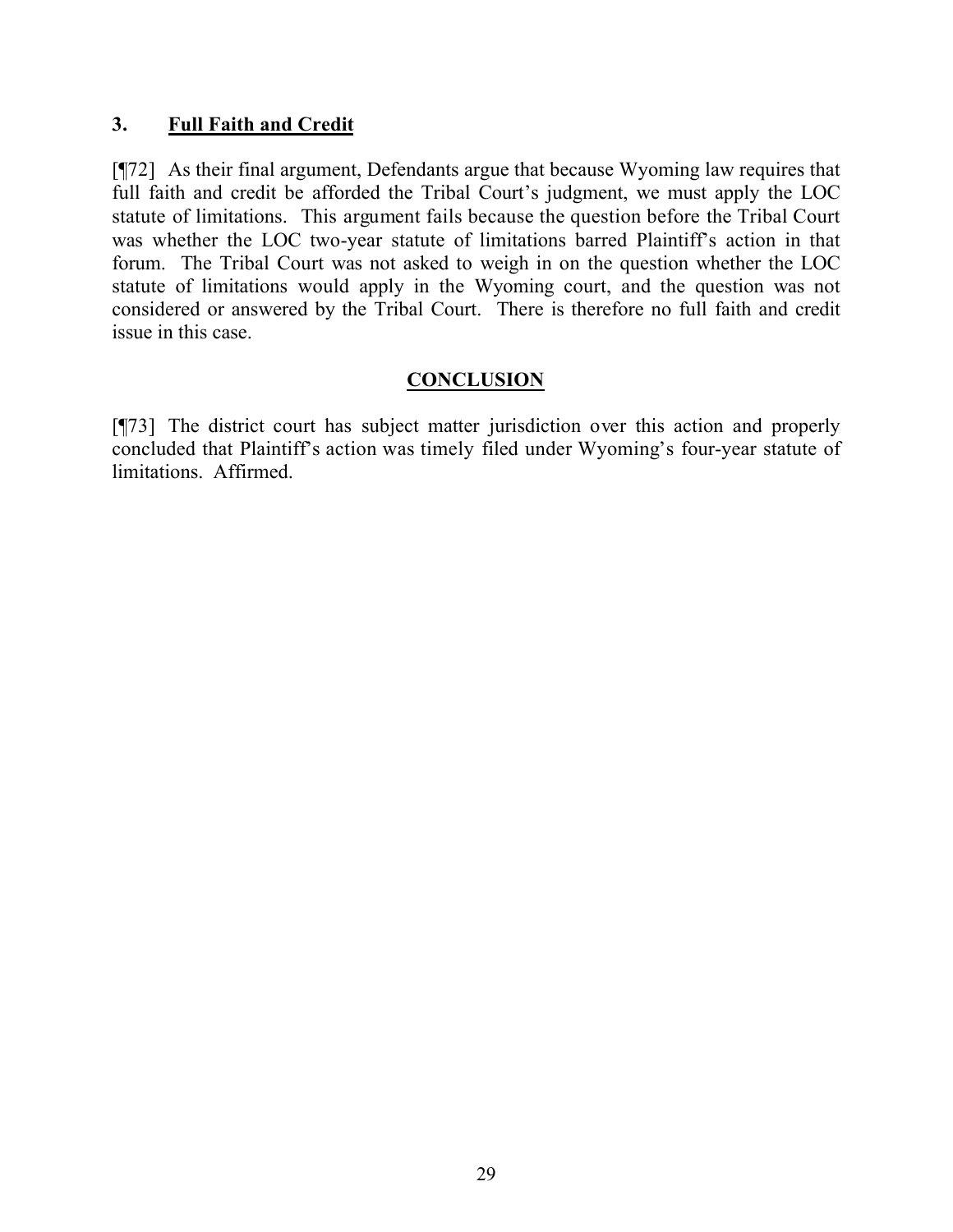## **3. Full Faith and Credit**

[¶72] As their final argument, Defendants argue that because Wyoming law requires that full faith and credit be afforded the Tribal Court's judgment, we must apply the LOC statute of limitations. This argument fails because the question before the Tribal Court was whether the LOC two-year statute of limitations barred Plaintiff's action in that forum. The Tribal Court was not asked to weigh in on the question whether the LOC statute of limitations would apply in the Wyoming court, and the question was not considered or answered by the Tribal Court. There is therefore no full faith and credit issue in this case.

## **CONCLUSION**

[¶73] The district court has subject matter jurisdiction over this action and properly concluded that Plaintiff's action was timely filed under Wyoming's four-year statute of limitations. Affirmed.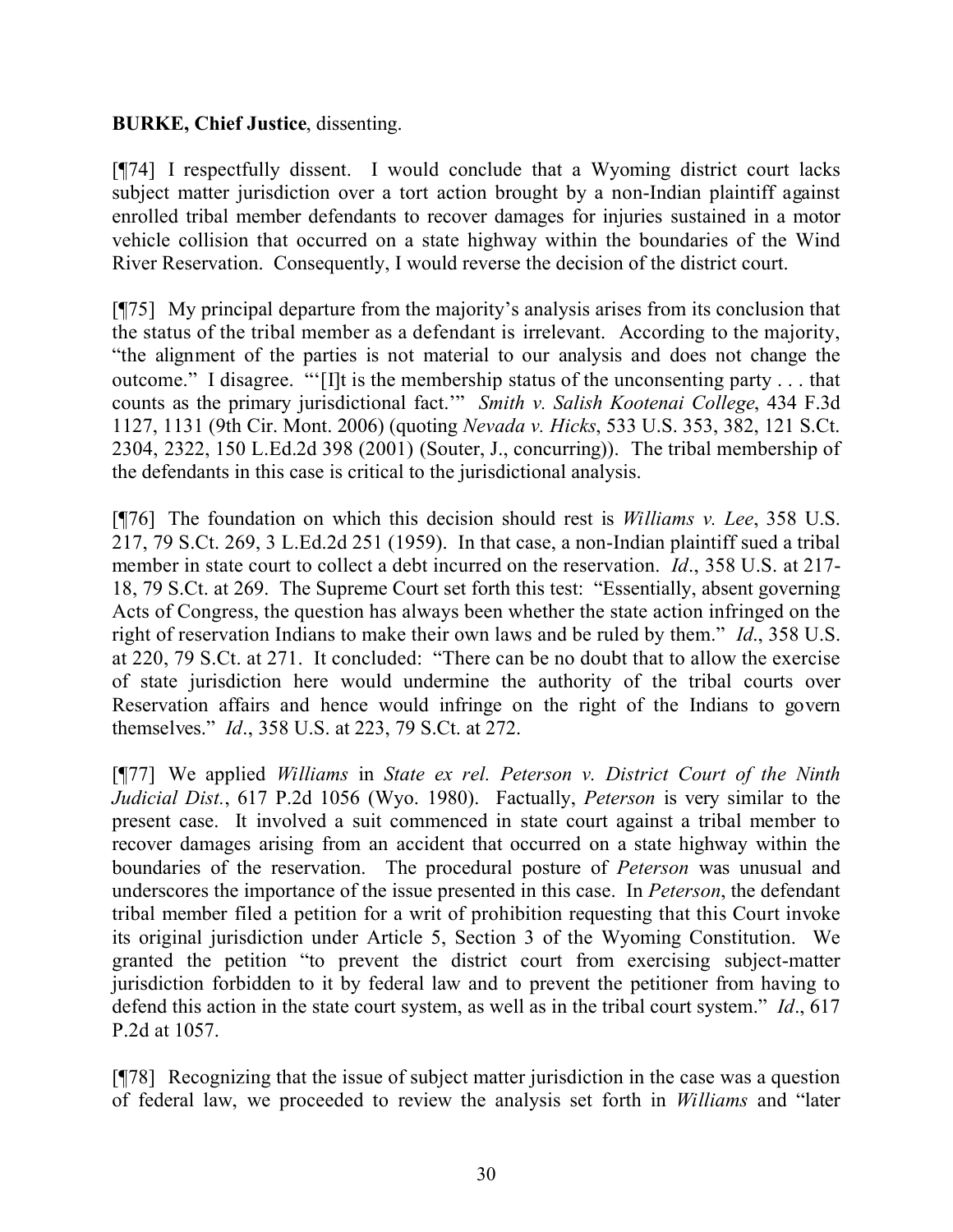### **BURKE, Chief Justice**, dissenting.

[¶74] I respectfully dissent. I would conclude that a Wyoming district court lacks subject matter jurisdiction over a tort action brought by a non-Indian plaintiff against enrolled tribal member defendants to recover damages for injuries sustained in a motor vehicle collision that occurred on a state highway within the boundaries of the Wind River Reservation. Consequently, I would reverse the decision of the district court.

[¶75] My principal departure from the majority's analysis arises from its conclusion that the status of the tribal member as a defendant is irrelevant. According to the majority, "the alignment of the parties is not material to our analysis and does not change the outcome." I disagree. "'[I]t is the membership status of the unconsenting party . . . that counts as the primary jurisdictional fact.'" *Smith v. Salish Kootenai College*, 434 F.3d 1127, 1131 (9th Cir. Mont. 2006) (quoting *Nevada v. Hicks*, 533 U.S. 353, 382, 121 S.Ct. 2304, 2322, 150 L.Ed.2d 398 (2001) (Souter, J., concurring)). The tribal membership of the defendants in this case is critical to the jurisdictional analysis.

[¶76] The foundation on which this decision should rest is *Williams v. Lee*, 358 U.S. 217, 79 S.Ct. 269, 3 L.Ed.2d 251 (1959). In that case, a non-Indian plaintiff sued a tribal member in state court to collect a debt incurred on the reservation. *Id*., 358 U.S. at 217- 18, 79 S.Ct. at 269. The Supreme Court set forth this test: "Essentially, absent governing Acts of Congress, the question has always been whether the state action infringed on the right of reservation Indians to make their own laws and be ruled by them." *Id*., 358 U.S. at 220, 79 S.Ct. at 271. It concluded: "There can be no doubt that to allow the exercise of state jurisdiction here would undermine the authority of the tribal courts over Reservation affairs and hence would infringe on the right of the Indians to govern themselves." *Id*., 358 U.S. at 223, 79 S.Ct. at 272.

[¶77] We applied *Williams* in *State ex rel. Peterson v. District Court of the Ninth Judicial Dist.*, 617 P.2d 1056 (Wyo. 1980). Factually, *Peterson* is very similar to the present case. It involved a suit commenced in state court against a tribal member to recover damages arising from an accident that occurred on a state highway within the boundaries of the reservation. The procedural posture of *Peterson* was unusual and underscores the importance of the issue presented in this case. In *Peterson*, the defendant tribal member filed a petition for a writ of prohibition requesting that this Court invoke its original jurisdiction under Article 5, Section 3 of the Wyoming Constitution. We granted the petition "to prevent the district court from exercising subject-matter jurisdiction forbidden to it by federal law and to prevent the petitioner from having to defend this action in the state court system, as well as in the tribal court system." *Id*., 617 P.2d at 1057.

[¶78] Recognizing that the issue of subject matter jurisdiction in the case was a question of federal law, we proceeded to review the analysis set forth in *Williams* and "later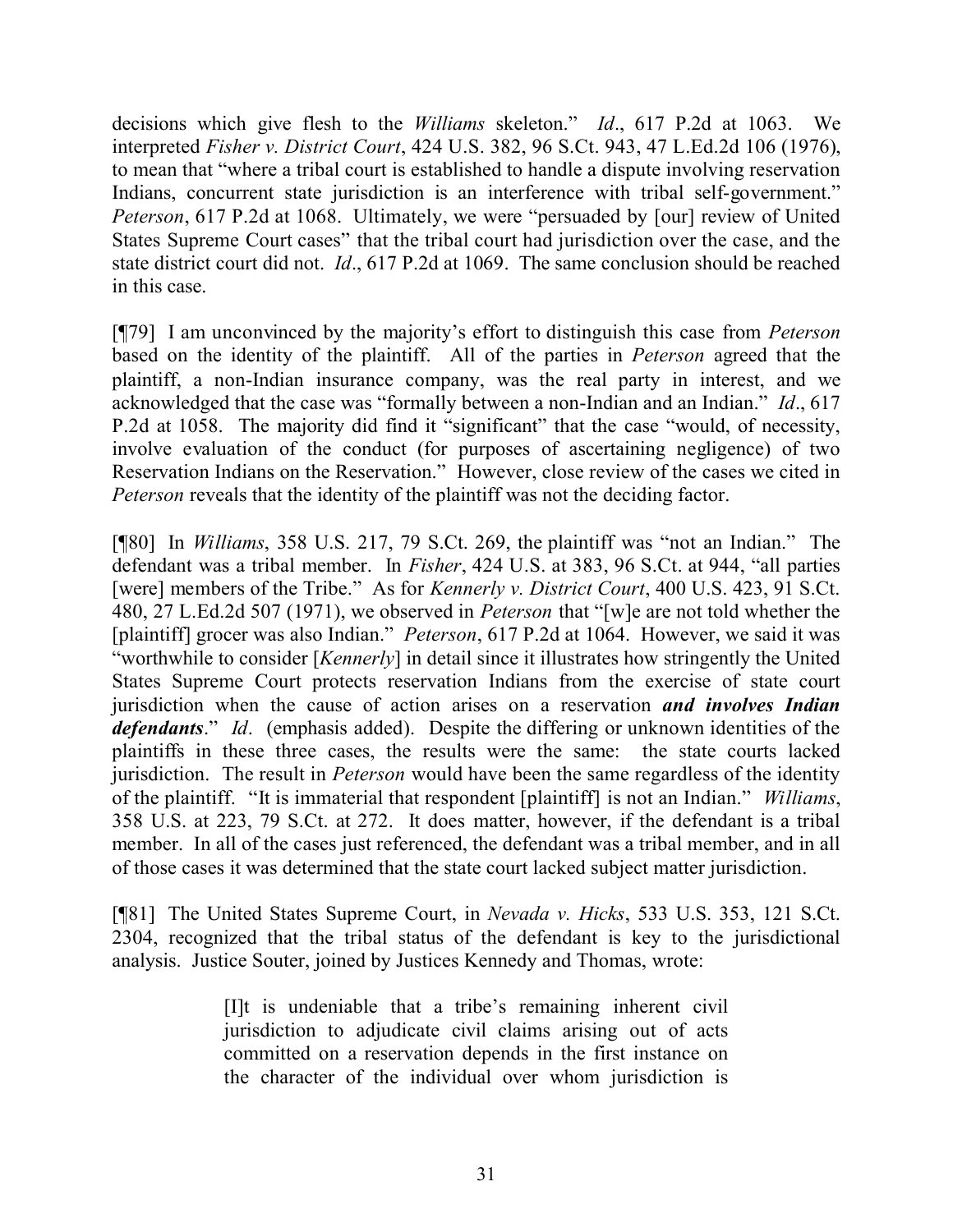decisions which give flesh to the *Williams* skeleton." *Id*., 617 P.2d at 1063. We interpreted *Fisher v. District Court*, 424 U.S. 382, 96 S.Ct. 943, 47 L.Ed.2d 106 (1976), to mean that "where a tribal court is established to handle a dispute involving reservation Indians, concurrent state jurisdiction is an interference with tribal self-government." *Peterson*, 617 P.2d at 1068. Ultimately, we were "persuaded by [our] review of United States Supreme Court cases" that the tribal court had jurisdiction over the case, and the state district court did not. *Id*., 617 P.2d at 1069. The same conclusion should be reached in this case.

[¶79] I am unconvinced by the majority's effort to distinguish this case from *Peterson* based on the identity of the plaintiff. All of the parties in *Peterson* agreed that the plaintiff, a non-Indian insurance company, was the real party in interest, and we acknowledged that the case was "formally between a non-Indian and an Indian." *Id*., 617 P.2d at 1058. The majority did find it "significant" that the case "would, of necessity, involve evaluation of the conduct (for purposes of ascertaining negligence) of two Reservation Indians on the Reservation." However, close review of the cases we cited in *Peterson* reveals that the identity of the plaintiff was not the deciding factor.

[¶80] In *Williams*, 358 U.S. 217, 79 S.Ct. 269, the plaintiff was "not an Indian." The defendant was a tribal member. In *Fisher*, 424 U.S. at 383, 96 S.Ct. at 944, "all parties [were] members of the Tribe." As for *Kennerly v. District Court*, 400 U.S. 423, 91 S.Ct. 480, 27 L.Ed.2d 507 (1971), we observed in *Peterson* that "[w]e are not told whether the [plaintiff] grocer was also Indian." *Peterson*, 617 P.2d at 1064. However, we said it was "worthwhile to consider [*Kennerly*] in detail since it illustrates how stringently the United States Supreme Court protects reservation Indians from the exercise of state court jurisdiction when the cause of action arises on a reservation *and involves Indian defendants*." *Id*. (emphasis added). Despite the differing or unknown identities of the plaintiffs in these three cases, the results were the same: the state courts lacked jurisdiction. The result in *Peterson* would have been the same regardless of the identity of the plaintiff. "It is immaterial that respondent [plaintiff] is not an Indian." *Williams*, 358 U.S. at 223, 79 S.Ct. at 272. It does matter, however, if the defendant is a tribal member. In all of the cases just referenced, the defendant was a tribal member, and in all of those cases it was determined that the state court lacked subject matter jurisdiction.

[¶81] The United States Supreme Court, in *Nevada v. Hicks*, 533 U.S. 353, 121 S.Ct. 2304, recognized that the tribal status of the defendant is key to the jurisdictional analysis. Justice Souter, joined by Justices Kennedy and Thomas, wrote:

> [I]t is undeniable that a tribe's remaining inherent civil jurisdiction to adjudicate civil claims arising out of acts committed on a reservation depends in the first instance on the character of the individual over whom jurisdiction is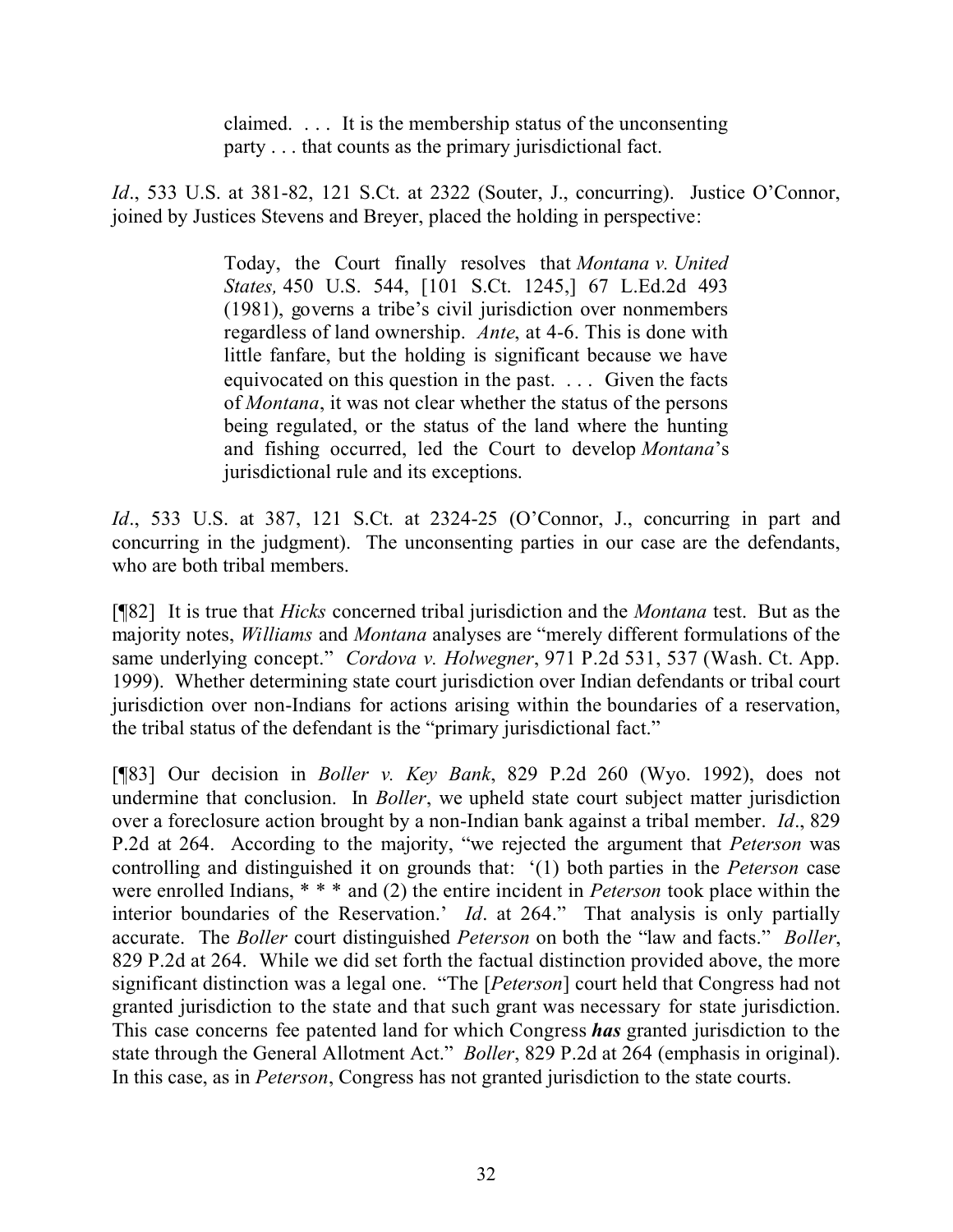claimed. . . . It is the membership status of the unconsenting party . . . that counts as the primary jurisdictional fact.

*Id.*, 533 U.S. at 381-82, 121 S.Ct. at 2322 (Souter, J., concurring). Justice O'Connor, joined by Justices Stevens and Breyer, placed the holding in perspective:

> Today, the Court finally resolves that *Montana v. United States,* 450 U.S. 544, [101 S.Ct. 1245,] 67 L.Ed.2d 493 (1981), governs a tribe's civil jurisdiction over nonmembers regardless of land ownership. *Ante*, at 4-6. This is done with little fanfare, but the holding is significant because we have equivocated on this question in the past. . . . Given the facts of *Montana*, it was not clear whether the status of the persons being regulated, or the status of the land where the hunting and fishing occurred, led the Court to develop *Montana*'s jurisdictional rule and its exceptions.

*Id.*, 533 U.S. at 387, 121 S.Ct. at 2324-25 (O'Connor, J., concurring in part and concurring in the judgment). The unconsenting parties in our case are the defendants, who are both tribal members.

[¶82] It is true that *Hicks* concerned tribal jurisdiction and the *Montana* test. But as the majority notes, *Williams* and *Montana* analyses are "merely different formulations of the same underlying concept." *Cordova v. Holwegner*, 971 P.2d 531, 537 (Wash. Ct. App. 1999). Whether determining state court jurisdiction over Indian defendants or tribal court jurisdiction over non-Indians for actions arising within the boundaries of a reservation, the tribal status of the defendant is the "primary jurisdictional fact."

[¶83] Our decision in *Boller v. Key Bank*, 829 P.2d 260 (Wyo. 1992), does not undermine that conclusion. In *Boller*, we upheld state court subject matter jurisdiction over a foreclosure action brought by a non-Indian bank against a tribal member. *Id*., 829 P.2d at 264. According to the majority, "we rejected the argument that *Peterson* was controlling and distinguished it on grounds that: '(1) both parties in the *Peterson* case were enrolled Indians, \* \* \* and (2) the entire incident in *Peterson* took place within the interior boundaries of the Reservation.' *Id*. at 264." That analysis is only partially accurate. The *Boller* court distinguished *Peterson* on both the "law and facts." *Boller*, 829 P.2d at 264. While we did set forth the factual distinction provided above, the more significant distinction was a legal one. "The [*Peterson*] court held that Congress had not granted jurisdiction to the state and that such grant was necessary for state jurisdiction. This case concerns fee patented land for which Congress *has* granted jurisdiction to the state through the General Allotment Act." *Boller*, 829 P.2d at 264 (emphasis in original). In this case, as in *Peterson*, Congress has not granted jurisdiction to the state courts.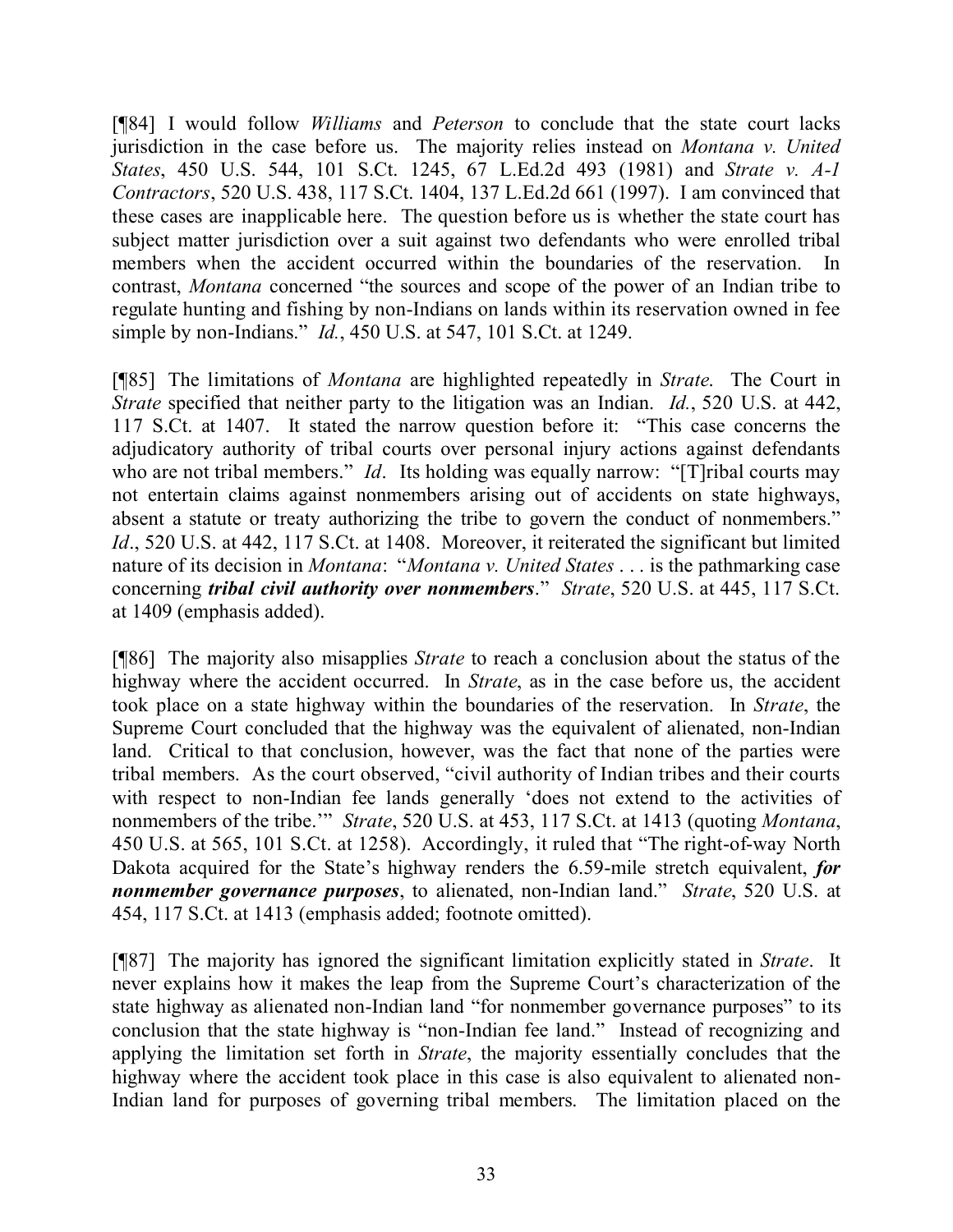[¶84] I would follow *Williams* and *Peterson* to conclude that the state court lacks jurisdiction in the case before us. The majority relies instead on *Montana v. United States*, 450 U.S. 544, 101 S.Ct. 1245, 67 L.Ed.2d 493 (1981) and *Strate v. A-1 Contractors*, 520 U.S. 438, 117 S.Ct. 1404, 137 L.Ed.2d 661 (1997). I am convinced that these cases are inapplicable here. The question before us is whether the state court has subject matter jurisdiction over a suit against two defendants who were enrolled tribal members when the accident occurred within the boundaries of the reservation. contrast, *Montana* concerned "the sources and scope of the power of an Indian tribe to regulate hunting and fishing by non-Indians on lands within its reservation owned in fee simple by non-Indians." *Id.*, 450 U.S. at 547, 101 S.Ct. at 1249.

[¶85] The limitations of *Montana* are highlighted repeatedly in *Strate*. The Court in *Strate* specified that neither party to the litigation was an Indian. *Id.*, 520 U.S. at 442, 117 S.Ct. at 1407. It stated the narrow question before it: "This case concerns the adjudicatory authority of tribal courts over personal injury actions against defendants who are not tribal members." *Id*. Its holding was equally narrow: "[T]ribal courts may not entertain claims against nonmembers arising out of accidents on state highways, absent a statute or treaty authorizing the tribe to govern the conduct of nonmembers." *Id.*, 520 U.S. at 442, 117 S.Ct. at 1408. Moreover, it reiterated the significant but limited nature of its decision in *Montana*: "*Montana v. United States* . . . is the pathmarking case concerning *tribal civil authority over nonmembers*." *Strate*, 520 U.S. at 445, 117 S.Ct. at 1409 (emphasis added).

[¶86] The majority also misapplies *Strate* to reach a conclusion about the status of the highway where the accident occurred. In *Strate*, as in the case before us, the accident took place on a state highway within the boundaries of the reservation. In *Strate*, the Supreme Court concluded that the highway was the equivalent of alienated, non-Indian land. Critical to that conclusion, however, was the fact that none of the parties were tribal members. As the court observed, "civil authority of Indian tribes and their courts with respect to non-Indian fee lands generally 'does not extend to the activities of nonmembers of the tribe.'" *Strate*, 520 U.S. at 453, 117 S.Ct. at 1413 (quoting *Montana*, 450 U.S. at 565, 101 S.Ct. at 1258). Accordingly, it ruled that "The right-of-way North Dakota acquired for the State's highway renders the 6.59-mile stretch equivalent, *for nonmember governance purposes*, to alienated, non-Indian land." *Strate*, 520 U.S. at 454, 117 S.Ct. at 1413 (emphasis added; footnote omitted).

[¶87] The majority has ignored the significant limitation explicitly stated in *Strate*. It never explains how it makes the leap from the Supreme Court's characterization of the state highway as alienated non-Indian land "for nonmember governance purposes" to its conclusion that the state highway is "non-Indian fee land." Instead of recognizing and applying the limitation set forth in *Strate*, the majority essentially concludes that the highway where the accident took place in this case is also equivalent to alienated non-Indian land for purposes of governing tribal members. The limitation placed on the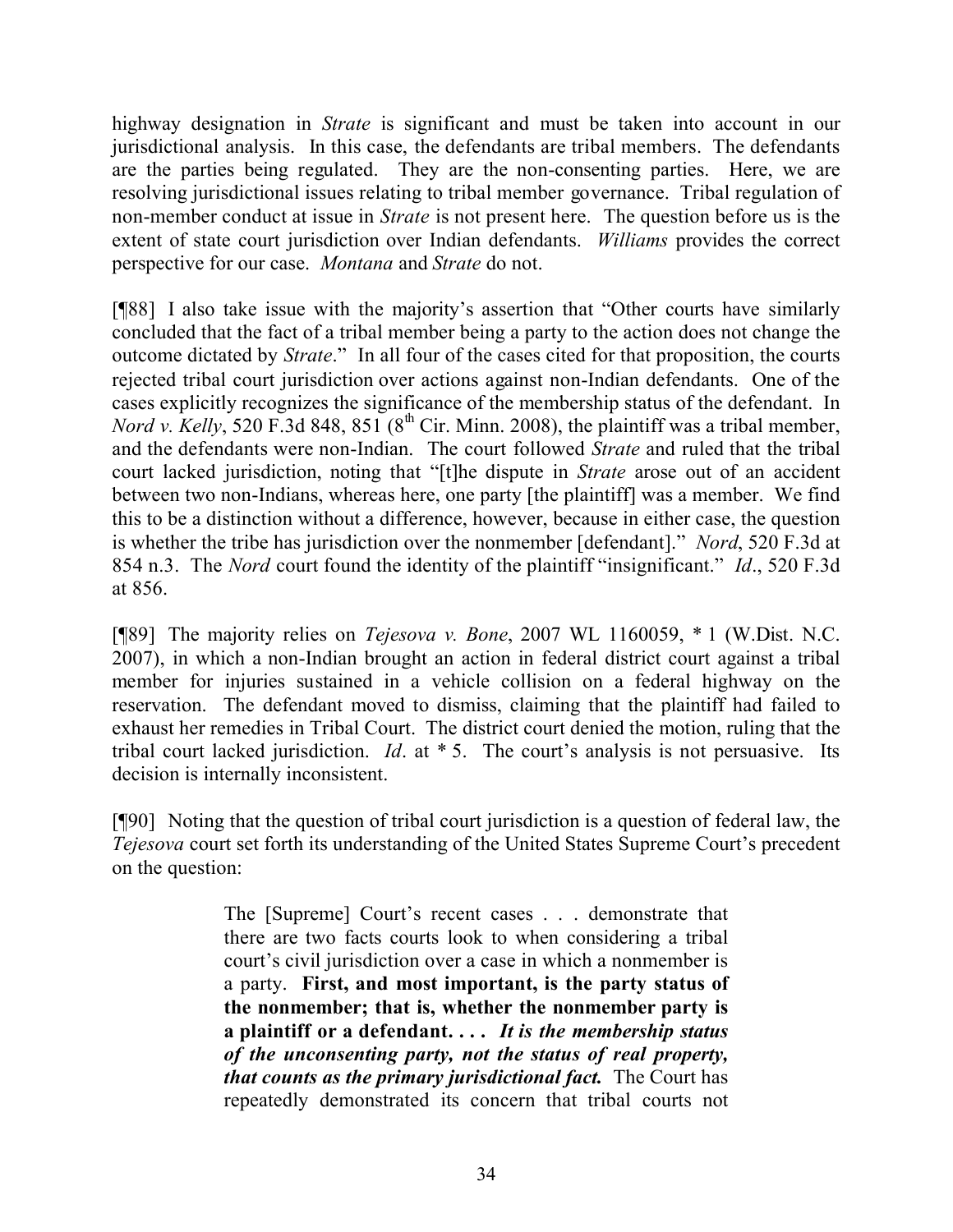highway designation in *Strate* is significant and must be taken into account in our jurisdictional analysis. In this case, the defendants are tribal members. The defendants are the parties being regulated. They are the non-consenting parties. Here, we are resolving jurisdictional issues relating to tribal member governance. Tribal regulation of non-member conduct at issue in *Strate* is not present here. The question before us is the extent of state court jurisdiction over Indian defendants. *Williams* provides the correct perspective for our case. *Montana* and *Strate* do not.

[¶88] I also take issue with the majority's assertion that "Other courts have similarly concluded that the fact of a tribal member being a party to the action does not change the outcome dictated by *Strate*." In all four of the cases cited for that proposition, the courts rejected tribal court jurisdiction over actions against non-Indian defendants. One of the cases explicitly recognizes the significance of the membership status of the defendant. In *Nord v.* Kelly, 520 F.3d 848, 851 ( $8<sup>th</sup>$  Cir. Minn. 2008), the plaintiff was a tribal member, and the defendants were non-Indian. The court followed *Strate* and ruled that the tribal court lacked jurisdiction, noting that "[t]he dispute in *Strate* arose out of an accident between two non-Indians, whereas here, one party [the plaintiff] was a member. We find this to be a distinction without a difference, however, because in either case, the question is whether the tribe has jurisdiction over the nonmember [defendant]." *Nord*, 520 F.3d at 854 n.3. The *Nord* court found the identity of the plaintiff "insignificant." *Id*., 520 F.3d at 856.

[¶89] The majority relies on *Tejesova v. Bone*, 2007 WL 1160059, \* 1 (W.Dist. N.C. 2007), in which a non-Indian brought an action in federal district court against a tribal member for injuries sustained in a vehicle collision on a federal highway on the reservation. The defendant moved to dismiss, claiming that the plaintiff had failed to exhaust her remedies in Tribal Court. The district court denied the motion, ruling that the tribal court lacked jurisdiction. *Id*. at \* 5. The court's analysis is not persuasive. Its decision is internally inconsistent.

[¶90] Noting that the question of tribal court jurisdiction is a question of federal law, the *Tejesova* court set forth its understanding of the United States Supreme Court's precedent on the question:

> The [Supreme] Court's recent cases . . . demonstrate that there are two facts courts look to when considering a tribal court's civil jurisdiction over a case in which a nonmember is a party. **First, and most important, is the party status of the nonmember; that is, whether the nonmember party is a plaintiff or a defendant. . . .** *It is the membership status of the unconsenting party, not the status of real property, that counts as the primary jurisdictional fact.* The Court has repeatedly demonstrated its concern that tribal courts not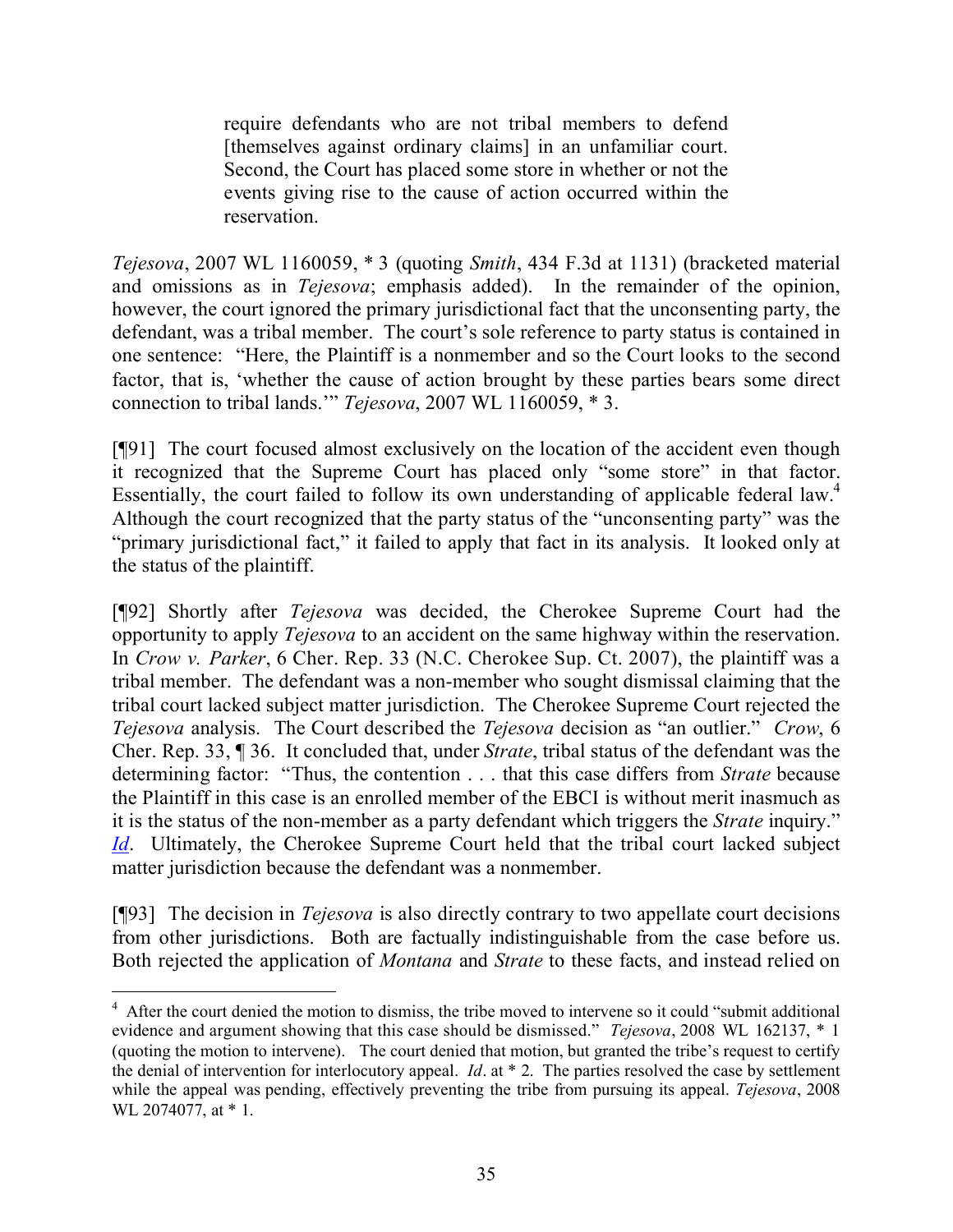require defendants who are not tribal members to defend [themselves against ordinary claims] in an unfamiliar court. Second, the Court has placed some store in whether or not the events giving rise to the cause of action occurred within the reservation.

*Tejesova*, 2007 WL 1160059, \* 3 (quoting *Smith*, 434 F.3d at 1131) (bracketed material and omissions as in *Tejesova*; emphasis added). In the remainder of the opinion, however, the court ignored the primary jurisdictional fact that the unconsenting party, the defendant, was a tribal member. The court's sole reference to party status is contained in one sentence: "Here, the Plaintiff is a nonmember and so the Court looks to the second factor, that is, 'whether the cause of action brought by these parties bears some direct connection to tribal lands.'" *Tejesova*, 2007 WL 1160059, \* 3.

[¶91] The court focused almost exclusively on the location of the accident even though it recognized that the Supreme Court has placed only "some store" in that factor. Essentially, the court failed to follow its own understanding of applicable federal law.<sup>4</sup> Although the court recognized that the party status of the "unconsenting party" was the "primary jurisdictional fact," it failed to apply that fact in its analysis. It looked only at the status of the plaintiff.

[¶92] Shortly after *Tejesova* was decided, the Cherokee Supreme Court had the opportunity to apply *Tejesova* to an accident on the same highway within the reservation. In *Crow v. Parker*, 6 Cher. Rep. 33 (N.C. Cherokee Sup. Ct. 2007), the plaintiff was a tribal member. The defendant was a non-member who sought dismissal claiming that the tribal court lacked subject matter jurisdiction. The Cherokee Supreme Court rejected the *Tejesova* analysis. The Court described the *Tejesova* decision as "an outlier." *Crow*, 6 Cher. Rep. 33, ¶ 36. It concluded that, under *Strate*, tribal status of the defendant was the determining factor: "Thus, the contention . . . that this case differs from *Strate* because the Plaintiff in this case is an enrolled member of the EBCI is without merit inasmuch as it is the status of the non-member as a party defendant which triggers the *Strate* inquiry." *Id.* Ultimately, the Cherokee Supreme Court held that the tribal court lacked subject matter jurisdiction because the defendant was a nonmember.

[¶93] The decision in *Tejesova* is also directly contrary to two appellate court decisions from other jurisdictions. Both are factually indistinguishable from the case before us. Both rejected the application of *Montana* and *Strate* to these facts, and instead relied on

 $\overline{a}$ 

<sup>&</sup>lt;sup>4</sup> After the court denied the motion to dismiss, the tribe moved to intervene so it could "submit additional" evidence and argument showing that this case should be dismissed." *Tejesova*, 2008 WL 162137, \* 1 (quoting the motion to intervene). The court denied that motion, but granted the tribe's request to certify the denial of intervention for interlocutory appeal. *Id*. at \* 2. The parties resolved the case by settlement while the appeal was pending, effectively preventing the tribe from pursuing its appeal. *Tejesova*, 2008 WL 2074077, at  $*$  1.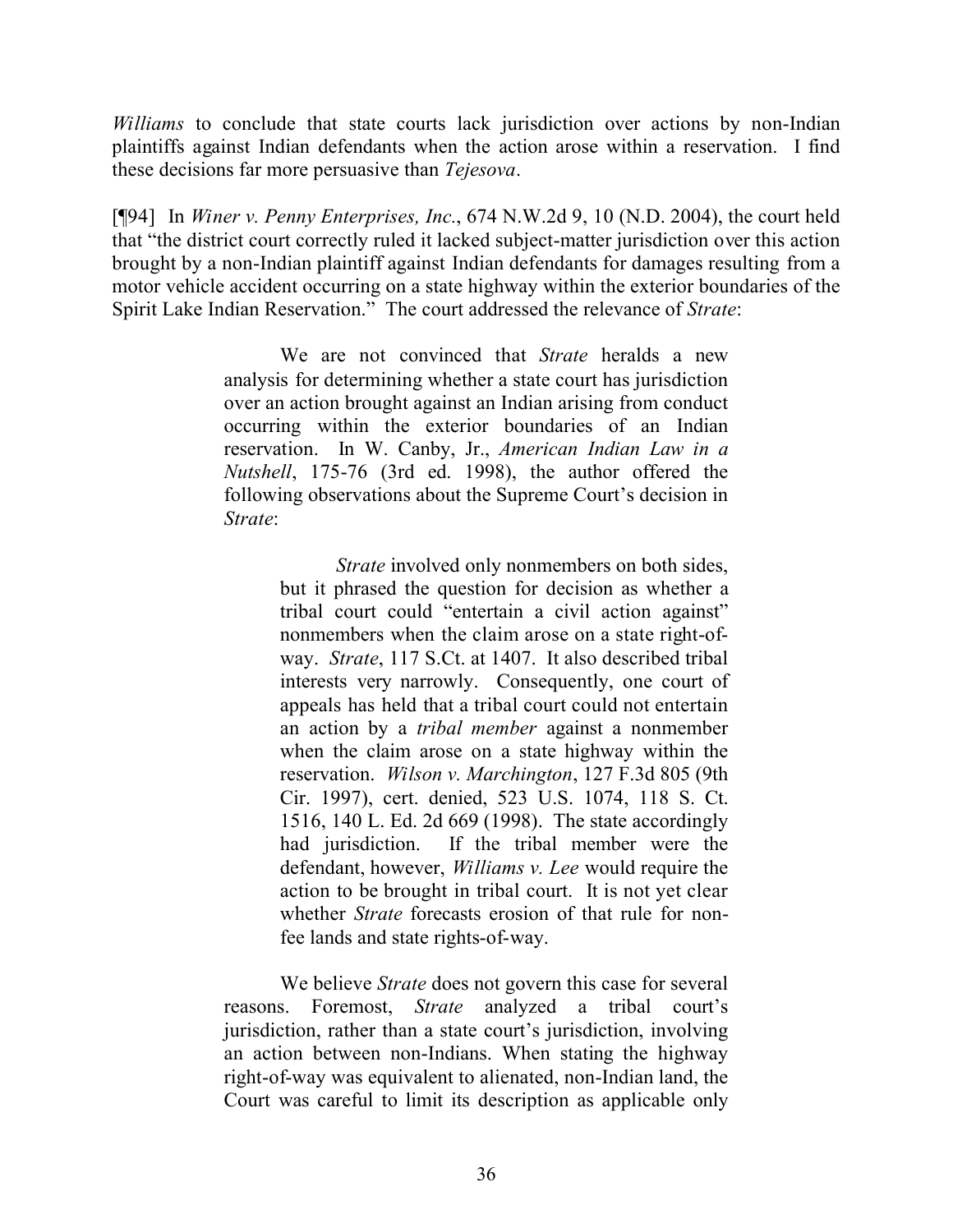*Williams* to conclude that state courts lack jurisdiction over actions by non-Indian plaintiffs against Indian defendants when the action arose within a reservation. I find these decisions far more persuasive than *Tejesova*.

[¶94] In *Winer v. Penny Enterprises, Inc.*, 674 N.W.2d 9, 10 (N.D. 2004), the court held that "the district court correctly ruled it lacked subject-matter jurisdiction over this action brought by a non-Indian plaintiff against Indian defendants for damages resulting from a motor vehicle accident occurring on a state highway within the exterior boundaries of the Spirit Lake Indian Reservation." The court addressed the relevance of *Strate*:

> We are not convinced that *Strate* heralds a new analysis for determining whether a state court has jurisdiction over an action brought against an Indian arising from conduct occurring within the exterior boundaries of an Indian reservation. In W. Canby, Jr., *American Indian Law in a Nutshell*, 175-76 (3rd ed. 1998), the author offered the following observations about the Supreme Court's decision in *Strate*:

> > *Strate* involved only nonmembers on both sides, but it phrased the question for decision as whether a tribal court could "entertain a civil action against" nonmembers when the claim arose on a state right-ofway. *Strate*, 117 S.Ct. at 1407. It also described tribal interests very narrowly. Consequently, one court of appeals has held that a tribal court could not entertain an action by a *tribal member* against a nonmember when the claim arose on a state highway within the reservation. *Wilson v. Marchington*, 127 F.3d 805 (9th Cir. 1997), cert. denied, 523 U.S. 1074, 118 S. Ct. 1516, 140 L. Ed. 2d 669 (1998). The state accordingly had jurisdiction. If the tribal member were the defendant, however, *Williams v. Lee* would require the action to be brought in tribal court. It is not yet clear whether *Strate* forecasts erosion of that rule for nonfee lands and state rights-of-way.

We believe *Strate* does not govern this case for several reasons. Foremost, *Strate* analyzed a tribal court's jurisdiction, rather than a state court's jurisdiction, involving an action between non-Indians. When stating the highway right-of-way was equivalent to alienated, non-Indian land, the Court was careful to limit its description as applicable only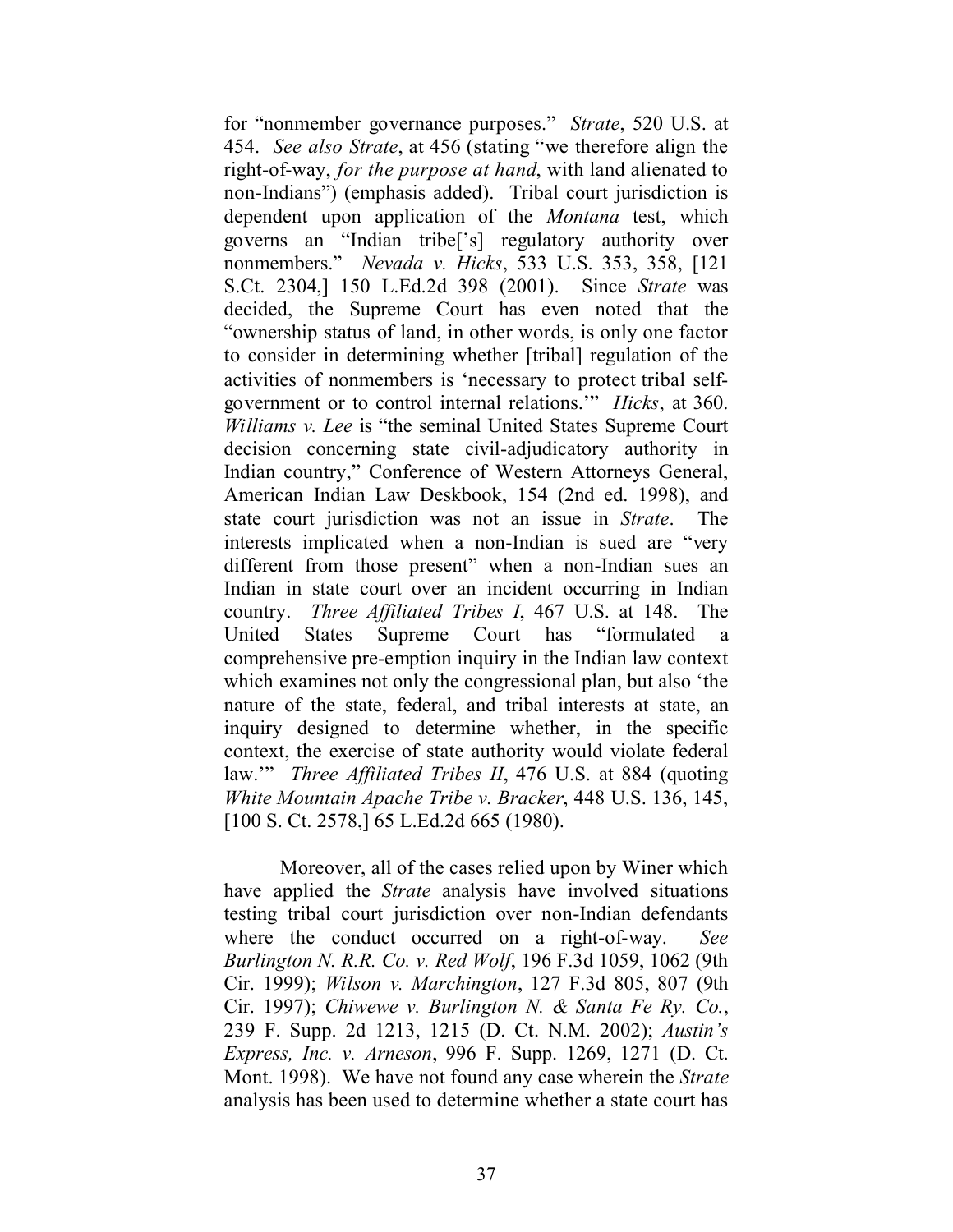for "nonmember governance purposes." *Strate*, 520 U.S. at 454. *See also Strate*, at 456 (stating "we therefore align the right-of-way, *for the purpose at hand*, with land alienated to non-Indians") (emphasis added). Tribal court jurisdiction is dependent upon application of the *Montana* test, which governs an "Indian tribe['s] regulatory authority over nonmembers." *Nevada v. Hicks*, 533 U.S. 353, 358, [121 S.Ct. 2304,] 150 L.Ed.2d 398 (2001). Since *Strate* was decided, the Supreme Court has even noted that the "ownership status of land, in other words, is only one factor to consider in determining whether [tribal] regulation of the activities of nonmembers is 'necessary to protect tribal selfgovernment or to control internal relations.'" *Hicks*, at 360. *Williams v. Lee* is "the seminal United States Supreme Court decision concerning state civil-adjudicatory authority in Indian country," Conference of Western Attorneys General, American Indian Law Deskbook, 154 (2nd ed. 1998), and state court jurisdiction was not an issue in *Strate*. The interests implicated when a non-Indian is sued are "very different from those present" when a non-Indian sues an Indian in state court over an incident occurring in Indian country. *Three Affiliated Tribes I*, 467 U.S. at 148. The United States Supreme Court has "formulated a comprehensive pre-emption inquiry in the Indian law context which examines not only the congressional plan, but also 'the nature of the state, federal, and tribal interests at state, an inquiry designed to determine whether, in the specific context, the exercise of state authority would violate federal law.'" *Three Affiliated Tribes II*, 476 U.S. at 884 (quoting *White Mountain Apache Tribe v. Bracker*, 448 U.S. 136, 145, [100 S. Ct. 2578,] 65 L.Ed.2d 665 (1980).

Moreover, all of the cases relied upon by Winer which have applied the *Strate* analysis have involved situations testing tribal court jurisdiction over non-Indian defendants where the conduct occurred on a right-of-way. *See Burlington N. R.R. Co. v. Red Wolf*, 196 F.3d 1059, 1062 (9th Cir. 1999); *Wilson v. Marchington*, 127 F.3d 805, 807 (9th Cir. 1997); *Chiwewe v. Burlington N. & Santa Fe Ry. Co.*, 239 F. Supp. 2d 1213, 1215 (D. Ct. N.M. 2002); *Austin's Express, Inc. v. Arneson*, 996 F. Supp. 1269, 1271 (D. Ct. Mont. 1998). We have not found any case wherein the *Strate* analysis has been used to determine whether a state court has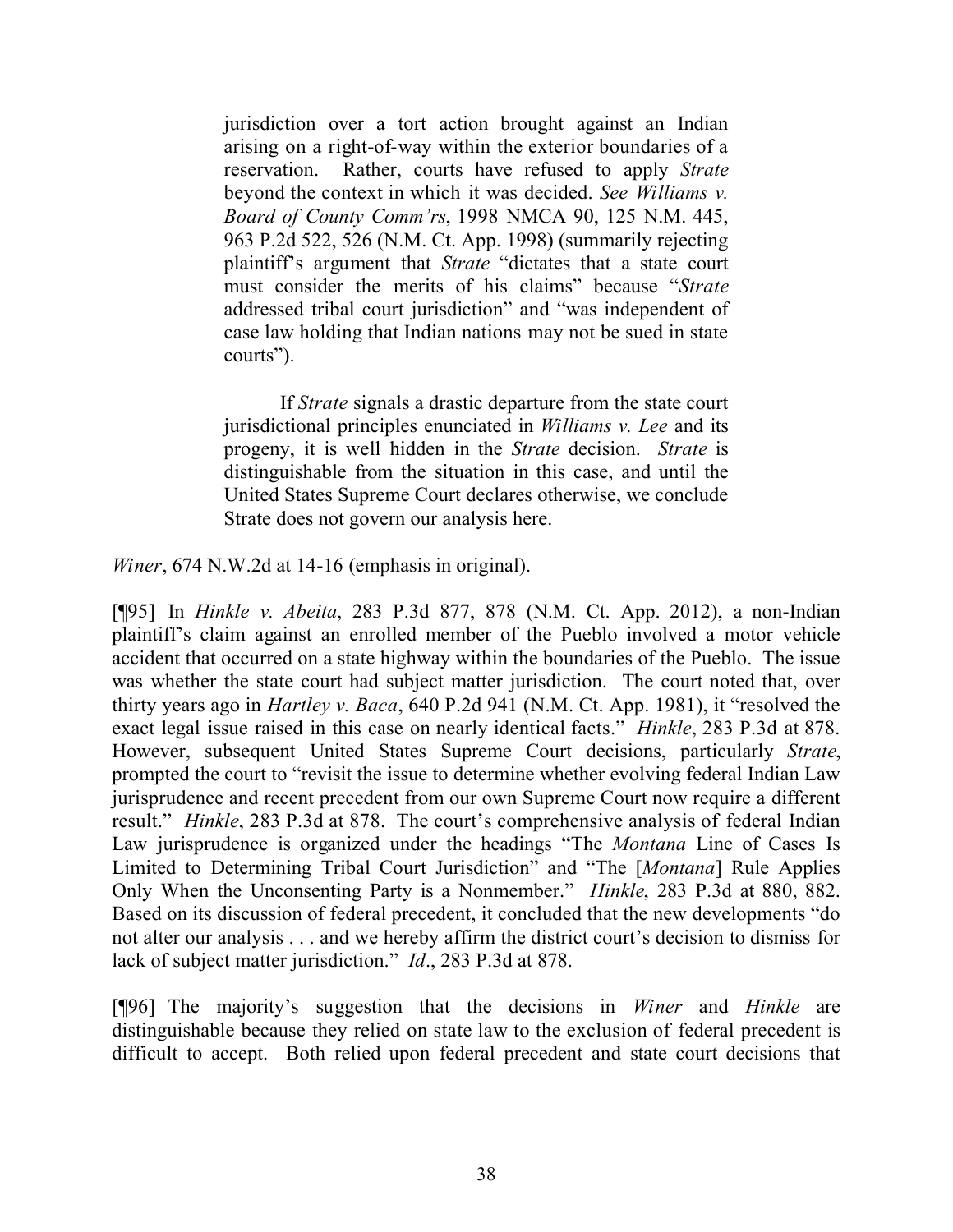jurisdiction over a tort action brought against an Indian arising on a right-of-way within the exterior boundaries of a reservation. Rather, courts have refused to apply *Strate* beyond the context in which it was decided. *See Williams v. Board of County Comm'rs*, 1998 NMCA 90, 125 N.M. 445, 963 P.2d 522, 526 (N.M. Ct. App. 1998) (summarily rejecting plaintiff's argument that *Strate* "dictates that a state court must consider the merits of his claims" because "*Strate* addressed tribal court jurisdiction" and "was independent of case law holding that Indian nations may not be sued in state courts").

If *Strate* signals a drastic departure from the state court jurisdictional principles enunciated in *Williams v. Lee* and its progeny, it is well hidden in the *Strate* decision. *Strate* is distinguishable from the situation in this case, and until the United States Supreme Court declares otherwise, we conclude Strate does not govern our analysis here.

*Winer*, 674 N.W.2d at 14-16 (emphasis in original).

[¶95] In *Hinkle v. Abeita*, 283 P.3d 877, 878 (N.M. Ct. App. 2012), a non-Indian plaintiff's claim against an enrolled member of the Pueblo involved a motor vehicle accident that occurred on a state highway within the boundaries of the Pueblo. The issue was whether the state court had subject matter jurisdiction. The court noted that, over thirty years ago in *Hartley v. Baca*, 640 P.2d 941 (N.M. Ct. App. 1981), it "resolved the exact legal issue raised in this case on nearly identical facts." *Hinkle*, 283 P.3d at 878. However, subsequent United States Supreme Court decisions, particularly *Strate*, prompted the court to "revisit the issue to determine whether evolving federal Indian Law jurisprudence and recent precedent from our own Supreme Court now require a different result." *Hinkle*, 283 P.3d at 878. The court's comprehensive analysis of federal Indian Law jurisprudence is organized under the headings "The *Montana* Line of Cases Is Limited to Determining Tribal Court Jurisdiction" and "The [*Montana*] Rule Applies Only When the Unconsenting Party is a Nonmember." *Hinkle*, 283 P.3d at 880, 882. Based on its discussion of federal precedent, it concluded that the new developments "do not alter our analysis . . . and we hereby affirm the district court's decision to dismiss for lack of subject matter jurisdiction." *Id*., 283 P.3d at 878.

[¶96] The majority's suggestion that the decisions in *Winer* and *Hinkle* are distinguishable because they relied on state law to the exclusion of federal precedent is difficult to accept. Both relied upon federal precedent and state court decisions that